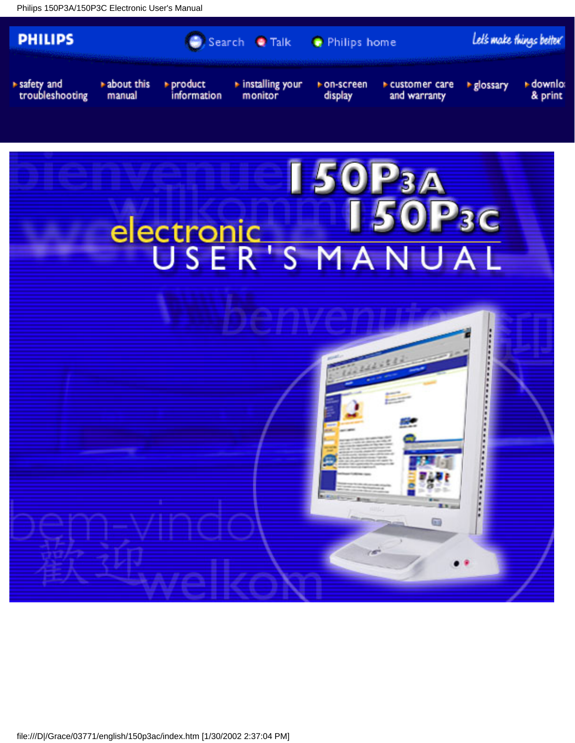Philips 150P3A/150P3C Electronic User's Manual

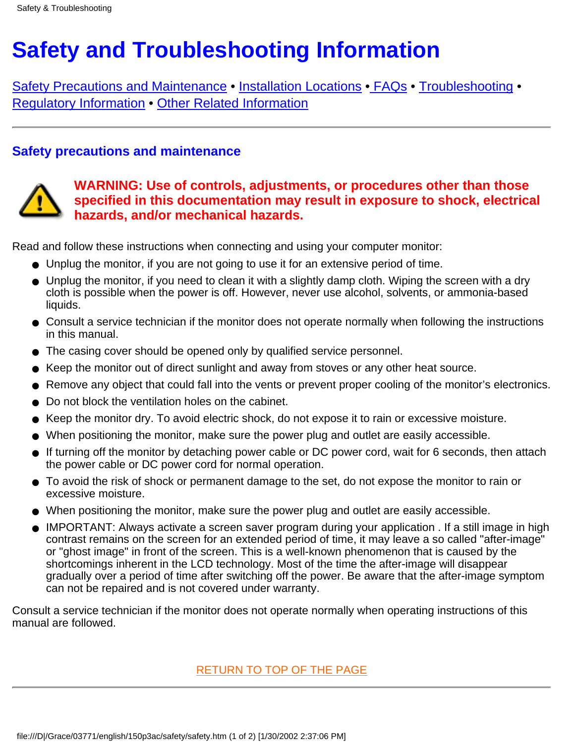# <span id="page-1-0"></span>**Safety and Troubleshooting Information**

Safety Precautions and Maintenance • Installation Locations • [FAQs](#page-31-0) • [Troubleshooting](#page-39-0) • [Regulatory Information](#page-42-0) • [Other Related Information](#page-52-0)

# **Safety precautions and maintenance**



## **WARNING: Use of controls, adjustments, or procedures other than those specified in this documentation may result in exposure to shock, electrical hazards, and/or mechanical hazards.**

Read and follow these instructions when connecting and using your computer monitor:

- Unplug the monitor, if you are not going to use it for an extensive period of time.
- Unplug the monitor, if you need to clean it with a slightly damp cloth. Wiping the screen with a dry cloth is possible when the power is off. However, never use alcohol, solvents, or ammonia-based liquids.
- Consult a service technician if the monitor does not operate normally when following the instructions in this manual.
- The casing cover should be opened only by qualified service personnel.
- Keep the monitor out of direct sunlight and away from stoves or any other heat source.
- Remove any object that could fall into the vents or prevent proper cooling of the monitor's electronics.
- Do not block the ventilation holes on the cabinet.
- Keep the monitor dry. To avoid electric shock, do not expose it to rain or excessive moisture.
- When positioning the monitor, make sure the power plug and outlet are easily accessible.
- If turning off the monitor by detaching power cable or DC power cord, wait for 6 seconds, then attach the power cable or DC power cord for normal operation.
- To avoid the risk of shock or permanent damage to the set, do not expose the monitor to rain or excessive moisture.
- When positioning the monitor, make sure the power plug and outlet are easily accessible.
- IMPORTANT: Always activate a screen saver program during your application . If a still image in high contrast remains on the screen for an extended period of time, it may leave a so called "after-image" or "ghost image" in front of the screen. This is a well-known phenomenon that is caused by the shortcomings inherent in the LCD technology. Most of the time the after-image will disappear gradually over a period of time after switching off the power. Be aware that the after-image symptom can not be repaired and is not covered under warranty.

Consult a service technician if the monitor does not operate normally when operating instructions of this manual are followed.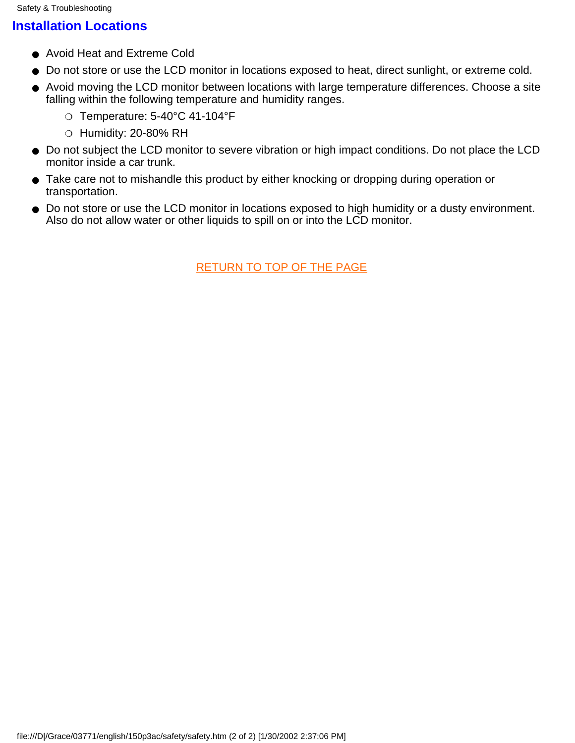## **Installation Locations**

- Avoid Heat and Extreme Cold
- Do not store or use the LCD monitor in locations exposed to heat, direct sunlight, or extreme cold.
- Avoid moving the LCD monitor between locations with large temperature differences. Choose a site falling within the following temperature and humidity ranges.
	- ❍ Temperature: 5-40°C 41-104°F
	- $\circ$  Humidity: 20-80% RH
- Do not subject the LCD monitor to severe vibration or high impact conditions. Do not place the LCD monitor inside a car trunk.
- Take care not to mishandle this product by either knocking or dropping during operation or transportation.
- Do not store or use the LCD monitor in locations exposed to high humidity or a dusty environment. Also do not allow water or other liquids to spill on or into the LCD monitor.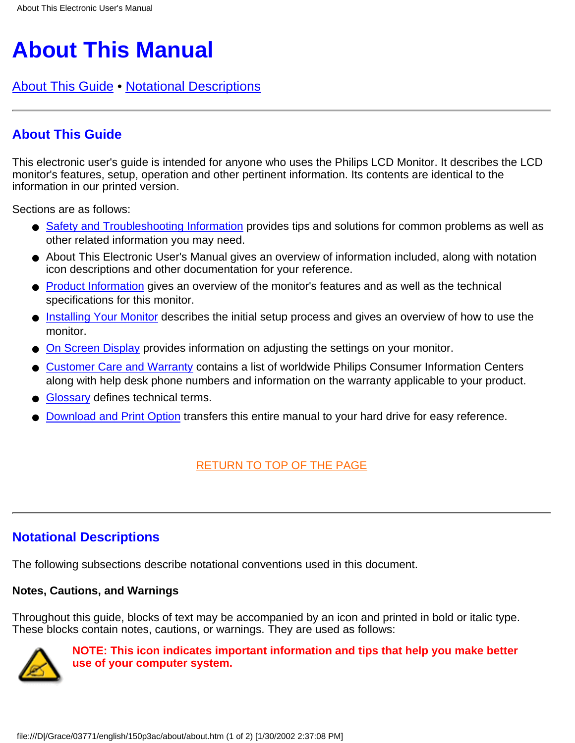# **About This Manual**

## [About This Guide](#page-3-0) • Notational Descriptions

## <span id="page-3-0"></span>**About This Guide**

This electronic user's guide is intended for anyone who uses the Philips LCD Monitor. It describes the LCD monitor's features, setup, operation and other pertinent information. Its contents are identical to the information in our printed version.

Sections are as follows:

- [Safety and Troubleshooting Information](#page-1-0) provides tips and solutions for common problems as well as other related information you may need.
- About This Electronic User's Manual gives an overview of information included, along with notation icon descriptions and other documentation for your reference.
- [Product Information](#page-5-0) gives an overview of the monitor's features and as well as the technical specifications for this monitor.
- [Installing Your Monitor](#page-14-0) describes the initial setup process and gives an overview of how to use the monitor.
- [On Screen Display](#page-19-0) provides information on adjusting the settings on your monitor.
- [Customer Care and Warranty](#page-23-0) contains a list of worldwide Philips Consumer Information Centers along with help desk phone numbers and information on the warranty applicable to your product.
- [Glossary](#page-24-0) defines technical terms.
- **[Download and Print Option](#page-28-0) transfers this entire manual to your hard drive for easy reference.**

## RETURN TO TOP OF THE PAGE

## **Notational Descriptions**

The following subsections describe notational conventions used in this document.

#### **Notes, Cautions, and Warnings**

Throughout this guide, blocks of text may be accompanied by an icon and printed in bold or italic type. These blocks contain notes, cautions, or warnings. They are used as follows:



**NOTE: This icon indicates important information and tips that help you make better use of your computer system.**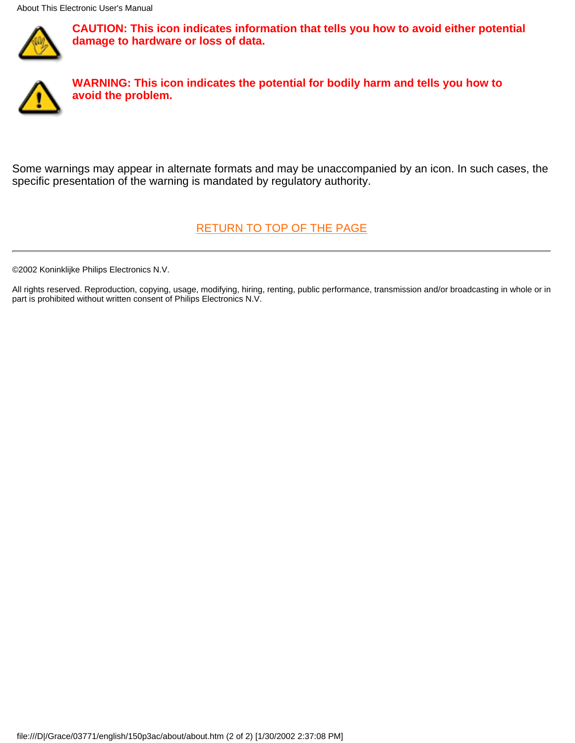

**CAUTION: This icon indicates information that tells you how to avoid either potential damage to hardware or loss of data.**



**WARNING: This icon indicates the potential for bodily harm and tells you how to avoid the problem.**

Some warnings may appear in alternate formats and may be unaccompanied by an icon. In such cases, the specific presentation of the warning is mandated by regulatory authority.

RETURN TO TOP OF THE PAGE

©2002 Koninklijke Philips Electronics N.V.

All rights reserved. Reproduction, copying, usage, modifying, hiring, renting, public performance, transmission and/or broadcasting in whole or in part is prohibited without written consent of Philips Electronics N.V.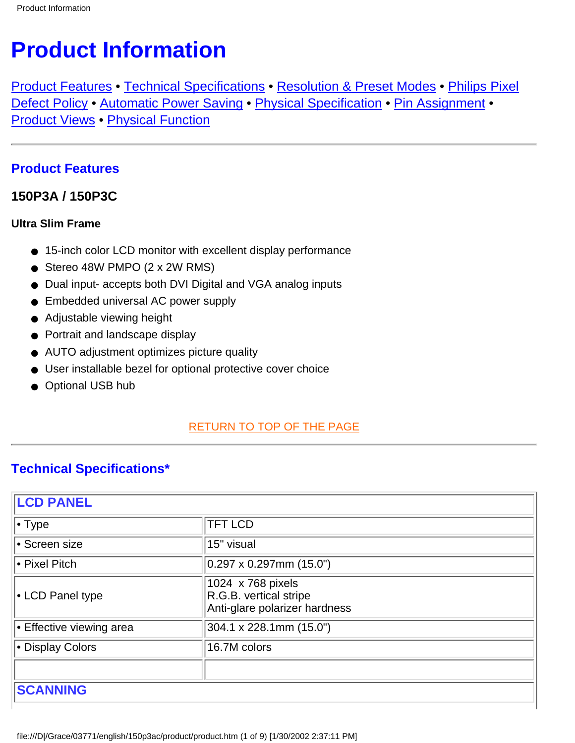# <span id="page-5-0"></span>**Product Information**

Product Features • Technical Specifications • Resolution & Preset Modes • [Philips Pixel](#page-53-0) [Defect Policy](#page-53-0) • Automatic Power Saving • Physical Specification • Pin Assignment • Product Views • Physical Function

## **Product Features**

## **150P3A / 150P3C**

#### **Ultra Slim Frame**

- 15-inch color LCD monitor with excellent display performance
- Stereo 48W PMPO (2 x 2W RMS)
- Dual input- accepts both DVI Digital and VGA analog inputs
- Embedded universal AC power supply
- Adjustable viewing height
- Portrait and landscape display
- AUTO adjustment optimizes picture quality
- User installable bezel for optional protective cover choice
- Optional USB hub

## RETURN TO TOP OF THE PAGE

## **Technical Specifications\***

| $\cdot$ Type                   | <b>TFT LCD</b>                                                               |
|--------------------------------|------------------------------------------------------------------------------|
| Screen size                    | 15" visual                                                                   |
| l• Pixel Pitch                 | $(0.297 \times 0.297$ mm $(15.0^{\circ})$                                    |
| $\cdot$ LCD Panel type         | 1024 x 768 pixels<br>R.G.B. vertical stripe<br>Anti-glare polarizer hardness |
| $\cdot$ Effective viewing area | $ 304.1 \times 228.1$ mm (15.0")                                             |
| • Display Colors               | 16.7M colors                                                                 |
|                                |                                                                              |
| <b>SCANNING</b>                |                                                                              |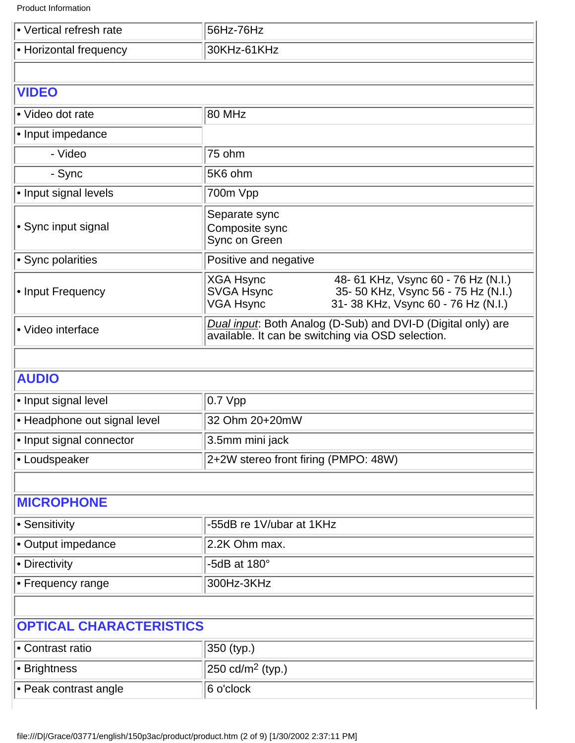Product Information

| • Vertical refresh rate      | 56Hz-76Hz                                                                                                                                                                     |
|------------------------------|-------------------------------------------------------------------------------------------------------------------------------------------------------------------------------|
| • Horizontal frequency       | 30KHz-61KHz                                                                                                                                                                   |
|                              |                                                                                                                                                                               |
| <b>VIDEO</b>                 |                                                                                                                                                                               |
| • Video dot rate             | 80 MHz                                                                                                                                                                        |
| • Input impedance            |                                                                                                                                                                               |
| - Video                      | 75 ohm                                                                                                                                                                        |
| - Sync                       | 5K6 ohm                                                                                                                                                                       |
| • Input signal levels        | 700m Vpp                                                                                                                                                                      |
| • Sync input signal          | Separate sync<br>Composite sync<br>Sync on Green                                                                                                                              |
| • Sync polarities            | Positive and negative                                                                                                                                                         |
| • Input Frequency            | 48- 61 KHz, Vsync 60 - 76 Hz (N.I.)<br><b>XGA Hsync</b><br><b>SVGA Hsync</b><br>35- 50 KHz, Vsync 56 - 75 Hz (N.I.)<br><b>VGA Hsync</b><br>31-38 KHz, Vsync 60 - 76 Hz (N.I.) |
| • Video interface            | Dual input: Both Analog (D-Sub) and DVI-D (Digital only) are<br>available. It can be switching via OSD selection.                                                             |
|                              |                                                                                                                                                                               |
| <b>AUDIO</b>                 |                                                                                                                                                                               |
| • Input signal level         | 0.7 Vpp                                                                                                                                                                       |
| • Headphone out signal level | 32 Ohm 20+20mW                                                                                                                                                                |
| • Input signal connector     | 3.5mm mini jack                                                                                                                                                               |

# • Loudspeaker 2+2W stereo front firing (PMPO: 48W)

# **MICROPHONE**

| $\vert \bullet \vert$ Sensitivity           | -55dB re 1V/ubar at 1KHz |  |  |  |  |  |
|---------------------------------------------|--------------------------|--|--|--|--|--|
| $\ \bullet\$ Output impedance               | $ 2.2K$ Ohm max.         |  |  |  |  |  |
| $\left\vert \cdot\right\rangle$ Directivity | $-5dB$ at 180 $^{\circ}$ |  |  |  |  |  |
| ∥• Frequency range                          | $ 300$ Hz- $3$ KHz       |  |  |  |  |  |
|                                             |                          |  |  |  |  |  |

| <b>OPTICAL CHARACTERISTICS</b>                                |                                      |  |  |  |  |
|---------------------------------------------------------------|--------------------------------------|--|--|--|--|
| $\cdot$ Contrast ratio<br>$ 350 \,(typ.)$                     |                                      |  |  |  |  |
| $\  \bullet$ Brightness                                       | $ 250 \text{ cd/m}^2 \text{ (typ.)}$ |  |  |  |  |
| $\left\  \bullet \right.$ Peak contrast angle<br>$ 6$ o'clock |                                      |  |  |  |  |
|                                                               |                                      |  |  |  |  |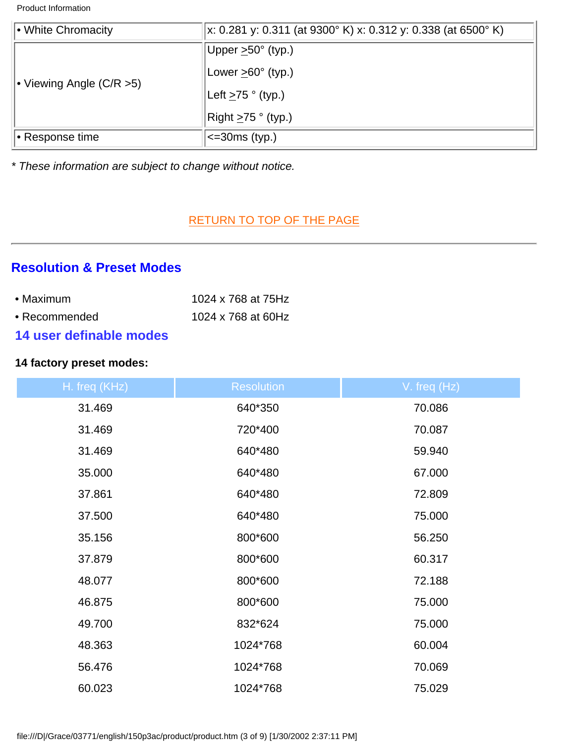| • White Chromacity          | x: 0.281 y: 0.311 (at 9300° K) x: 0.312 y: 0.338 (at 6500° K) |  |  |  |
|-----------------------------|---------------------------------------------------------------|--|--|--|
|                             | ∣Upper <u>&gt;</u> 50° (typ.)                                 |  |  |  |
|                             | Lower <u>&gt;</u> 60° (typ.)                                  |  |  |  |
| • Viewing Angle $(C/R > 5)$ | Left $\geq$ 75 ° (typ.)                                       |  |  |  |
|                             | Right <u>&gt;</u> 75 ° (typ.)                                 |  |  |  |
| • Response time             | $\leq$ =30ms (typ.)                                           |  |  |  |

*\* These information are subject to change without notice.*

## RETURN TO TOP OF THE PAGE

# **Resolution & Preset Modes**

| $\bullet$ Maximum | 1024 x 768 at 75Hz |
|-------------------|--------------------|
| • Recommended     | 1024 x 768 at 60Hz |
|                   |                    |

## **14 user definable modes**

## **14 factory preset modes:**

| H. freq (KHz) | <b>Resolution</b> | V. freq (Hz) |
|---------------|-------------------|--------------|
| 31.469        | 640*350           | 70.086       |
| 31.469        | 720*400           | 70.087       |
| 31.469        | 640*480           | 59.940       |
| 35.000        | 640*480           | 67.000       |
| 37.861        | 640*480           | 72.809       |
| 37.500        | 640*480           | 75.000       |
| 35.156        | 800*600           | 56.250       |
| 37.879        | 800*600           | 60.317       |
| 48.077        | 800*600           | 72.188       |
| 46.875        | 800*600           | 75.000       |
| 49.700        | 832*624           | 75.000       |
| 48.363        | 1024*768          | 60.004       |
| 56.476        | 1024*768          | 70.069       |
| 60.023        | 1024*768          | 75.029       |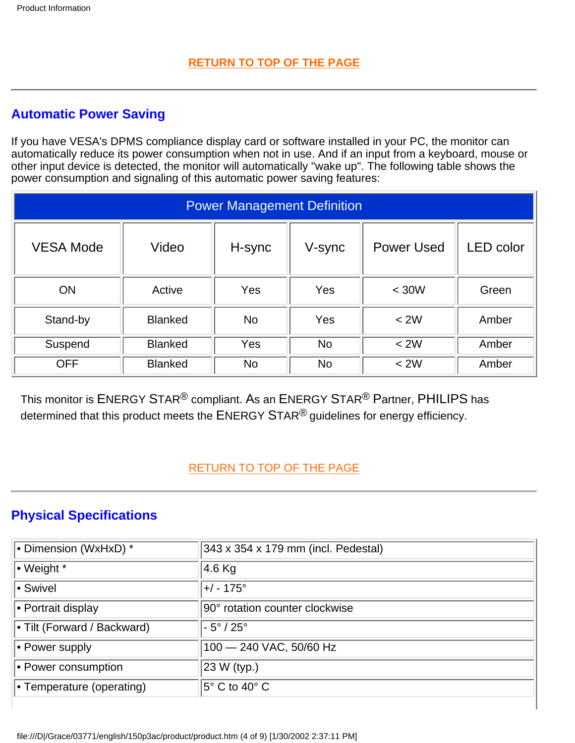## **Automatic Power Saving**

If you have VESA's DPMS compliance display card or software installed in your PC, the monitor can automatically reduce its power consumption when not in use. And if an input from a keyboard, mouse or other input device is detected, the monitor will automatically "wake up". The following table shows the power consumption and signaling of this automatic power saving features:

| <b>Power Management Definition</b> |                |                  |           |                   |                  |  |  |  |  |
|------------------------------------|----------------|------------------|-----------|-------------------|------------------|--|--|--|--|
| <b>VESA Mode</b>                   | Video          | H-sync<br>V-sync |           | <b>Power Used</b> | <b>LED</b> color |  |  |  |  |
| <b>ON</b>                          | Active         | Yes<br>Yes       |           | $<$ 30W           | Green            |  |  |  |  |
| Stand-by<br><b>Blanked</b>         |                | Yes<br>No        |           | < 2W              | Amber            |  |  |  |  |
| <b>Blanked</b><br>Suspend          |                | Yes              | <b>No</b> | < 2W              | Amber            |  |  |  |  |
| <b>OFF</b>                         | <b>Blanked</b> | No               | <b>No</b> | < 2W              | Amber            |  |  |  |  |

This monitor is ENERGY STAR<sup>®</sup> compliant. As an ENERGY STAR<sup>®</sup> Partner, PHILIPS has determined that this product meets the ENERGY STAR<sup>®</sup> guidelines for energy efficiency.

## RETURN TO TOP OF THE PAGE

# **Physical Specifications**

| • Dimension (WxHxD) *             | $ 343 \times 354 \times 179$ mm (incl. Pedestal) |  |  |  |
|-----------------------------------|--------------------------------------------------|--|--|--|
| $\bullet$ Weight $^*$             | $ 4.6$ Kg                                        |  |  |  |
| <b>•</b> Swivel                   | l+/ - 175°                                       |  |  |  |
| $\cdot$ Portrait display          | 90° rotation counter clockwise                   |  |  |  |
| $\cdot$ Tilt (Forward / Backward) | l- 5° / 25°                                      |  |  |  |
| $\cdot$ Power supply              | 100 - 240 VAC, 50/60 Hz                          |  |  |  |
| • Power consumption               | $ 23 \text{ W (typ.)}$                           |  |  |  |
| $\cdot$ Temperature (operating)   | $ 5^{\circ}$ C to 40 $^{\circ}$ C                |  |  |  |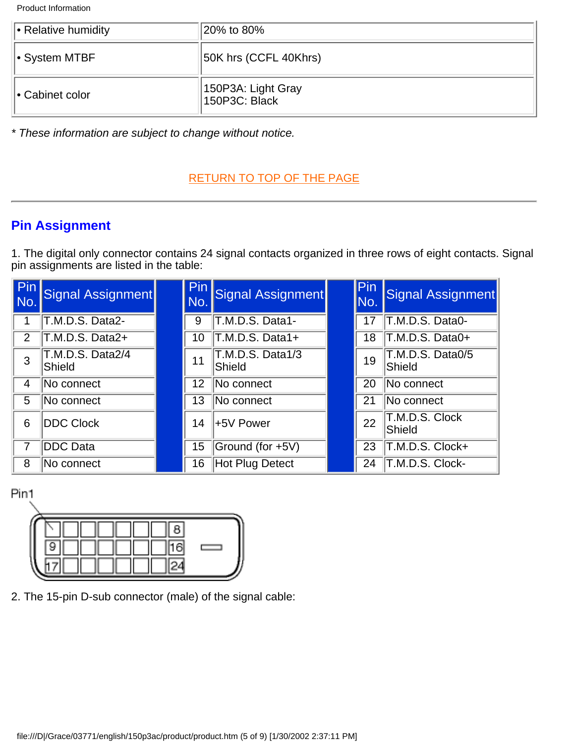Product Information

| $\left  \cdot \right $ Relative humidity | 20% to 80%                          |
|------------------------------------------|-------------------------------------|
| ∥• System MTBF                           | 50K hrs (CCFL 40Khrs)               |
| le Cabinet color                         | 150P3A: Light Gray<br>150P3C: Black |

*\* These information are subject to change without notice.*

## RETURN TO TOP OF THE PAGE

# **Pin Assignment**

1. The digital only connector contains 24 signal contacts organized in three rows of eight contacts. Signal pin assignments are listed in the table:

| Pin<br>  No.   | Signal Assignment          | Pin<br>No. | Signal Assignment          | <b>Pin</b><br>No. | Signal Assignment          |
|----------------|----------------------------|------------|----------------------------|-------------------|----------------------------|
|                | T.M.D.S. Data2-            | 9          | T.M.D.S. Data1-            | 17                | T.M.D.S. Data0-            |
| $\overline{2}$ | T.M.D.S. Data2+            | 10         | T.M.D.S. Data1+            | 18                | T.M.D.S. Data0+            |
| 3              | T.M.D.S. Data2/4<br>Shield | 11         | T.M.D.S. Data1/3<br>Shield | 19                | T.M.D.S. Data0/5<br>Shield |
| 4              | No connect                 | 12         | No connect                 | 20                | No connect                 |
| 5              | No connect                 | 13         | No connect                 | 21                | <b>No connect</b>          |
| 6              | <b>DDC Clock</b>           | 14         | +5V Power                  | 22                | T.M.D.S. Clock<br>Shield   |
| 7              | <b>DDC</b> Data            | 15         | Ground (for +5V)           | 23                | T.M.D.S. Clock+            |
| 8              | No connect                 | 16         | <b>Hot Plug Detect</b>     | 24                | T.M.D.S. Clock-            |

Pin1



2. The 15-pin D-sub connector (male) of the signal cable: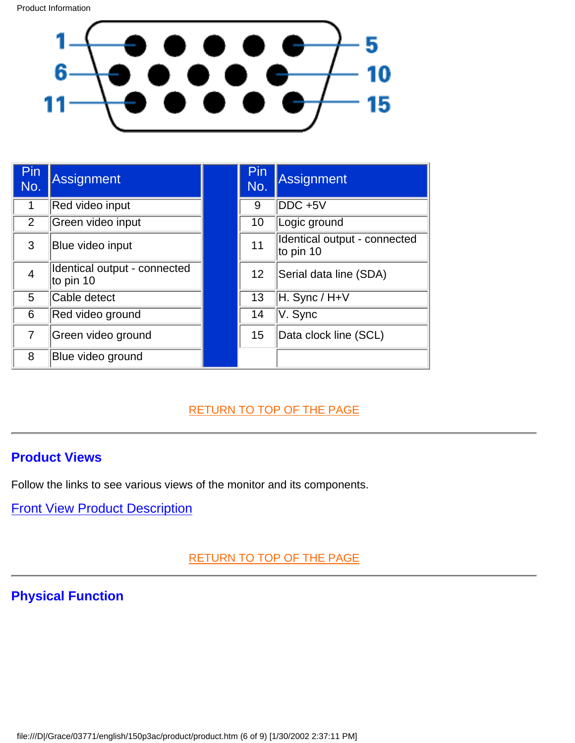

| Pin<br>No.     | <b>Assignment</b>                         | Pin<br>No. | Assignment                                |
|----------------|-------------------------------------------|------------|-------------------------------------------|
| 1              | Red video input                           | 9          | DDC +5V                                   |
| 2              | Green video input                         | 10         | Logic ground                              |
| 3              | Blue video input                          | 11         | Identical output - connected<br>to pin 10 |
| $\overline{4}$ | Identical output - connected<br>to pin 10 | 12         | Serial data line (SDA)                    |
| 5              | Cable detect                              | 13         | H. Sync / H+V                             |
| 6              | Red video ground                          | 14         | V. Sync                                   |
| 7              | Green video ground                        | 15         | Data clock line (SCL)                     |
| 8              | Blue video ground                         |            |                                           |

## RETURN TO TOP OF THE PAGE

# **Product Views**

Follow the links to see various views of the monitor and its components.

**Front View Product Description** 

RETURN TO TOP OF THE PAGE

# **Physical Function**

file:///D|/Grace/03771/english/150p3ac/product/product.htm (6 of 9) [1/30/2002 2:37:11 PM]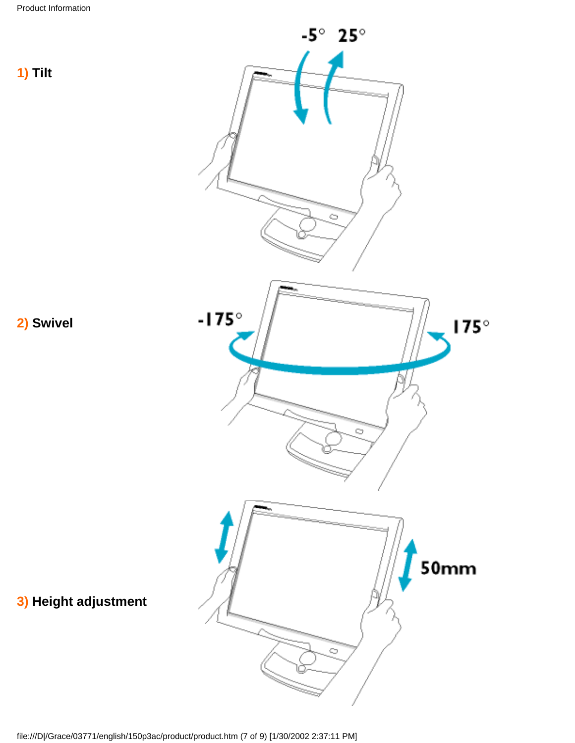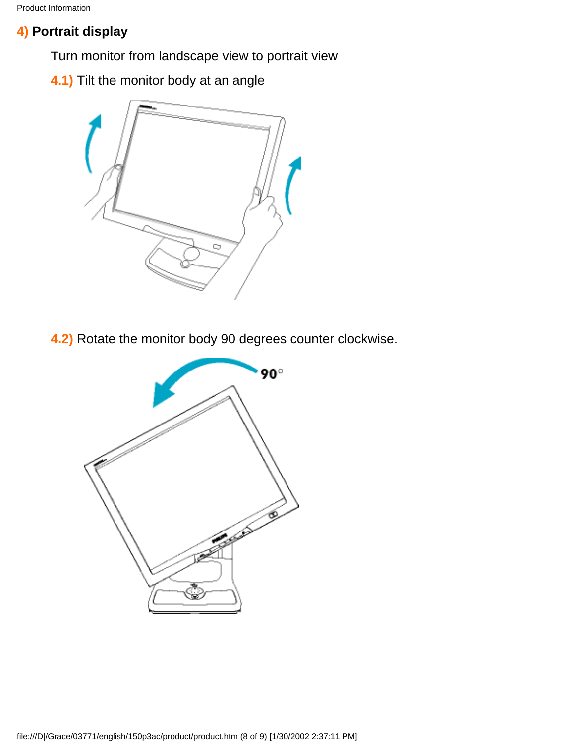# **4) Portrait display**

Turn monitor from landscape view to portrait view

**4.1)** Tilt the monitor body at an angle



**4.2)** Rotate the monitor body 90 degrees counter clockwise.

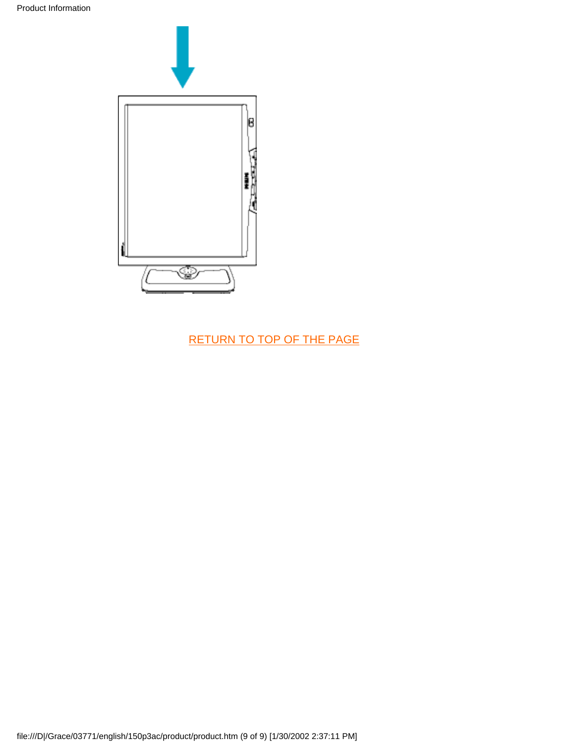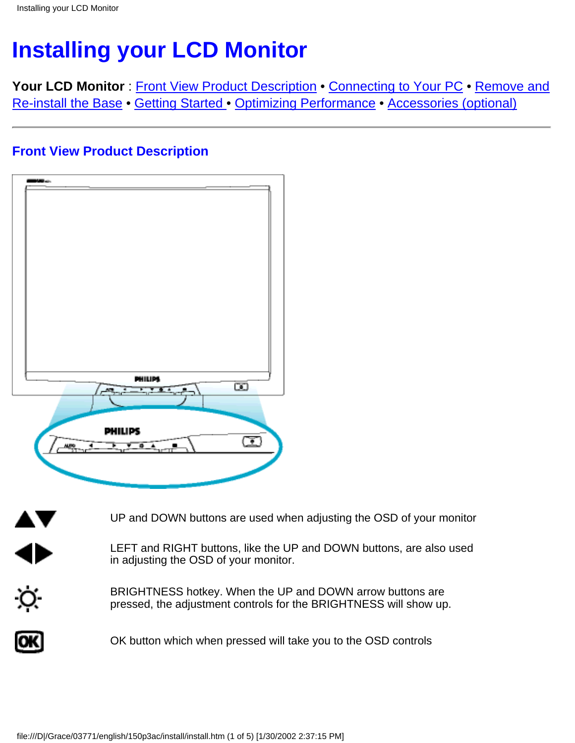# <span id="page-14-0"></span>**Installing your LCD Monitor**

Your LCD Monitor: **Front View Product Description** • [Connecting to Your PC](#page-56-0) • [Remove and](#page-60-0) [Re-install the Base](#page-60-0) • [Getting Started](#page-64-0) • Optimizing Performance • [Accessories \(optional\)](#page-67-0)

## **Front View Product Description**



UP and DOWN buttons are used when adjusting the OSD of your monitor



N

LEFT and RIGHT buttons, like the UP and DOWN buttons, are also used in adjusting the OSD of your monitor.



ſок

BRIGHTNESS hotkey. When the UP and DOWN arrow buttons are pressed, the adjustment controls for the BRIGHTNESS will show up.

OK button which when pressed will take you to the OSD controls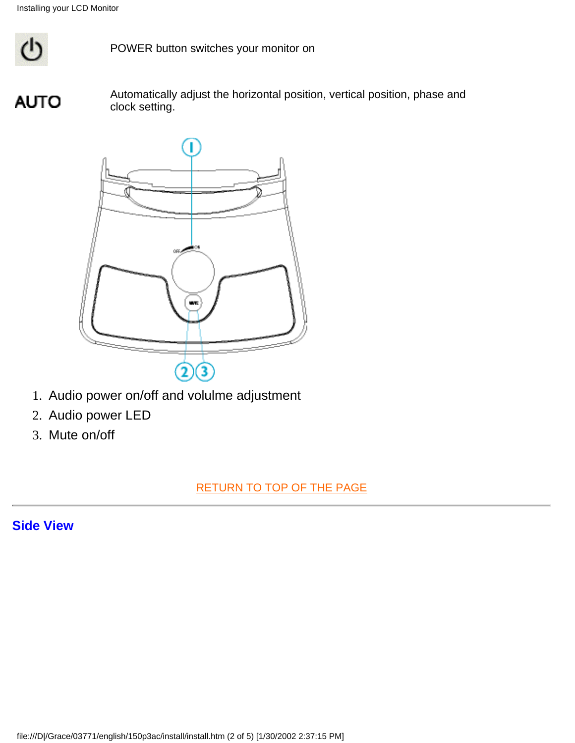ŋ

POWER button switches your monitor on



Automatically adjust the horizontal position, vertical position, phase and clock setting.



- 1. Audio power on/off and volulme adjustment
- 2. Audio power LED
- 3. Mute on/off

RETURN TO TOP OF THE PAGE

**Side View**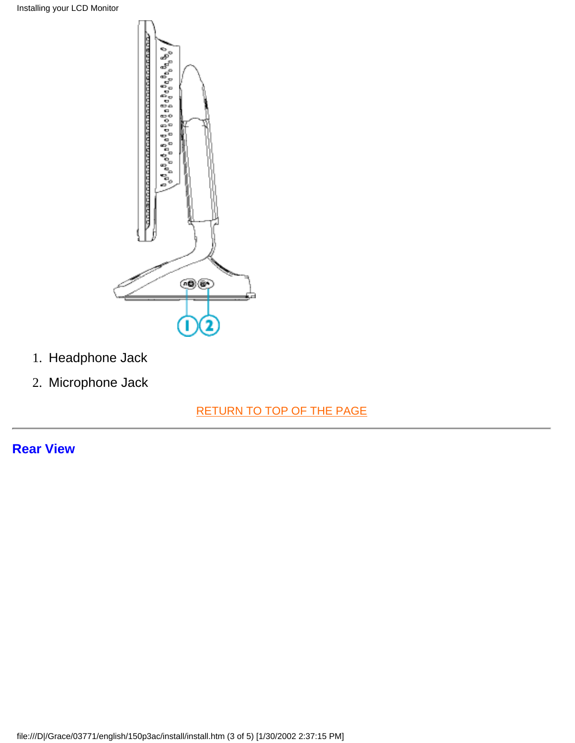

- 1. Headphone Jack
- 2. Microphone Jack

RETURN TO TOP OF THE PAGE

**Rear View**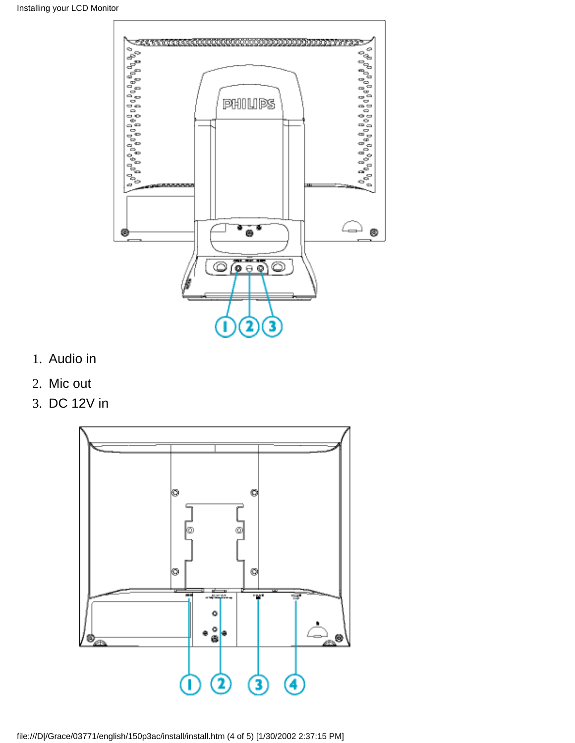

- 1. Audio in
- 2. Mic out
- 3. DC 12V in

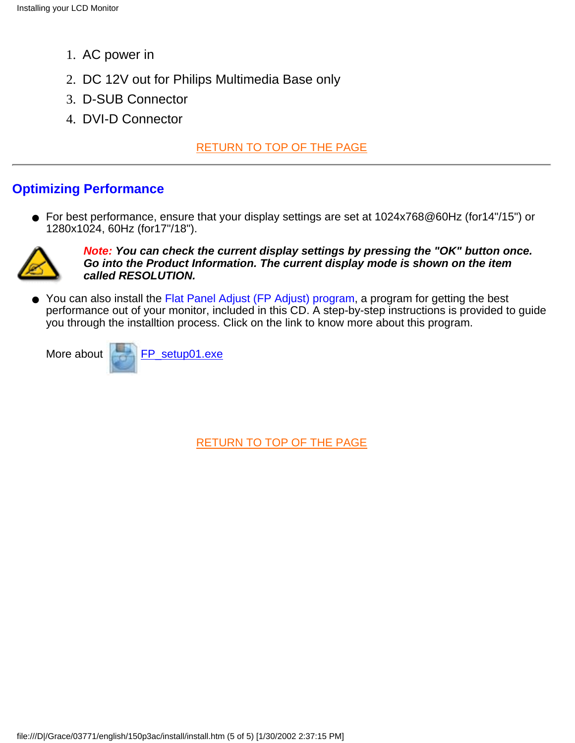- 1. AC power in
- 2. DC 12V out for Philips Multimedia Base only
- 3. D-SUB Connector
- 4. DVI-D Connector

## RETURN TO TOP OF THE PAGE

## **Optimizing Performance**

● For best performance, ensure that your display settings are set at 1024x768@60Hz (for14"/15") or 1280x1024, 60Hz (for17"/18").



*Note: You can check the current display settings by pressing the "OK" button once. Go into the Product Information. The current display mode is shown on the item called RESOLUTION.*

● You can also install the Flat Panel Adjust (FP Adjust) program, a program for getting the best performance out of your monitor, included in this CD. A step-by-step instructions is provided to guide you through the installtion process. Click on the link to know more about this program.

More about **FP\_setup01.exe**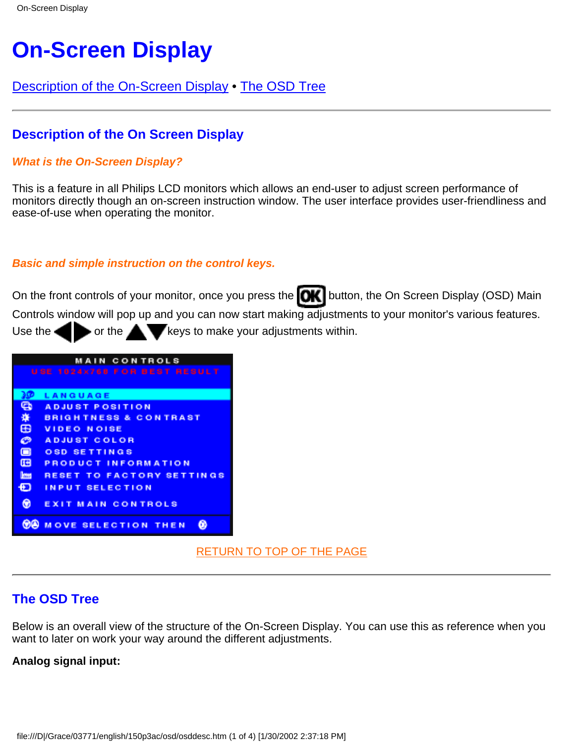# <span id="page-19-3"></span><span id="page-19-0"></span>**On-Screen Display**

## [Description of the On-Screen Display](#page-19-1) • [The OSD Tree](#page-19-2)

## <span id="page-19-1"></span>**Description of the On Screen Display**

### *What is the On-Screen Display?*

This is a feature in all Philips LCD monitors which allows an end-user to adjust screen performance of monitors directly though an on-screen instruction window. The user interface provides user-friendliness and ease-of-use when operating the monitor.

### *Basic and simple instruction on the control keys.*

On the front controls of your monitor, once you press the **DK** button, the On Screen Display (OSD) Main Controls window will pop up and you can now start making adjustments to your monitor's various features. Use the  $\bullet$  or the  $\bullet$  veys to make your adjustments within.

| MAIN CONTROLS                      |                                  |  |  |  |
|------------------------------------|----------------------------------|--|--|--|
| USE 1024×768 FOR BEST RESULT       |                                  |  |  |  |
|                                    |                                  |  |  |  |
| 350                                | LANGUAGE                         |  |  |  |
| G                                  | <b>ADJUST POSITION</b>           |  |  |  |
| Ø                                  | <b>BRIGHTNESS &amp; CONTRAST</b> |  |  |  |
| <b>B</b>                           | <b>VIDEO NOISE</b>               |  |  |  |
| Ø                                  | <b>ADJUST COLOR</b>              |  |  |  |
| $\square$                          | OSD SETTINGS                     |  |  |  |
| 囮                                  | <b>PRODUCT INFORMATION</b>       |  |  |  |
| loton                              | <b>RESET TO FACTORY SETTINGS</b> |  |  |  |
| Ð                                  | <b>INPUT SELECTION</b>           |  |  |  |
| $\bullet$                          | <b>EXIT MAIN CONTROLS</b>        |  |  |  |
| <b>OO</b> MOVE SELECTION THEN<br>Ю |                                  |  |  |  |

[RETURN TO TOP OF THE PAGE](#page-19-3)

# <span id="page-19-2"></span>**The OSD Tree**

Below is an overall view of the structure of the On-Screen Display. You can use this as reference when you want to later on work your way around the different adjustments.

#### **Analog signal input:**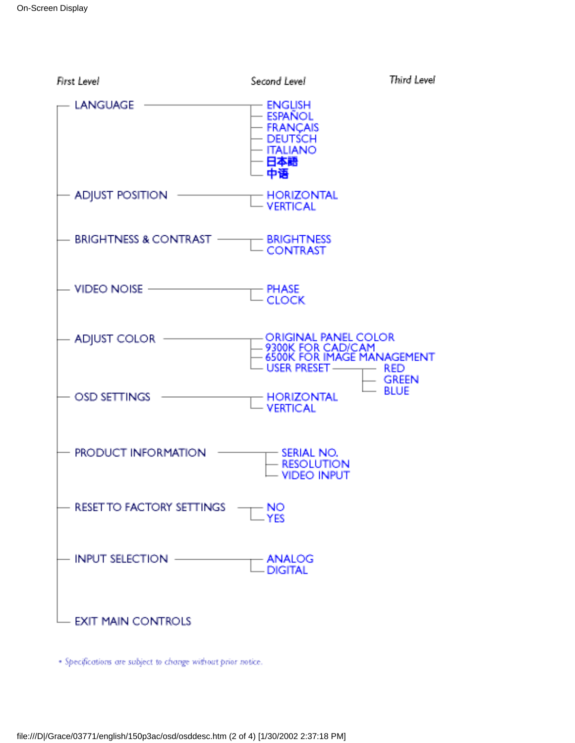

· Specifications are subject to change without prior notice.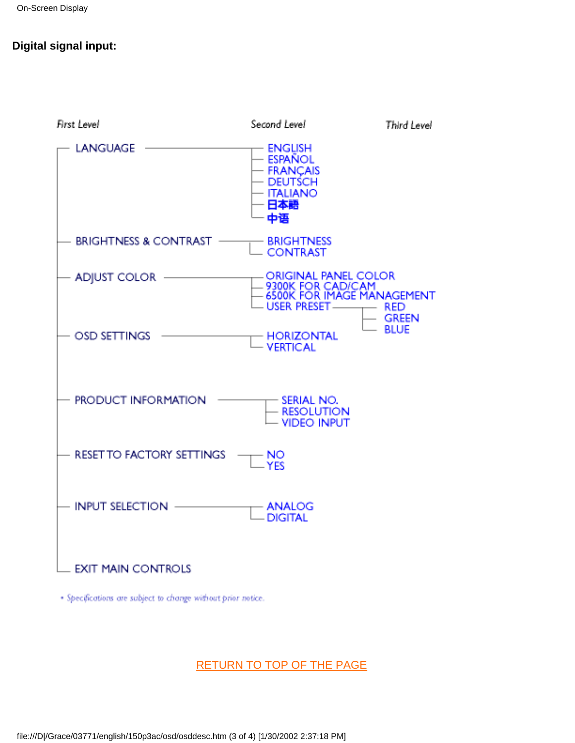## **Digital signal input:**



· Specifications are subject to change without prior notice.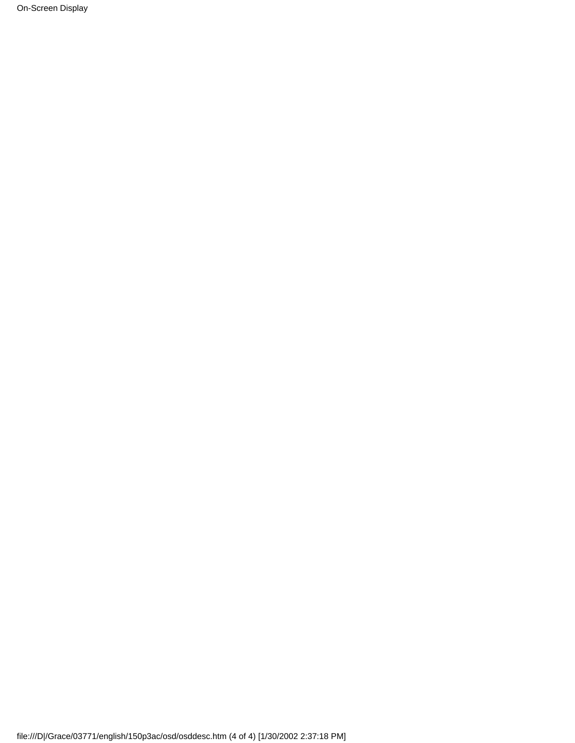On-Screen Display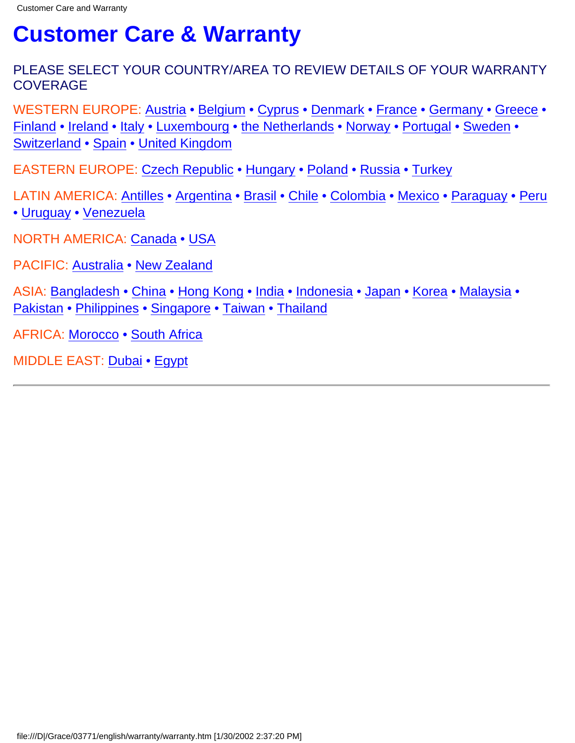# <span id="page-23-0"></span>**Customer Care & Warranty**

PLEASE SELECT YOUR COUNTRY/AREA TO REVIEW DETAILS OF YOUR WARRANTY **COVERAGE** 

WESTERN EUROPE: [Austria](#page-75-0) • [Belgium](#page-75-0) • [Cyprus](#page-75-0) • [Denmark](#page-75-0) • [France](#page-75-0) • [Germany](#page-75-0) • [Greece](#page-75-0) • [Finland](#page-75-0) • [Ireland](#page-75-0) • [Italy](#page-75-0) • [Luxembourg](#page-75-0) • [the Netherlands](#page-75-0) • [Norway](#page-75-0) • [Portugal](#page-75-0) • [Sweden](#page-75-0) • [Switzerland](#page-75-0) • [Spain](#page-75-0) • [United Kingdom](#page-75-0)

EASTERN EUROPE: [Czech Republic](#page-76-0) • [Hungary](#page-76-0) • [Poland](#page-76-0) • [Russia](#page-76-0) • [Turkey](#page-76-0)

LATIN AMERICA: [Antilles](#page-76-0) • [Argentina](#page-76-0) • [Brasil](#page-76-0) • [Chile](#page-76-0) • [Colombia](#page-76-0) • [Mexico](#page-76-0) • [Paraguay](#page-76-0) • [Peru](#page-76-0) • [Uruguay](#page-76-0) • [Venezuela](#page-76-0)

NORTH AMERICA: [Canada](#page-76-0) • [USA](#page-77-0)

PACIFIC: [Australia](#page-76-0) • [New Zealand](#page-76-0)

ASIA: [Bangladesh](#page-76-0) • [China](#page-76-0) • [Hong Kong](#page-76-0) • [India](#page-76-0) • [Indonesia](#page-76-0) • [Japan](#page-76-0) • [Korea](#page-76-0) • [Malaysia](#page-76-0) • [Pakistan](#page-76-0) • [Philippines](#page-76-0) • [Singapore](#page-76-0) • [Taiwan](#page-76-0) • [Thailand](#page-76-0)

AFRICA: [Morocco](#page-76-0) • [South Africa](#page-76-0)

MIDDLE EAST: [Dubai](#page-76-0) • [Egypt](#page-76-0)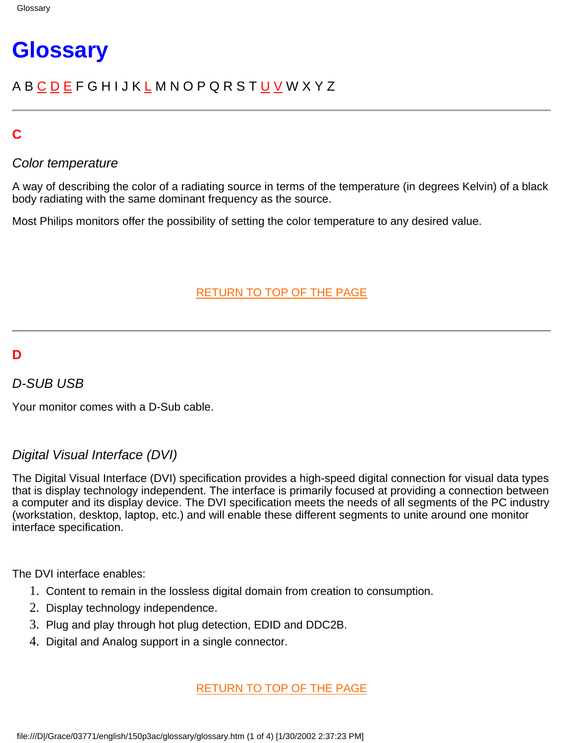# <span id="page-24-0"></span>**Glossary**

# A B C D E F G H I J K L M N O P Q R S T U V W X Y Z

# **C**

## *Color temperature*

A way of describing the color of a radiating source in terms of the temperature (in degrees Kelvin) of a black body radiating with the same dominant frequency as the source.

Most Philips monitors offer the possibility of setting the color temperature to any desired value.

## RETURN TO TOP OF THE PAGE

# **D**

## *D-SUB USB*

Your monitor comes with a D-Sub cable.

## *Digital Visual Interface (DVI)*

The Digital Visual Interface (DVI) specification provides a high-speed digital connection for visual data types that is display technology independent. The interface is primarily focused at providing a connection between a computer and its display device. The DVI specification meets the needs of all segments of the PC industry (workstation, desktop, laptop, etc.) and will enable these different segments to unite around one monitor interface specification.

The DVI interface enables:

- 1. Content to remain in the lossless digital domain from creation to consumption.
- 2. Display technology independence.
- 3. Plug and play through hot plug detection, EDID and DDC2B.
- 4. Digital and Analog support in a single connector.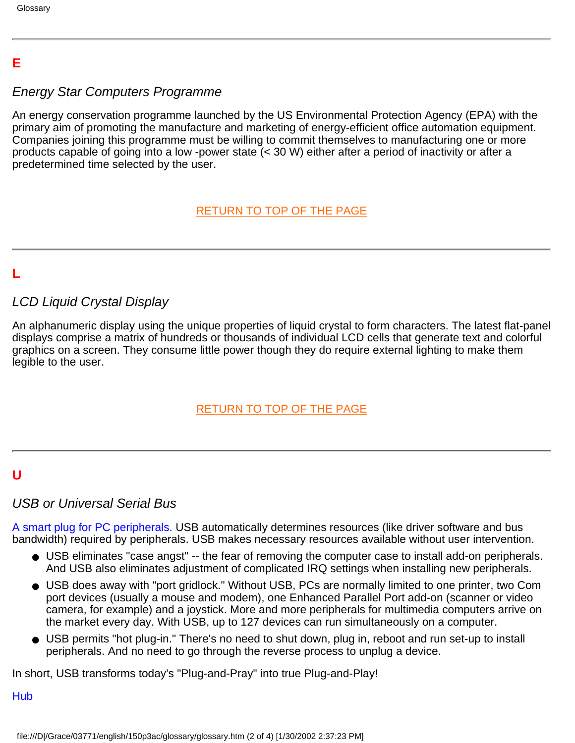# **E**

## *Energy Star Computers Programme*

An energy conservation programme launched by the US Environmental Protection Agency (EPA) with the primary aim of promoting the manufacture and marketing of energy-efficient office automation equipment. Companies joining this programme must be willing to commit themselves to manufacturing one or more products capable of going into a low -power state (< 30 W) either after a period of inactivity or after a predetermined time selected by the user.

### RETURN TO TOP OF THE PAGE

# **L**

## *LCD Liquid Crystal Display*

An alphanumeric display using the unique properties of liquid crystal to form characters. The latest flat-panel displays comprise a matrix of hundreds or thousands of individual LCD cells that generate text and colorful graphics on a screen. They consume little power though they do require external lighting to make them legible to the user.

## RETURN TO TOP OF THE PAGE

## **U**

#### *USB or Universal Serial Bus*

A smart plug for PC peripherals. USB automatically determines resources (like driver software and bus bandwidth) required by peripherals. USB makes necessary resources available without user intervention.

- USB eliminates "case angst" -- the fear of removing the computer case to install add-on peripherals. And USB also eliminates adjustment of complicated IRQ settings when installing new peripherals.
- USB does away with "port gridlock." Without USB, PCs are normally limited to one printer, two Com port devices (usually a mouse and modem), one Enhanced Parallel Port add-on (scanner or video camera, for example) and a joystick. More and more peripherals for multimedia computers arrive on the market every day. With USB, up to 127 devices can run simultaneously on a computer.
- USB permits "hot plug-in." There's no need to shut down, plug in, reboot and run set-up to install peripherals. And no need to go through the reverse process to unplug a device.

In short, USB transforms today's "Plug-and-Pray" into true Plug-and-Play!

Hub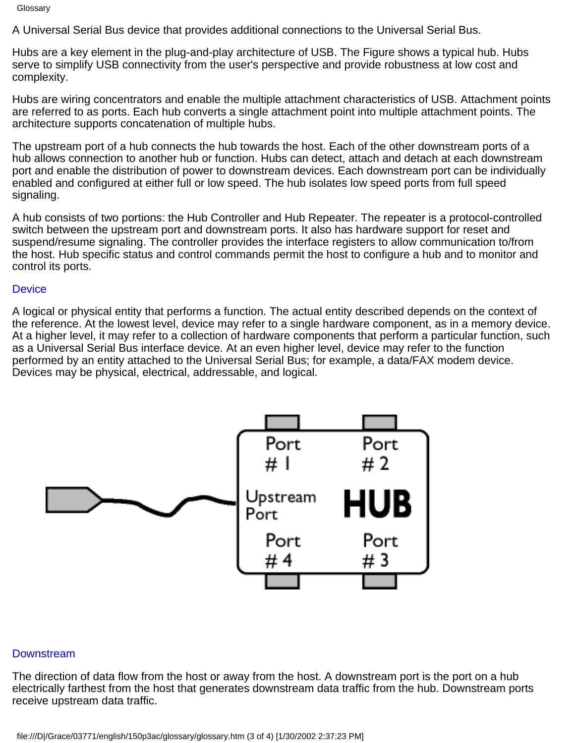Glossary

A Universal Serial Bus device that provides additional connections to the Universal Serial Bus.

Hubs are a key element in the plug-and-play architecture of USB. The Figure shows a typical hub. Hubs serve to simplify USB connectivity from the user's perspective and provide robustness at low cost and complexity.

Hubs are wiring concentrators and enable the multiple attachment characteristics of USB. Attachment points are referred to as ports. Each hub converts a single attachment point into multiple attachment points. The architecture supports concatenation of multiple hubs.

The upstream port of a hub connects the hub towards the host. Each of the other downstream ports of a hub allows connection to another hub or function. Hubs can detect, attach and detach at each downstream port and enable the distribution of power to downstream devices. Each downstream port can be individually enabled and configured at either full or low speed. The hub isolates low speed ports from full speed signaling.

A hub consists of two portions: the Hub Controller and Hub Repeater. The repeater is a protocol-controlled switch between the upstream port and downstream ports. It also has hardware support for reset and suspend/resume signaling. The controller provides the interface registers to allow communication to/from the host. Hub specific status and control commands permit the host to configure a hub and to monitor and control its ports.

#### **Device**

A logical or physical entity that performs a function. The actual entity described depends on the context of the reference. At the lowest level, device may refer to a single hardware component, as in a memory device. At a higher level, it may refer to a collection of hardware components that perform a particular function, such as a Universal Serial Bus interface device. At an even higher level, device may refer to the function performed by an entity attached to the Universal Serial Bus; for example, a data/FAX modem device. Devices may be physical, electrical, addressable, and logical.



#### **Downstream**

The direction of data flow from the host or away from the host. A downstream port is the port on a hub electrically farthest from the host that generates downstream data traffic from the hub. Downstream ports receive upstream data traffic.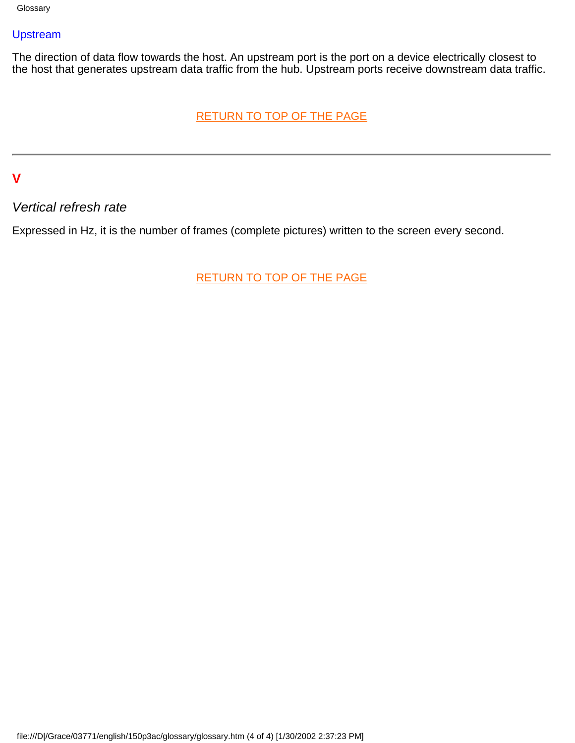### Upstream

The direction of data flow towards the host. An upstream port is the port on a device electrically closest to the host that generates upstream data traffic from the hub. Upstream ports receive downstream data traffic.

RETURN TO TOP OF THE PAGE

**V**

*Vertical refresh rate*

Expressed in Hz, it is the number of frames (complete pictures) written to the screen every second.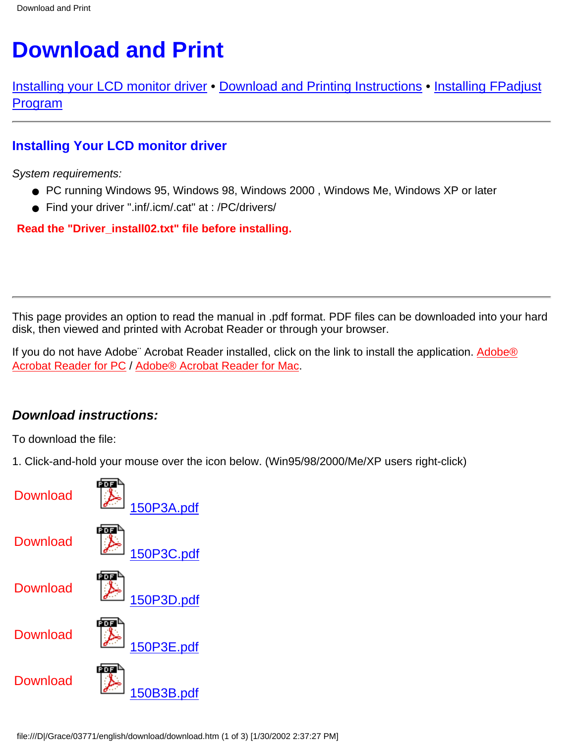# <span id="page-28-0"></span>**Download and Print**

Installing your LCD monitor driver • Download and Printing Instructions • Installing FPadjust Program

## **Installing Your LCD monitor driver**

*System requirements:*

- PC running Windows 95, Windows 98, Windows 2000, Windows Me, Windows XP or later
- Find your driver ".inf/.icm/.cat" at : /PC/drivers/

**Read the "Driver\_install02.txt" file before installing.**

This page provides an option to read the manual in .pdf format. PDF files can be downloaded into your hard disk, then viewed and printed with Acrobat Reader or through your browser.

If you do not have Adobe" Acrobat Reader installed, click on the link to install the application. [Adobe®](file:///D|/Grace/pc/acrobat/ar405eng.exe) [Acrobat Reader for PC](file:///D|/Grace/pc/acrobat/ar405eng.exe) / [Adobe® Acrobat Reader for Mac.](file:///D|/Grace/mac/acrobat/Reader%204.05%20Installer)

## *Download instructions:*

To download the file:

1. Click-and-hold your mouse over the icon below. (Win95/98/2000/Me/XP users right-click)

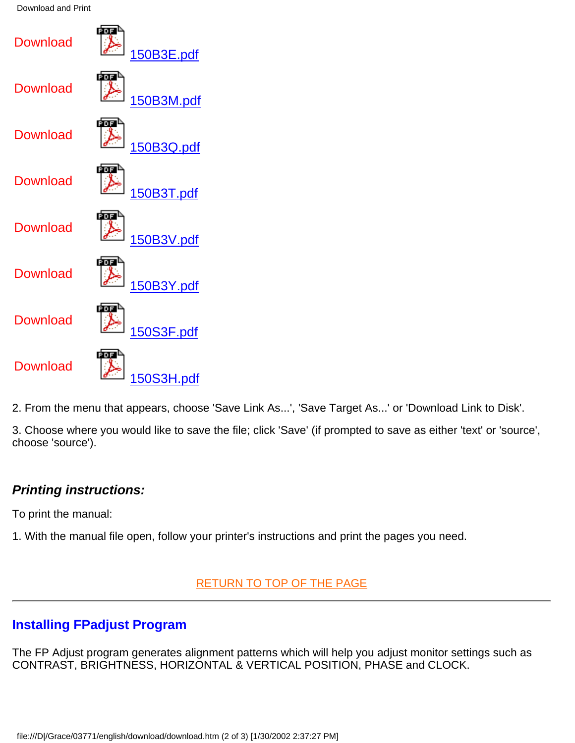Download and Print



2. From the menu that appears, choose 'Save Link As...', 'Save Target As...' or 'Download Link to Disk'.

3. Choose where you would like to save the file; click 'Save' (if prompted to save as either 'text' or 'source', choose 'source').

## *Printing instructions:*

To print the manual:

1. With the manual file open, follow your printer's instructions and print the pages you need.

## RETURN TO TOP OF THE PAGE

## **Installing FPadjust Program**

The FP Adjust program generates alignment patterns which will help you adjust monitor settings such as CONTRAST, BRIGHTNESS, HORIZONTAL & VERTICAL POSITION, PHASE and CLOCK.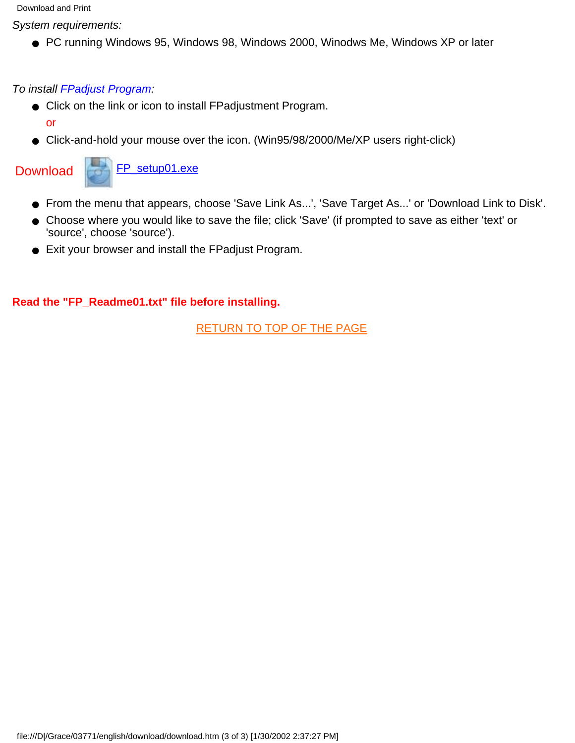#### Download and Print

*System requirements:*

● PC running Windows 95, Windows 98, Windows 2000, Winodws Me, Windows XP or later

## *To install FPadjust Program:*

● Click on the link or icon to install FPadjustment Program.

or

● Click-and-hold your mouse over the icon. (Win95/98/2000/Me/XP users right-click)



Download [FP\\_setup01.exe](file:///D|/Grace/pc/fpadjust/FP_setup01.exe)

- From the menu that appears, choose 'Save Link As...', 'Save Target As...' or 'Download Link to Disk'.
- Choose where you would like to save the file; click 'Save' (if prompted to save as either 'text' or 'source', choose 'source').
- Exit your browser and install the FPadjust Program.

## **Read the "FP\_Readme01.txt" file before installing.**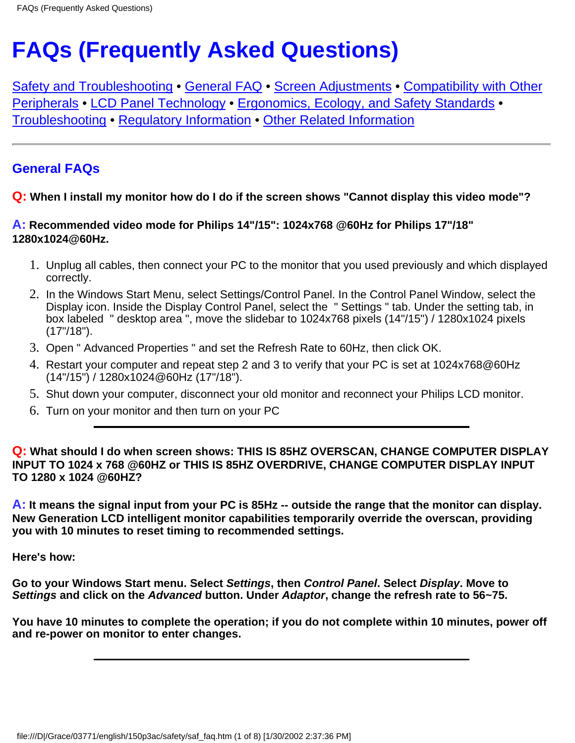# <span id="page-31-0"></span>**FAQs (Frequently Asked Questions)**

[Safety and Troubleshooting](#page-1-0) • General FAQ • Screen Adjustments • Compatibility with Other Peripherals • LCD Panel Technology • Ergonomics, Ecology, and Safety Standards • [Troubleshooting](#page-39-0) • [Regulatory Information](#page-42-0) • [Other Related Information](#page-52-0)

## **General FAQs**

**Q: When I install my monitor how do I do if the screen shows "Cannot display this video mode"?**

### **A: Recommended video mode for Philips 14"/15": 1024x768 @60Hz for Philips 17"/18" 1280x1024@60Hz.**

- 1. Unplug all cables, then connect your PC to the monitor that you used previously and which displayed correctly.
- 2. In the Windows Start Menu, select Settings/Control Panel. In the Control Panel Window, select the Display icon. Inside the Display Control Panel, select the " Settings " tab. Under the setting tab, in box labeled " desktop area ", move the slidebar to 1024x768 pixels (14"/15") / 1280x1024 pixels (17"/18").
- 3. Open " Advanced Properties " and set the Refresh Rate to 60Hz, then click OK.
- $4.$  Restart your computer and repeat step 2 and 3 to verify that your PC is set at 1024x768@60Hz (14"/15") / 1280x1024@60Hz (17"/18").
- 5. Shut down your computer, disconnect your old monitor and reconnect your Philips LCD monitor.
- 6. Turn on your monitor and then turn on your PC

**Q: What should I do when screen shows: THIS IS 85HZ OVERSCAN, CHANGE COMPUTER DISPLAY INPUT TO 1024 x 768 @60HZ or THIS IS 85HZ OVERDRIVE, CHANGE COMPUTER DISPLAY INPUT TO 1280 x 1024 @60HZ?**

**A: It means the signal input from your PC is 85Hz -- outside the range that the monitor can display. New Generation LCD intelligent monitor capabilities temporarily override the overscan, providing you with 10 minutes to reset timing to recommended settings.**

**Here's how:**

**Go to your Windows Start menu. Select** *Settings***, then** *Control Panel***. Select** *Display***. Move to** *Settings* **and click on the** *Advanced* **button. Under** *Adaptor***, change the refresh rate to 56~75.**

**You have 10 minutes to complete the operation; if you do not complete within 10 minutes, power off and re-power on monitor to enter changes.**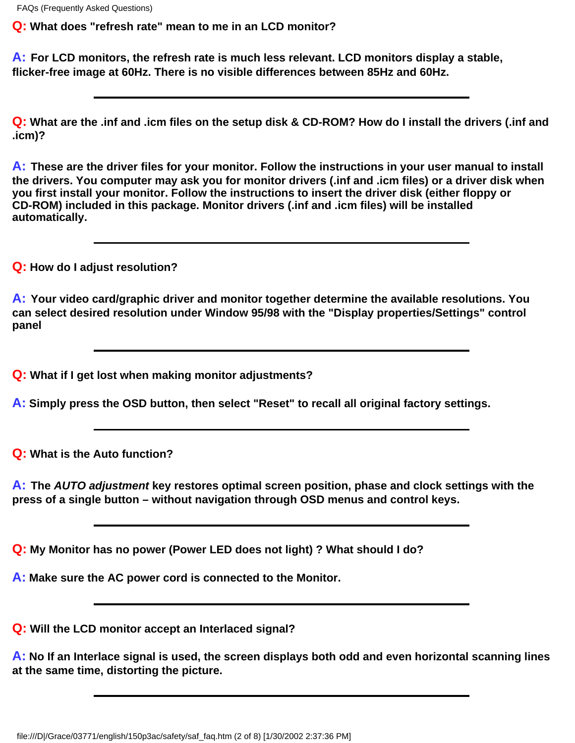FAQs (Frequently Asked Questions)

**Q: What does "refresh rate" mean to me in an LCD monitor?**

**A: For LCD monitors, the refresh rate is much less relevant. LCD monitors display a stable, flicker-free image at 60Hz. There is no visible differences between 85Hz and 60Hz.**

**Q: What are the .inf and .icm files on the setup disk & CD-ROM? How do I install the drivers (.inf and .icm)?**

**A: These are the driver files for your monitor. Follow the instructions in your user manual to install the drivers. You computer may ask you for monitor drivers (.inf and .icm files) or a driver disk when you first install your monitor. Follow the instructions to insert the driver disk (either floppy or CD-ROM) included in this package. Monitor drivers (.inf and .icm files) will be installed automatically.**

**Q: How do I adjust resolution?**

**A: Your video card/graphic driver and monitor together determine the available resolutions. You can select desired resolution under Window 95/98 with the "Display properties/Settings" control panel**

**Q: What if I get lost when making monitor adjustments?**

**A: Simply press the OSD button, then select "Reset" to recall all original factory settings.**

**Q: What is the Auto function?**

**A: The** *AUTO adjustment* **key restores optimal screen position, phase and clock settings with the press of a single button – without navigation through OSD menus and control keys.**

**Q: My Monitor has no power (Power LED does not light) ? What should I do?**

**A: Make sure the AC power cord is connected to the Monitor.**

**Q: Will the LCD monitor accept an Interlaced signal?**

**A: No If an Interlace signal is used, the screen displays both odd and even horizontal scanning lines at the same time, distorting the picture.**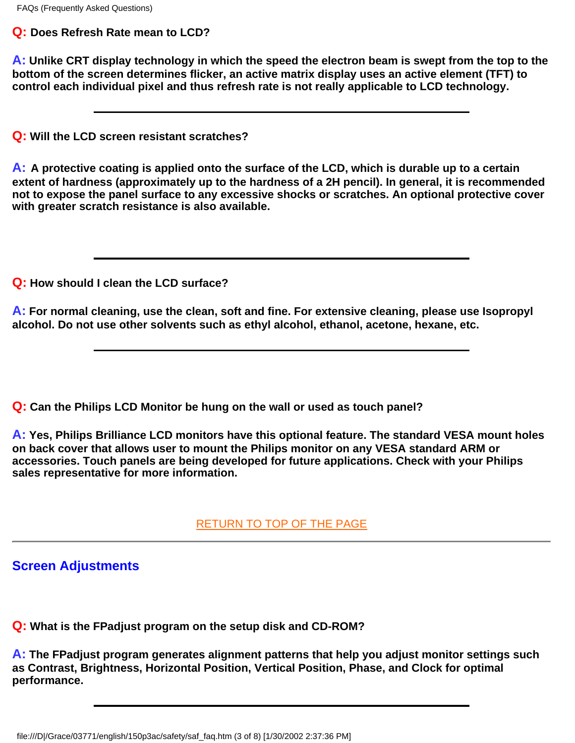**Q: Does Refresh Rate mean to LCD?**

**A: Unlike CRT display technology in which the speed the electron beam is swept from the top to the bottom of the screen determines flicker, an active matrix display uses an active element (TFT) to control each individual pixel and thus refresh rate is not really applicable to LCD technology.**

**Q: Will the LCD screen resistant scratches?**

**A: A protective coating is applied onto the surface of the LCD, which is durable up to a certain extent of hardness (approximately up to the hardness of a 2H pencil). In general, it is recommended not to expose the panel surface to any excessive shocks or scratches. An optional protective cover with greater scratch resistance is also available.**

**Q: How should I clean the LCD surface?**

**A: For normal cleaning, use the clean, soft and fine. For extensive cleaning, please use Isopropyl alcohol. Do not use other solvents such as ethyl alcohol, ethanol, acetone, hexane, etc.**

**Q: Can the Philips LCD Monitor be hung on the wall or used as touch panel?**

**A: Yes, Philips Brilliance LCD monitors have this optional feature. The standard VESA mount holes on back cover that allows user to mount the Philips monitor on any VESA standard ARM or accessories. Touch panels are being developed for future applications. Check with your Philips sales representative for more information.**

RETURN TO TOP OF THE PAGE

**Screen Adjustments**

**Q: What is the FPadjust program on the setup disk and CD-ROM?**

**A: The FPadjust program generates alignment patterns that help you adjust monitor settings such as Contrast, Brightness, Horizontal Position, Vertical Position, Phase, and Clock for optimal performance.**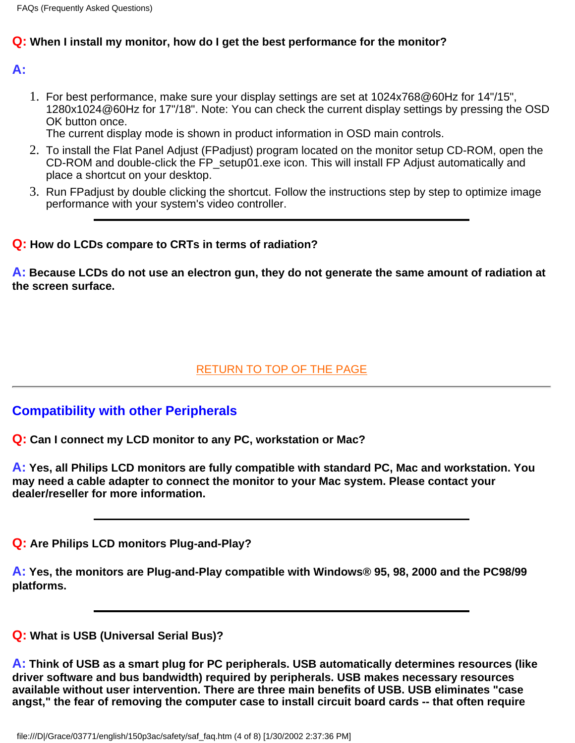## **Q: When I install my monitor, how do I get the best performance for the monitor?**

**A:**

For best performance, make sure your display settings are set at 1024x768@60Hz for 14"/15", 1. 1280x1024@60Hz for 17"/18". Note: You can check the current display settings by pressing the OSD OK button once.

The current display mode is shown in product information in OSD main controls.

- 2. To install the Flat Panel Adjust (FPadjust) program located on the monitor setup CD-ROM, open the CD-ROM and double-click the FP\_setup01.exe icon. This will install FP Adjust automatically and place a shortcut on your desktop.
- 3. Run FPadjust by double clicking the shortcut. Follow the instructions step by step to optimize image performance with your system's video controller.

## **Q: How do LCDs compare to CRTs in terms of radiation?**

**A: Because LCDs do not use an electron gun, they do not generate the same amount of radiation at the screen surface.**

# RETURN TO TOP OF THE PAGE

# **Compatibility with other Peripherals**

**Q: Can I connect my LCD monitor to any PC, workstation or Mac?**

**A: Yes, all Philips LCD monitors are fully compatible with standard PC, Mac and workstation. You may need a cable adapter to connect the monitor to your Mac system. Please contact your dealer/reseller for more information.**

**Q: Are Philips LCD monitors Plug-and-Play?**

**A: Yes, the monitors are Plug-and-Play compatible with Windows® 95, 98, 2000 and the PC98/99 platforms.**

**Q: What is USB (Universal Serial Bus)?**

**A: Think of USB as a smart plug for PC peripherals. USB automatically determines resources (like driver software and bus bandwidth) required by peripherals. USB makes necessary resources available without user intervention. There are three main benefits of USB. USB eliminates "case angst," the fear of removing the computer case to install circuit board cards -- that often require**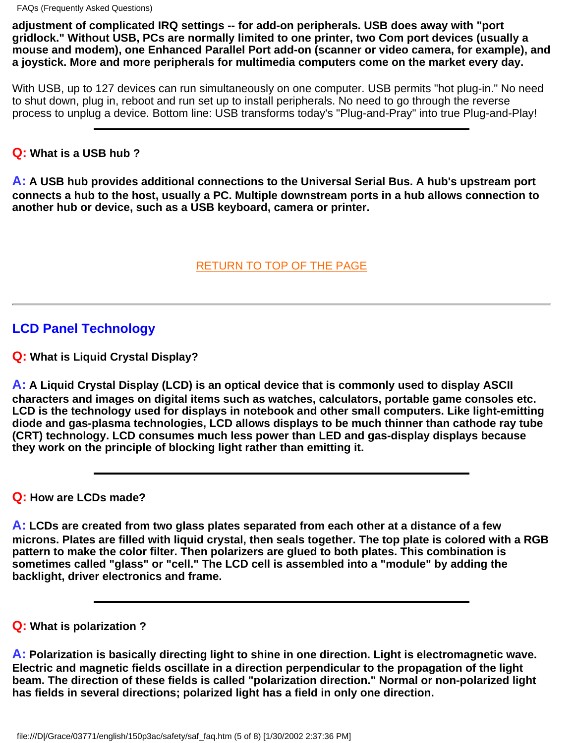FAQs (Frequently Asked Questions)

**adjustment of complicated IRQ settings -- for add-on peripherals. USB does away with "port gridlock." Without USB, PCs are normally limited to one printer, two Com port devices (usually a mouse and modem), one Enhanced Parallel Port add-on (scanner or video camera, for example), and a joystick. More and more peripherals for multimedia computers come on the market every day.**

With USB, up to 127 devices can run simultaneously on one computer. USB permits "hot plug-in." No need to shut down, plug in, reboot and run set up to install peripherals. No need to go through the reverse process to unplug a device. Bottom line: USB transforms today's "Plug-and-Pray" into true Plug-and-Play!

### **Q: What is a USB hub ?**

**A: A USB hub provides additional connections to the Universal Serial Bus. A hub's upstream port connects a hub to the host, usually a PC. Multiple downstream ports in a hub allows connection to another hub or device, such as a USB keyboard, camera or printer.**

### RETURN TO TOP OF THE PAGE

## **LCD Panel Technology**

**Q: What is Liquid Crystal Display?**

**A: A Liquid Crystal Display (LCD) is an optical device that is commonly used to display ASCII characters and images on digital items such as watches, calculators, portable game consoles etc. LCD is the technology used for displays in notebook and other small computers. Like light-emitting diode and gas-plasma technologies, LCD allows displays to be much thinner than cathode ray tube (CRT) technology. LCD consumes much less power than LED and gas-display displays because they work on the principle of blocking light rather than emitting it.**

**Q: How are LCDs made?**

**A: LCDs are created from two glass plates separated from each other at a distance of a few microns. Plates are filled with liquid crystal, then seals together. The top plate is colored with a RGB pattern to make the color filter. Then polarizers are glued to both plates. This combination is sometimes called "glass" or "cell." The LCD cell is assembled into a "module" by adding the backlight, driver electronics and frame.**

#### **Q: What is polarization ?**

**A: Polarization is basically directing light to shine in one direction. Light is electromagnetic wave. Electric and magnetic fields oscillate in a direction perpendicular to the propagation of the light beam. The direction of these fields is called "polarization direction." Normal or non-polarized light has fields in several directions; polarized light has a field in only one direction.**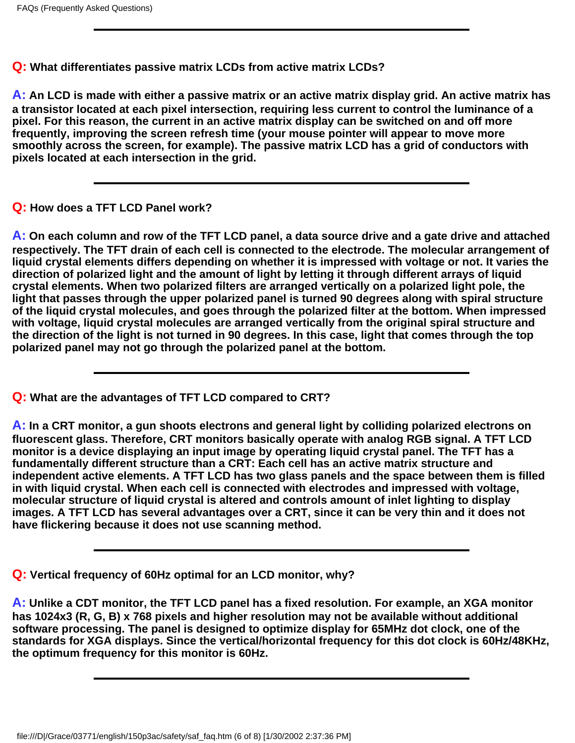**Q: What differentiates passive matrix LCDs from active matrix LCDs?**

**A: An LCD is made with either a passive matrix or an active matrix display grid. An active matrix has a transistor located at each pixel intersection, requiring less current to control the luminance of a pixel. For this reason, the current in an active matrix display can be switched on and off more frequently, improving the screen refresh time (your mouse pointer will appear to move more smoothly across the screen, for example). The passive matrix LCD has a grid of conductors with pixels located at each intersection in the grid.**

**Q: How does a TFT LCD Panel work?**

**A: On each column and row of the TFT LCD panel, a data source drive and a gate drive and attached respectively. The TFT drain of each cell is connected to the electrode. The molecular arrangement of liquid crystal elements differs depending on whether it is impressed with voltage or not. It varies the direction of polarized light and the amount of light by letting it through different arrays of liquid crystal elements. When two polarized filters are arranged vertically on a polarized light pole, the light that passes through the upper polarized panel is turned 90 degrees along with spiral structure of the liquid crystal molecules, and goes through the polarized filter at the bottom. When impressed with voltage, liquid crystal molecules are arranged vertically from the original spiral structure and the direction of the light is not turned in 90 degrees. In this case, light that comes through the top polarized panel may not go through the polarized panel at the bottom.**

**Q: What are the advantages of TFT LCD compared to CRT?**

**A: In a CRT monitor, a gun shoots electrons and general light by colliding polarized electrons on fluorescent glass. Therefore, CRT monitors basically operate with analog RGB signal. A TFT LCD monitor is a device displaying an input image by operating liquid crystal panel. The TFT has a fundamentally different structure than a CRT: Each cell has an active matrix structure and independent active elements. A TFT LCD has two glass panels and the space between them is filled in with liquid crystal. When each cell is connected with electrodes and impressed with voltage, molecular structure of liquid crystal is altered and controls amount of inlet lighting to display images. A TFT LCD has several advantages over a CRT, since it can be very thin and it does not have flickering because it does not use scanning method.**

**Q: Vertical frequency of 60Hz optimal for an LCD monitor, why?**

**A: Unlike a CDT monitor, the TFT LCD panel has a fixed resolution. For example, an XGA monitor has 1024x3 (R, G, B) x 768 pixels and higher resolution may not be available without additional software processing. The panel is designed to optimize display for 65MHz dot clock, one of the standards for XGA displays. Since the vertical/horizontal frequency for this dot clock is 60Hz/48KHz, the optimum frequency for this monitor is 60Hz.**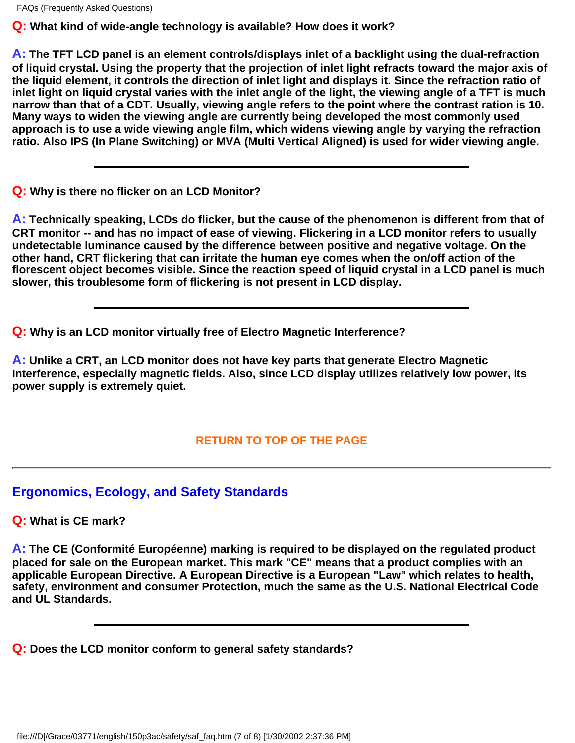FAQs (Frequently Asked Questions)

**Q: What kind of wide-angle technology is available? How does it work?**

**A: The TFT LCD panel is an element controls/displays inlet of a backlight using the dual-refraction of liquid crystal. Using the property that the projection of inlet light refracts toward the major axis of the liquid element, it controls the direction of inlet light and displays it. Since the refraction ratio of inlet light on liquid crystal varies with the inlet angle of the light, the viewing angle of a TFT is much narrow than that of a CDT. Usually, viewing angle refers to the point where the contrast ration is 10. Many ways to widen the viewing angle are currently being developed the most commonly used approach is to use a wide viewing angle film, which widens viewing angle by varying the refraction ratio. Also IPS (In Plane Switching) or MVA (Multi Vertical Aligned) is used for wider viewing angle.**

**Q: Why is there no flicker on an LCD Monitor?**

**A: Technically speaking, LCDs do flicker, but the cause of the phenomenon is different from that of CRT monitor -- and has no impact of ease of viewing. Flickering in a LCD monitor refers to usually undetectable luminance caused by the difference between positive and negative voltage. On the other hand, CRT flickering that can irritate the human eye comes when the on/off action of the florescent object becomes visible. Since the reaction speed of liquid crystal in a LCD panel is much slower, this troublesome form of flickering is not present in LCD display.**

**Q: Why is an LCD monitor virtually free of Electro Magnetic Interference?**

**A: Unlike a CRT, an LCD monitor does not have key parts that generate Electro Magnetic Interference, especially magnetic fields. Also, since LCD display utilizes relatively low power, its power supply is extremely quiet.**

**RETURN TO TOP OF THE PAGE**

# **Ergonomics, Ecology, and Safety Standards**

**Q: What is CE mark?**

**A: The CE (Conformité Européenne) marking is required to be displayed on the regulated product placed for sale on the European market. This mark "CE" means that a product complies with an applicable European Directive. A European Directive is a European "Law" which relates to health, safety, environment and consumer Protection, much the same as the U.S. National Electrical Code and UL Standards.**

**Q: Does the LCD monitor conform to general safety standards?**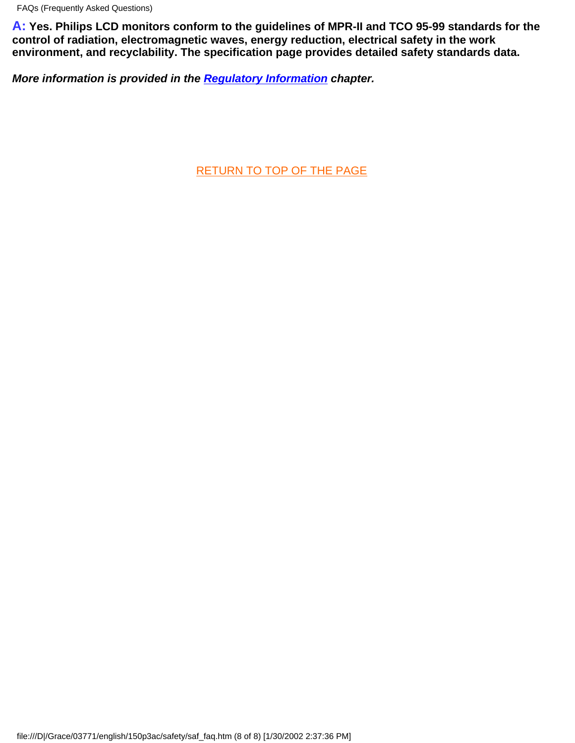**A: Yes. Philips LCD monitors conform to the guidelines of MPR-II and TCO 95-99 standards for the control of radiation, electromagnetic waves, energy reduction, electrical safety in the work environment, and recyclability. The specification page provides detailed safety standards data.**

*More information is provided in the [Regulatory Information](#page-42-0) chapter.*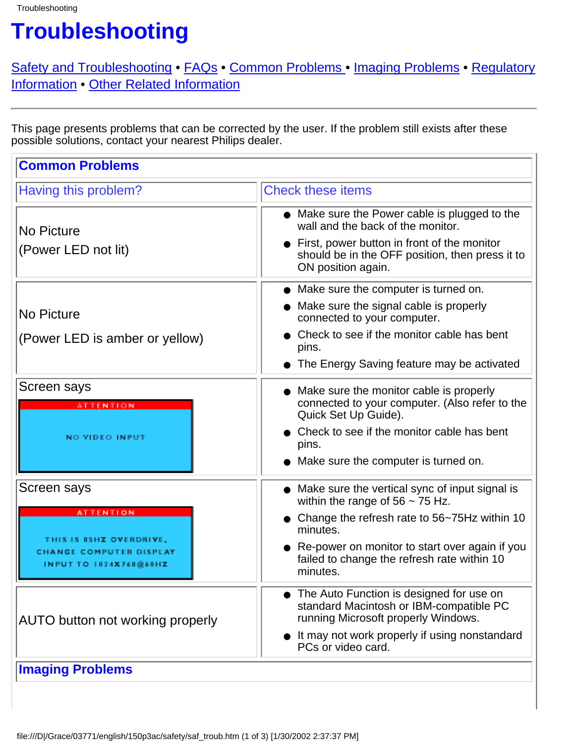# <span id="page-39-3"></span><span id="page-39-2"></span>**Troubleshooting**

# [Safety and Troubleshooting](#page-1-0) • [FAQs](#page-31-0) • [Common Problems](#page-39-0) • [Imaging Problems](#page-39-1) • [Regulatory](#page-42-0) [Information](#page-42-0) • [Other Related Information](#page-52-0)

This page presents problems that can be corrected by the user. If the problem still exists after these possible solutions, contact your nearest Philips dealer.

<span id="page-39-1"></span><span id="page-39-0"></span>

| <b>Common Problems</b>                                                                                          |                                                                                                                                                                                                                                                                 |  |
|-----------------------------------------------------------------------------------------------------------------|-----------------------------------------------------------------------------------------------------------------------------------------------------------------------------------------------------------------------------------------------------------------|--|
| Having this problem?                                                                                            | <b>Check these items</b>                                                                                                                                                                                                                                        |  |
| No Picture<br>(Power LED not lit)                                                                               | • Make sure the Power cable is plugged to the<br>wall and the back of the monitor.<br>First, power button in front of the monitor<br>should be in the OFF position, then press it to<br>ON position again.                                                      |  |
| No Picture<br>(Power LED is amber or yellow)                                                                    | • Make sure the computer is turned on.<br>Make sure the signal cable is properly<br>connected to your computer.<br>Check to see if the monitor cable has bent<br>pins.<br>• The Energy Saving feature may be activated                                          |  |
| Screen says<br><b>ATTENTION</b><br><b>NO VIDEO INPUT</b>                                                        | • Make sure the monitor cable is properly<br>connected to your computer. (Also refer to the<br>Quick Set Up Guide).<br>Check to see if the monitor cable has bent<br>pins.<br>Make sure the computer is turned on.                                              |  |
| Screen says<br><b>ATTENTION</b><br>THIS IS 85HZ OVERDRIVE,<br>CHANGE COMPUTER DISPLAY<br>INPUT TO 1024X768@60HZ | Make sure the vertical sync of input signal is<br>within the range of $56 \sim 75$ Hz.<br>Change the refresh rate to 56~75Hz within 10<br>minutes.<br>Re-power on monitor to start over again if you<br>failed to change the refresh rate within 10<br>minutes. |  |
| AUTO button not working properly                                                                                | The Auto Function is designed for use on<br>standard Macintosh or IBM-compatible PC<br>running Microsoft properly Windows.<br>It may not work properly if using nonstandard<br>PCs or video card.                                                               |  |
| <b>Imaging Problems</b>                                                                                         |                                                                                                                                                                                                                                                                 |  |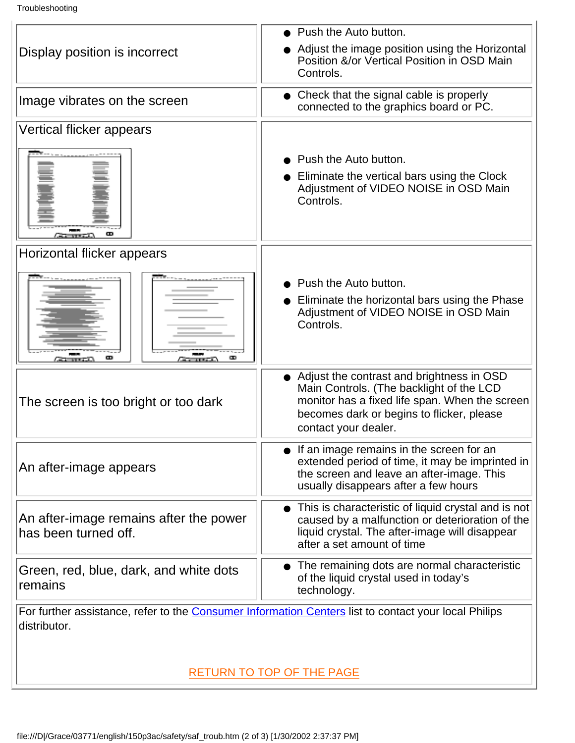Troubleshooting

|                                                                | Push the Auto button.                                                                                                                                                                                        |
|----------------------------------------------------------------|--------------------------------------------------------------------------------------------------------------------------------------------------------------------------------------------------------------|
| Display position is incorrect                                  | Adjust the image position using the Horizontal<br>Position &/or Vertical Position in OSD Main<br>Controls.                                                                                                   |
| Image vibrates on the screen                                   | Check that the signal cable is properly<br>connected to the graphics board or PC.                                                                                                                            |
| Vertical flicker appears                                       |                                                                                                                                                                                                              |
|                                                                | Push the Auto button.<br>Eliminate the vertical bars using the Clock<br>Adjustment of VIDEO NOISE in OSD Main<br>Controls.                                                                                   |
| Horizontal flicker appears                                     |                                                                                                                                                                                                              |
|                                                                | Push the Auto button.<br>Eliminate the horizontal bars using the Phase<br>Adjustment of VIDEO NOISE in OSD Main<br>Controls.                                                                                 |
| The screen is too bright or too dark                           | Adjust the contrast and brightness in OSD<br>Main Controls. (The backlight of the LCD<br>monitor has a fixed life span. When the screen<br>becomes dark or begins to flicker, please<br>contact your dealer. |
| An after-image appears                                         | If an image remains in the screen for an<br>extended period of time, it may be imprinted in<br>the screen and leave an after-image. This<br>usually disappears after a few hours                             |
| An after-image remains after the power<br>has been turned off. | This is characteristic of liquid crystal and is not<br>caused by a malfunction or deterioration of the<br>liquid crystal. The after-image will disappear<br>after a set amount of time                       |
| Green, red, blue, dark, and white dots<br>remains              | The remaining dots are normal characteristic<br>of the liquid crystal used in today's<br>technology.                                                                                                         |
| distributor.                                                   | For further assistance, refer to the Consumer Information Centers list to contact your local Philips                                                                                                         |
|                                                                |                                                                                                                                                                                                              |
|                                                                | RETURN TO TOP OF THE PAGE                                                                                                                                                                                    |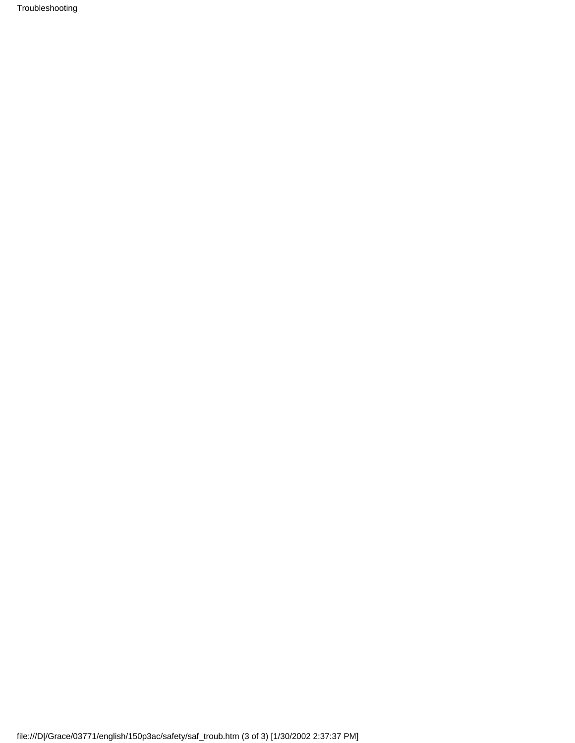Troubleshooting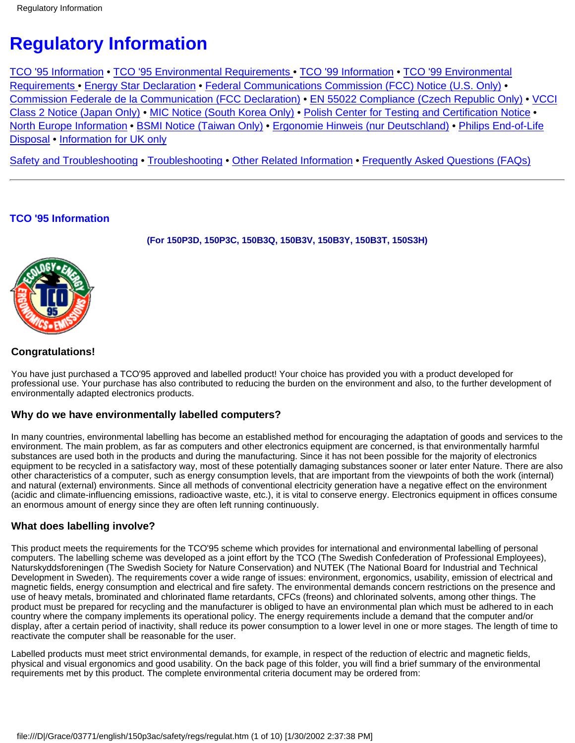<span id="page-42-2"></span><span id="page-42-0"></span>[TCO '95 Information](#page-42-1) • [TCO '95 Environmental Requirements](#page-43-0) • [TCO '99 Information](#page-44-0) • [TCO '99 Environmental](#page-44-1) [Requirements](#page-44-1) • [Energy Star Declaration](#page-45-0) • [Federal Communications Commission \(FCC\) Notice \(U.S. Only\)](#page-46-0) • [Commission Federale de la Communication \(FCC Declaration\)](#page-46-1) • [EN 55022 Compliance \(Czech Republic Only\)](#page-47-0) • [VCCI](#page-47-1) [Class 2 Notice \(Japan Only\)](#page-47-1) • [MIC Notice \(South Korea Only\)](#page-47-2) • [Polish Center for Testing and Certification Notice](#page-48-0) • [North Europe Information](#page-49-0) • [BSMI Notice \(Taiwan Only\)](#page-49-1) • [Ergonomie Hinweis \(nur Deutschland\)](#page-49-2) • [Philips End-of-Life](#page-50-0) [Disposal](#page-50-0) • [Information for UK only](#page-50-1)

[Safety and Troubleshooting](#page-1-0) • [Troubleshooting](#page-39-3) • [Other Related Information](#page-52-0) • [Frequently Asked Questions \(FAQs\)](#page-31-0)

## <span id="page-42-1"></span>**TCO '95 Information**

**(For 150P3D, 150P3C, 150B3Q, 150B3V, 150B3Y, 150B3T, 150S3H)**



## **Congratulations!**

You have just purchased a TCO'95 approved and labelled product! Your choice has provided you with a product developed for professional use. Your purchase has also contributed to reducing the burden on the environment and also, to the further development of environmentally adapted electronics products.

### **Why do we have environmentally labelled computers?**

In many countries, environmental labelling has become an established method for encouraging the adaptation of goods and services to the environment. The main problem, as far as computers and other electronics equipment are concerned, is that environmentally harmful substances are used both in the products and during the manufacturing. Since it has not been possible for the majority of electronics equipment to be recycled in a satisfactory way, most of these potentially damaging substances sooner or later enter Nature. There are also other characteristics of a computer, such as energy consumption levels, that are important from the viewpoints of both the work (internal) and natural (external) environments. Since all methods of conventional electricity generation have a negative effect on the environment (acidic and climate-influencing emissions, radioactive waste, etc.), it is vital to conserve energy. Electronics equipment in offices consume an enormous amount of energy since they are often left running continuously.

## **What does labelling involve?**

This product meets the requirements for the TCO'95 scheme which provides for international and environmental labelling of personal computers. The labelling scheme was developed as a joint effort by the TCO (The Swedish Confederation of Professional Employees), Naturskyddsforeningen (The Swedish Society for Nature Conservation) and NUTEK (The National Board for Industrial and Technical Development in Sweden). The requirements cover a wide range of issues: environment, ergonomics, usability, emission of electrical and magnetic fields, energy consumption and electrical and fire safety. The environmental demands concern restrictions on the presence and use of heavy metals, brominated and chlorinated flame retardants, CFCs (freons) and chlorinated solvents, among other things. The product must be prepared for recycling and the manufacturer is obliged to have an environmental plan which must be adhered to in each country where the company implements its operational policy. The energy requirements include a demand that the computer and/or display, after a certain period of inactivity, shall reduce its power consumption to a lower level in one or more stages. The length of time to reactivate the computer shall be reasonable for the user.

Labelled products must meet strict environmental demands, for example, in respect of the reduction of electric and magnetic fields, physical and visual ergonomics and good usability. On the back page of this folder, you will find a brief summary of the environmental requirements met by this product. The complete environmental criteria document may be ordered from: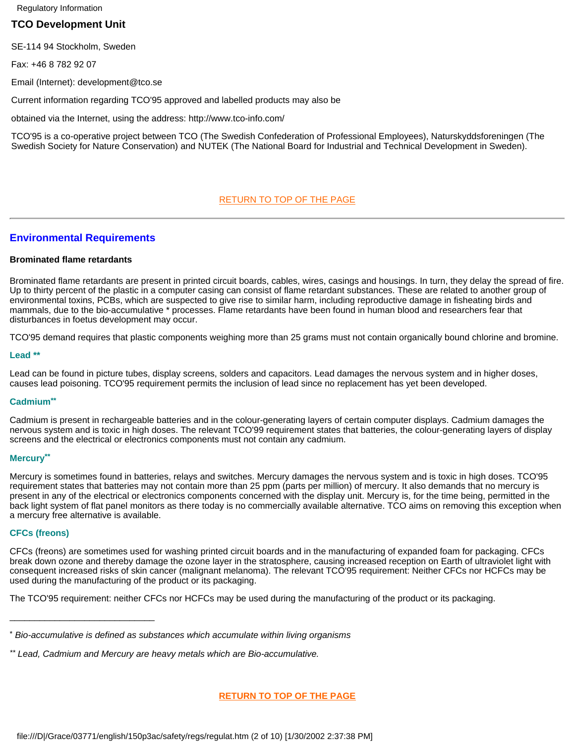## **TCO Development Unit**

SE-114 94 Stockholm, Sweden

Fax: +46 8 782 92 07

Email (Internet): development@tco.se

Current information regarding TCO'95 approved and labelled products may also be

obtained via the Internet, using the address: http://www.tco-info.com/

TCO'95 is a co-operative project between TCO (The Swedish Confederation of Professional Employees), Naturskyddsforeningen (The Swedish Society for Nature Conservation) and NUTEK (The National Board for Industrial and Technical Development in Sweden).

## [RETURN TO TOP OF THE PAGE](#page-42-2)

## <span id="page-43-0"></span>**Environmental Requirements**

#### **Brominated flame retardants**

Brominated flame retardants are present in printed circuit boards, cables, wires, casings and housings. In turn, they delay the spread of fire. Up to thirty percent of the plastic in a computer casing can consist of flame retardant substances. These are related to another group of environmental toxins, PCBs, which are suspected to give rise to similar harm, including reproductive damage in fisheating birds and mammals, due to the bio-accumulative \* processes. Flame retardants have been found in human blood and researchers fear that disturbances in foetus development may occur.

TCO'95 demand requires that plastic components weighing more than 25 grams must not contain organically bound chlorine and bromine.

#### **Lead \*\***

Lead can be found in picture tubes, display screens, solders and capacitors. Lead damages the nervous system and in higher doses, causes lead poisoning. TCO'95 requirement permits the inclusion of lead since no replacement has yet been developed.

#### **Cadmium\*\***

Cadmium is present in rechargeable batteries and in the colour-generating layers of certain computer displays. Cadmium damages the nervous system and is toxic in high doses. The relevant TCO'99 requirement states that batteries, the colour-generating layers of display screens and the electrical or electronics components must not contain any cadmium.

#### **Mercury\*\***

Mercury is sometimes found in batteries, relays and switches. Mercury damages the nervous system and is toxic in high doses. TCO'95 requirement states that batteries may not contain more than 25 ppm (parts per million) of mercury. It also demands that no mercury is present in any of the electrical or electronics components concerned with the display unit. Mercury is, for the time being, permitted in the back light system of flat panel monitors as there today is no commercially available alternative. TCO aims on removing this exception when a mercury free alternative is available.

#### **CFCs (freons)**

\_\_\_\_\_\_\_\_\_\_\_\_\_\_\_\_\_\_\_\_\_\_\_\_\_\_\_\_\_

CFCs (freons) are sometimes used for washing printed circuit boards and in the manufacturing of expanded foam for packaging. CFCs break down ozone and thereby damage the ozone layer in the stratosphere, causing increased reception on Earth of ultraviolet light with consequent increased risks of skin cancer (malignant melanoma). The relevant TCO'95 requirement: Neither CFCs nor HCFCs may be used during the manufacturing of the product or its packaging.

The TCO'95 requirement: neither CFCs nor HCFCs may be used during the manufacturing of the product or its packaging.

<sup>\*</sup> *Bio-accumulative is defined as substances which accumulate within living organisms*

*<sup>\*\*</sup> Lead, Cadmium and Mercury are heavy metals which are Bio-accumulative.*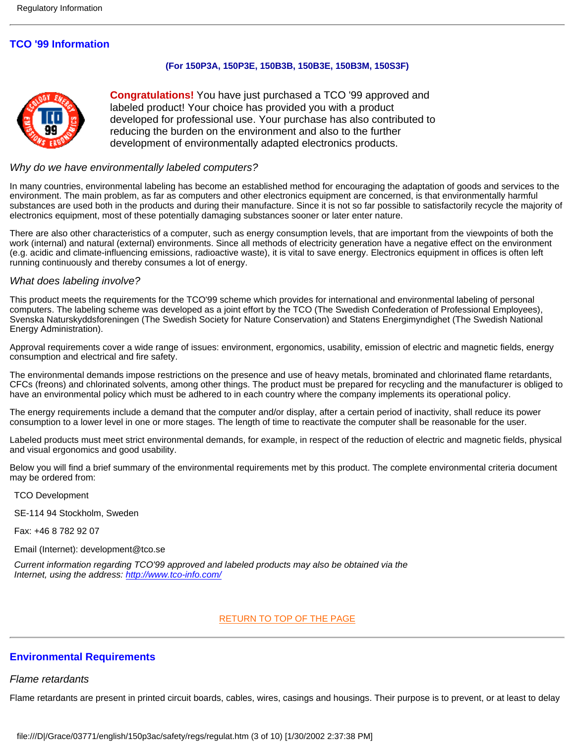## <span id="page-44-0"></span>**TCO '99 Information**

#### **(For 150P3A, 150P3E, 150B3B, 150B3E, 150B3M, 150S3F)**



**Congratulations!** You have just purchased a TCO '99 approved and labeled product! Your choice has provided you with a product developed for professional use. Your purchase has also contributed to reducing the burden on the environment and also to the further development of environmentally adapted electronics products.

#### *Why do we have environmentally labeled computers?*

In many countries, environmental labeling has become an established method for encouraging the adaptation of goods and services to the environment. The main problem, as far as computers and other electronics equipment are concerned, is that environmentally harmful substances are used both in the products and during their manufacture. Since it is not so far possible to satisfactorily recycle the majority of electronics equipment, most of these potentially damaging substances sooner or later enter nature.

There are also other characteristics of a computer, such as energy consumption levels, that are important from the viewpoints of both the work (internal) and natural (external) environments. Since all methods of electricity generation have a negative effect on the environment (e.g. acidic and climate-influencing emissions, radioactive waste), it is vital to save energy. Electronics equipment in offices is often left running continuously and thereby consumes a lot of energy.

#### *What does labeling involve?*

This product meets the requirements for the TCO'99 scheme which provides for international and environmental labeling of personal computers. The labeling scheme was developed as a joint effort by the TCO (The Swedish Confederation of Professional Employees), Svenska Naturskyddsforeningen (The Swedish Society for Nature Conservation) and Statens Energimyndighet (The Swedish National Energy Administration).

Approval requirements cover a wide range of issues: environment, ergonomics, usability, emission of electric and magnetic fields, energy consumption and electrical and fire safety.

The environmental demands impose restrictions on the presence and use of heavy metals, brominated and chlorinated flame retardants, CFCs (freons) and chlorinated solvents, among other things. The product must be prepared for recycling and the manufacturer is obliged to have an environmental policy which must be adhered to in each country where the company implements its operational policy.

The energy requirements include a demand that the computer and/or display, after a certain period of inactivity, shall reduce its power consumption to a lower level in one or more stages. The length of time to reactivate the computer shall be reasonable for the user.

Labeled products must meet strict environmental demands, for example, in respect of the reduction of electric and magnetic fields, physical and visual ergonomics and good usability.

Below you will find a brief summary of the environmental requirements met by this product. The complete environmental criteria document may be ordered from:

TCO Development

SE-114 94 Stockholm, Sweden

Fax: +46 8 782 92 07

Email (Internet): development@tco.se

*Current information regarding TCO'99 approved and labeled products may also be obtained via the Internet, using the address: <http://www.tco-info.com/>*

#### [RETURN TO TOP OF THE PAGE](#page-42-2)

### <span id="page-44-1"></span>**Environmental Requirements**

#### *Flame retardants*

Flame retardants are present in printed circuit boards, cables, wires, casings and housings. Their purpose is to prevent, or at least to delay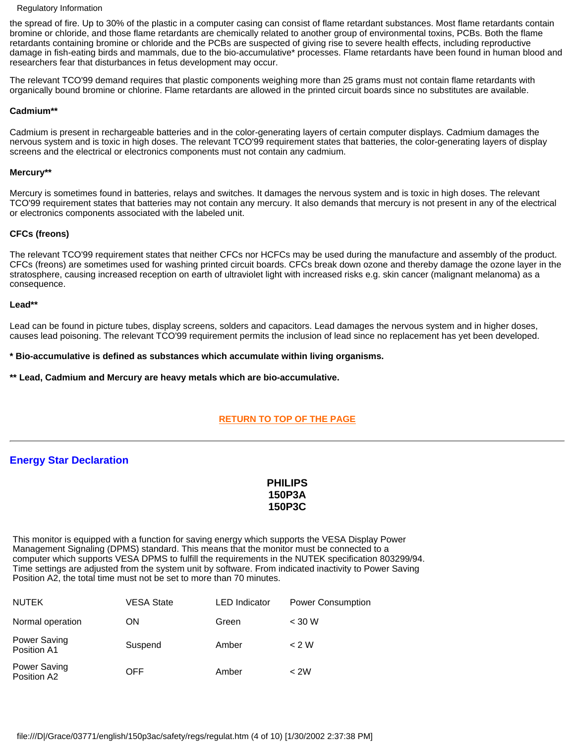the spread of fire. Up to 30% of the plastic in a computer casing can consist of flame retardant substances. Most flame retardants contain bromine or chloride, and those flame retardants are chemically related to another group of environmental toxins, PCBs. Both the flame retardants containing bromine or chloride and the PCBs are suspected of giving rise to severe health effects, including reproductive damage in fish-eating birds and mammals, due to the bio-accumulative\* processes. Flame retardants have been found in human blood and researchers fear that disturbances in fetus development may occur.

The relevant TCO'99 demand requires that plastic components weighing more than 25 grams must not contain flame retardants with organically bound bromine or chlorine. Flame retardants are allowed in the printed circuit boards since no substitutes are available.

#### **Cadmium\*\***

Cadmium is present in rechargeable batteries and in the color-generating layers of certain computer displays. Cadmium damages the nervous system and is toxic in high doses. The relevant TCO'99 requirement states that batteries, the color-generating layers of display screens and the electrical or electronics components must not contain any cadmium.

#### **Mercury\*\***

Mercury is sometimes found in batteries, relays and switches. It damages the nervous system and is toxic in high doses. The relevant TCO'99 requirement states that batteries may not contain any mercury. It also demands that mercury is not present in any of the electrical or electronics components associated with the labeled unit.

#### **CFCs (freons)**

The relevant TCO'99 requirement states that neither CFCs nor HCFCs may be used during the manufacture and assembly of the product. CFCs (freons) are sometimes used for washing printed circuit boards. CFCs break down ozone and thereby damage the ozone layer in the stratosphere, causing increased reception on earth of ultraviolet light with increased risks e.g. skin cancer (malignant melanoma) as a consequence.

#### **Lead\*\***

Lead can be found in picture tubes, display screens, solders and capacitors. Lead damages the nervous system and in higher doses, causes lead poisoning. The relevant TCO'99 requirement permits the inclusion of lead since no replacement has yet been developed.

#### **\* Bio-accumulative is defined as substances which accumulate within living organisms.**

**\*\* Lead, Cadmium and Mercury are heavy metals which are bio-accumulative.**

### **[RETURN TO TOP OF THE PAGE](#page-42-2)**

## <span id="page-45-0"></span>**Energy Star Declaration**

### **PHILIPS 150P3A 150P3C**

This monitor is equipped with a function for saving energy which supports the VESA Display Power Management Signaling (DPMS) standard. This means that the monitor must be connected to a computer which supports VESA DPMS to fulfill the requirements in the NUTEK specification 803299/94. Time settings are adjusted from the system unit by software. From indicated inactivity to Power Saving Position A2, the total time must not be set to more than 70 minutes.

| <b>NUTEK</b>                       | VESA State | <b>LED</b> Indicator | <b>Power Consumption</b> |
|------------------------------------|------------|----------------------|--------------------------|
| Normal operation                   | ON         | Green                | $<$ 30 W                 |
| <b>Power Saving</b><br>Position A1 | Suspend    | Amber                | < 2 W                    |
| <b>Power Saving</b><br>Position A2 | OFF        | Amber                | $~<$ 2W                  |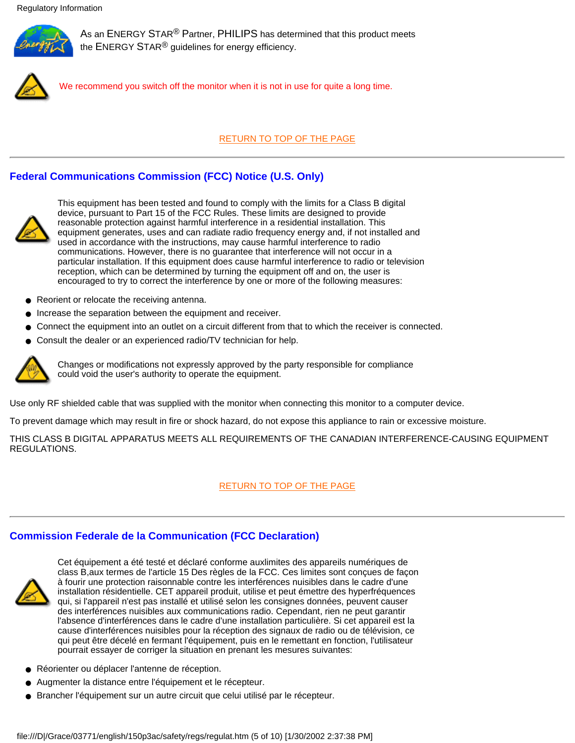

As an ENERGY STAR<sup>®</sup> Partner, PHILIPS has determined that this product meets the ENERGY STAR<sup>®</sup> guidelines for energy efficiency.

We recommend you switch off the monitor when it is not in use for quite a long time.

[RETURN TO TOP OF THE PAGE](#page-42-2)

## <span id="page-46-0"></span>**Federal Communications Commission (FCC) Notice (U.S. Only)**



This equipment has been tested and found to comply with the limits for a Class B digital device, pursuant to Part 15 of the FCC Rules. These limits are designed to provide reasonable protection against harmful interference in a residential installation. This equipment generates, uses and can radiate radio frequency energy and, if not installed and used in accordance with the instructions, may cause harmful interference to radio communications. However, there is no guarantee that interference will not occur in a particular installation. If this equipment does cause harmful interference to radio or television reception, which can be determined by turning the equipment off and on, the user is encouraged to try to correct the interference by one or more of the following measures:

- Reorient or relocate the receiving antenna.
- Increase the separation between the equipment and receiver.
- Connect the equipment into an outlet on a circuit different from that to which the receiver is connected.
- Consult the dealer or an experienced radio/TV technician for help.



Changes or modifications not expressly approved by the party responsible for compliance could void the user's authority to operate the equipment.

Use only RF shielded cable that was supplied with the monitor when connecting this monitor to a computer device.

To prevent damage which may result in fire or shock hazard, do not expose this appliance to rain or excessive moisture.

THIS CLASS B DIGITAL APPARATUS MEETS ALL REQUIREMENTS OF THE CANADIAN INTERFERENCE-CAUSING EQUIPMENT REGULATIONS.

[RETURN TO TOP OF THE PAGE](#page-42-2)

# <span id="page-46-1"></span>**Commission Federale de la Communication (FCC Declaration)**



Cet équipement a été testé et déclaré conforme auxlimites des appareils numériques de class B,aux termes de l'article 15 Des règles de la FCC. Ces limites sont conçues de façon à fourir une protection raisonnable contre les interférences nuisibles dans le cadre d'une installation résidentielle. CET appareil produit, utilise et peut émettre des hyperfréquences qui, si l'appareil n'est pas installé et utilisé selon les consignes données, peuvent causer des interférences nuisibles aux communications radio. Cependant, rien ne peut garantir l'absence d'interférences dans le cadre d'une installation particulière. Si cet appareil est la cause d'interférences nuisibles pour la réception des signaux de radio ou de télévision, ce qui peut être décelé en fermant l'équipement, puis en le remettant en fonction, l'utilisateur pourrait essayer de corriger la situation en prenant les mesures suivantes:

- Réorienter ou déplacer l'antenne de réception.
- Augmenter la distance entre l'équipement et le récepteur.
- Brancher l'équipement sur un autre circuit que celui utilisé par le récepteur.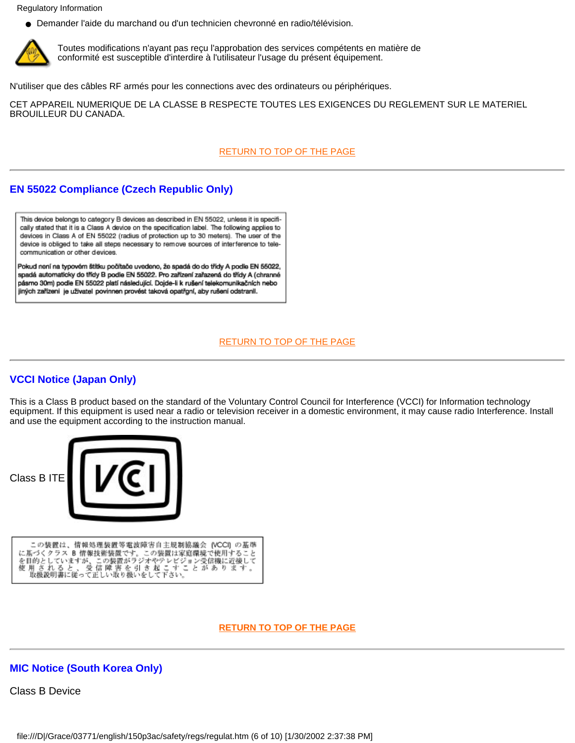● Demander l'aide du marchand ou d'un technicien chevronné en radio/télévision.



Toutes modifications n'ayant pas reçu l'approbation des services compétents en matière de conformité est susceptible d'interdire à l'utilisateur l'usage du présent équipement.

N'utiliser que des câbles RF armés pour les connections avec des ordinateurs ou périphériques.

CET APPAREIL NUMERIQUE DE LA CLASSE B RESPECTE TOUTES LES EXIGENCES DU REGLEMENT SUR LE MATERIEL BROUILLEUR DU CANADA.

[RETURN TO TOP OF THE PAGE](#page-42-2)

## <span id="page-47-0"></span>**EN 55022 Compliance (Czech Republic Only)**

This device belongs to category B devices as described in EN 55022, unless it is specifically stated that it is a Class A device on the specification label. The following applies to devices in Class A of EN 55022 (radius of protection up to 30 meters). The user of the device is obliged to take all steps necessary to remove sources of interference to telecommunication or other devices.

Pokud není na typovém štítku počítače uvedeno, že spadá do do třídy A podle EN 55022, spadá automaticky do třídy B podle EN 55022. Pro zařízení zařazená do třídy A (chranné pásmo 30m) podle EN 55022 platí následující. Dojde-li k rušení telekomunikačních nebo jiných zařízení je uživatel povinnen provést taková opatřgní, aby rušení odstranil.

#### [RETURN TO TOP OF THE PAGE](#page-42-2)

## <span id="page-47-1"></span>**VCCI Notice (Japan Only)**

This is a Class B product based on the standard of the Voluntary Control Council for Interference (VCCI) for Information technology equipment. If this equipment is used near a radio or television receiver in a domestic environment, it may cause radio Interference. Install and use the equipment according to the instruction manual.



# この装置は、情報処理装置等電波障害自主規制協議会 [VCCI] の基準 **この姿には、旧野の建会費をする際においる意は家庭環境で使用することを目的としていますが、この装置がラジオやテレビジョン受信機に近後してきます。その時に、この装置は家庭環境で使用することを目的としています。**<br>その他の人々にする、この装置がラジオやテレビジョン受信機に近接して<br>使用されると、受信障害を引き起こすことがあります。<br>取扱説明書に従って正しい取り扱いをして下さい。

#### **[RETURN TO TOP OF THE PAGE](#page-42-2)**

## <span id="page-47-2"></span>**MIC Notice (South Korea Only)**

Class B Device

file:///D|/Grace/03771/english/150p3ac/safety/regs/regulat.htm (6 of 10) [1/30/2002 2:37:38 PM]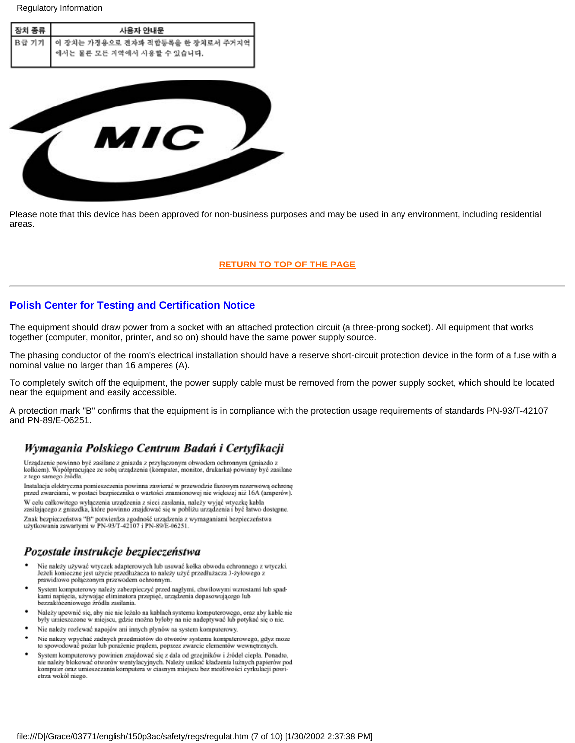| 장치 종류 | 사용자 안내문                                                                   |
|-------|---------------------------------------------------------------------------|
|       | B급 기기   이 장치는 가정용으로 전자파 적합등록을 한 장치로서 주거지역  <br>에서는 물론 모든 지역에서 사용할 수 있습니다. |



Please note that this device has been approved for non-business purposes and may be used in any environment, including residential areas.

#### **[RETURN TO TOP OF THE PAGE](#page-42-2)**

### <span id="page-48-0"></span>**Polish Center for Testing and Certification Notice**

The equipment should draw power from a socket with an attached protection circuit (a three-prong socket). All equipment that works together (computer, monitor, printer, and so on) should have the same power supply source.

The phasing conductor of the room's electrical installation should have a reserve short-circuit protection device in the form of a fuse with a nominal value no larger than 16 amperes (A).

To completely switch off the equipment, the power supply cable must be removed from the power supply socket, which should be located near the equipment and easily accessible.

A protection mark "B" confirms that the equipment is in compliance with the protection usage requirements of standards PN-93/T-42107 and PN-89/E-06251.

## Wymagania Polskiego Centrum Badań i Certyfikacji

Urządzenie powinno być zasilane z gniazda z przyłączonym obwodem ochronnym (gniazdo z kołkiem). Współpracujące ze sobą urządzenia (komputer, monitor, drukarka) powinny być zasilane z tego sámego zródła.

Instalacja elektryczna pomieszczenia powinna zawierać w przewodzie fazowym rezerwową ochronę przed zwarciami, w postaci bezpiecznika o wartości znamionowej nie większej niż 16A (amperów). W celu całkowitego wyłączenia urządzenia z sieci zasilania, należy wyjąć wtyczkę kabla

zasilającego z gniazdka, które powinno znajdować się w pobliżu urządzenia i być łatwo dostępne. Znak bezpieczeństwa "B" potwierdza zgodność urządzenia z wymaganiami bezpieczeństwa użytkowania zawartymi w PN-93/T-42107 i PN-89/E-06251.

## Pozostałe instrukcje bezpieczeństwa

- Nie należy używać wtyczek adapterowych lub usuwać kołka obwodu ochronnego z wtyczki. Jeżeli konieczne jest użycie przedłużacza to należy użyć przedłużacza 3-żyłowego z prawidłowo połączonym przewodem ochronnym.
- System komputerowy należy zabezpieczyć przed nagłymi, chwilowymi wzrostami lub spadkami napięcia, używając eliminatora przepięć, urządzenia dopasowującego lub bezzakłóceniowego źródła zasilania.
- Należy upewnić się, aby nic nie leżało na kablach systemu komputerowego, oraz aby kable nie były umieszczone w miejscu, gdzie można byłoby na nie nadeptywać lub potykać się o nie.
- Nie należy rozlewać napojów ani innych płynów na system komputerowy.
- Nie należy wpychać żadnych przedmiotów do otworów systemu komputerowego, gdyż może to spowodować pożar lub porażenie prądem, poprzez zwarcie elementów wewnętrznych.
- System komputerowy powinien znajdować się z dala od grzejników i źródeł ciepła. Ponadto, nie należy blokować otworów wentylacyjnych. Należy unikać kładzenia lużnych papierów pod komputer oraz umieszczania komputera w ciasnym miejscu bez możliwości cyrkulacji powietrza wokół niego.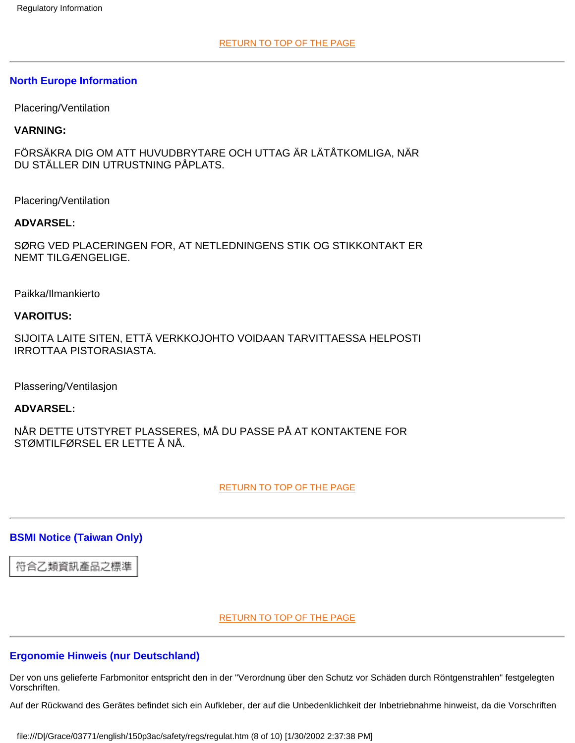### <span id="page-49-0"></span>**North Europe Information**

Placering/Ventilation

### **VARNING:**

FÖRSÄKRA DIG OM ATT HUVUDBRYTARE OCH UTTAG ÄR LÄTÅTKOMLIGA, NÄR DU STÄLLER DIN UTRUSTNING PÅPLATS.

Placering/Ventilation

### **ADVARSEL:**

SØRG VED PLACERINGEN FOR, AT NETLEDNINGENS STIK OG STIKKONTAKT ER NEMT TILGÆNGELIGE.

Paikka/Ilmankierto

### **VAROITUS:**

SIJOITA LAITE SITEN, ETTÄ VERKKOJOHTO VOIDAAN TARVITTAESSA HELPOSTI IRROTTAA PISTORASIASTA.

Plassering/Ventilasjon

### **ADVARSEL:**

NÅR DETTE UTSTYRET PLASSERES, MÅ DU PASSE PÅ AT KONTAKTENE FOR STØMTILFØRSEL ER LETTE Å NÅ.

[RETURN TO TOP OF THE PAGE](#page-42-2)

## <span id="page-49-1"></span>**BSMI Notice (Taiwan Only)**

符合乙類資訊產品之標準

### [RETURN TO TOP OF THE PAGE](#page-42-2)

## <span id="page-49-2"></span>**Ergonomie Hinweis (nur Deutschland)**

Der von uns gelieferte Farbmonitor entspricht den in der "Verordnung über den Schutz vor Schäden durch Röntgenstrahlen" festgelegten Vorschriften.

Auf der Rückwand des Gerätes befindet sich ein Aufkleber, der auf die Unbedenklichkeit der Inbetriebnahme hinweist, da die Vorschriften

file:///D|/Grace/03771/english/150p3ac/safety/regs/regulat.htm (8 of 10) [1/30/2002 2:37:38 PM]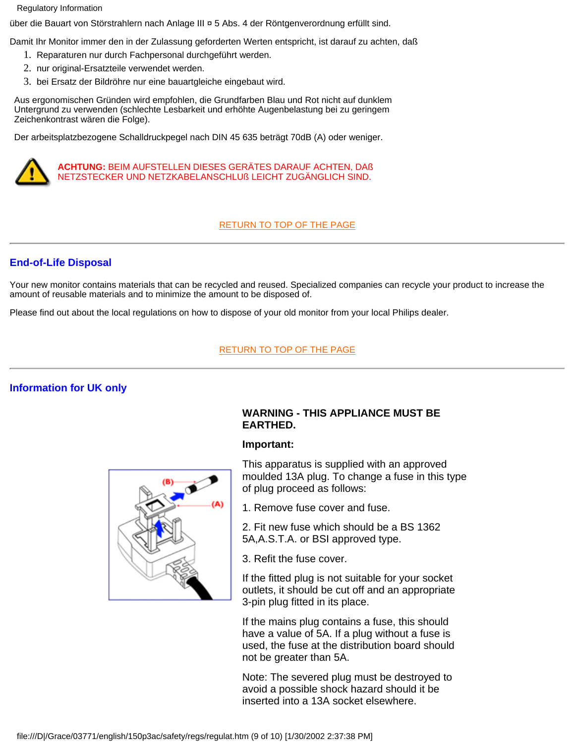über die Bauart von Störstrahlern nach Anlage III ¤ 5 Abs. 4 der Röntgenverordnung erfüllt sind.

Damit Ihr Monitor immer den in der Zulassung geforderten Werten entspricht, ist darauf zu achten, daß

- 1. Reparaturen nur durch Fachpersonal durchgeführt werden.
- 2. nur original-Ersatzteile verwendet werden.
- 3. bei Ersatz der Bildröhre nur eine bauartgleiche eingebaut wird.

Aus ergonomischen Gründen wird empfohlen, die Grundfarben Blau und Rot nicht auf dunklem Untergrund zu verwenden (schlechte Lesbarkeit und erhöhte Augenbelastung bei zu geringem Zeichenkontrast wären die Folge).

Der arbeitsplatzbezogene Schalldruckpegel nach DIN 45 635 beträgt 70dB (A) oder weniger.



**ACHTUNG:** BEIM AUFSTELLEN DIESES GERÄTES DARAUF ACHTEN, DAß NETZSTECKER UND NETZKABELANSCHLUß LEICHT ZUGÄNGLICH SIND.

#### [RETURN TO TOP OF THE PAGE](#page-42-2)

## <span id="page-50-0"></span>**End-of-Life Disposal**

Your new monitor contains materials that can be recycled and reused. Specialized companies can recycle your product to increase the amount of reusable materials and to minimize the amount to be disposed of.

Please find out about the local regulations on how to dispose of your old monitor from your local Philips dealer.

### [RETURN TO TOP OF THE PAGE](#page-42-2)

## <span id="page-50-1"></span>**Information for UK only**



## **WARNING - THIS APPLIANCE MUST BE EARTHED.**

#### **Important:**

This apparatus is supplied with an approved moulded 13A plug. To change a fuse in this type of plug proceed as follows:

1. Remove fuse cover and fuse.

2. Fit new fuse which should be a BS 1362 5A,A.S.T.A. or BSI approved type.

3. Refit the fuse cover.

If the fitted plug is not suitable for your socket outlets, it should be cut off and an appropriate 3-pin plug fitted in its place.

If the mains plug contains a fuse, this should have a value of 5A. If a plug without a fuse is used, the fuse at the distribution board should not be greater than 5A.

Note: The severed plug must be destroyed to avoid a possible shock hazard should it be inserted into a 13A socket elsewhere.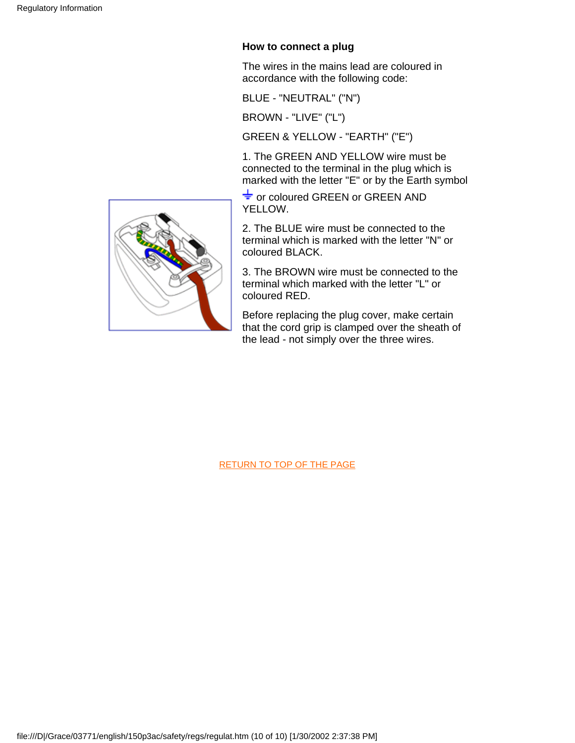## **How to connect a plug**

The wires in the mains lead are coloured in accordance with the following code:

BLUE - "NEUTRAL" ("N")

BROWN - "LIVE" ("L")

GREEN & YELLOW - "EARTH" ("E")

1. The GREEN AND YELLOW wire must be connected to the terminal in the plug which is marked with the letter "E" or by the Earth symbol

 $\frac{1}{\sqrt{2}}$  or coloured GREEN or GREEN AND YELLOW.

2. The BLUE wire must be connected to the terminal which is marked with the letter "N" or coloured BLACK.

3. The BROWN wire must be connected to the terminal which marked with the letter "L" or coloured RED.

Before replacing the plug cover, make certain that the cord grip is clamped over the sheath of the lead - not simply over the three wires.

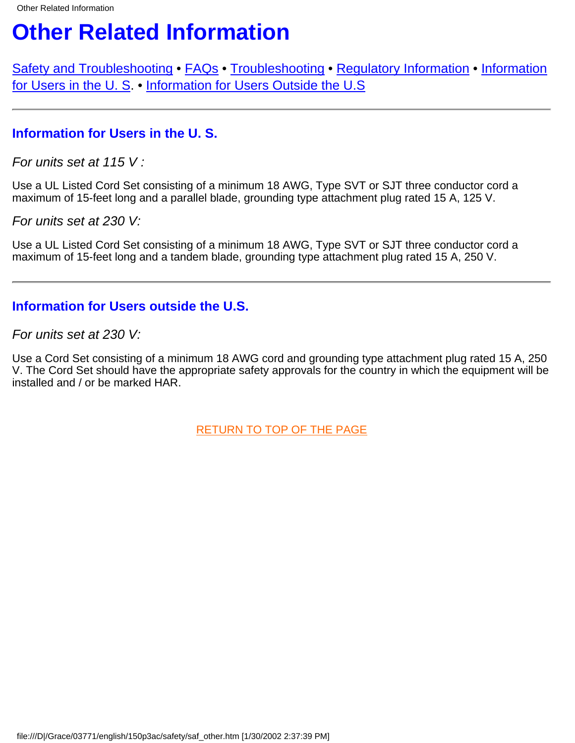# <span id="page-52-3"></span><span id="page-52-0"></span>**Other Related Information**

[Safety and Troubleshooting](#page-1-0) • [FAQs](#page-31-0) • [Troubleshooting](#page-39-3) • [Regulatory Information](#page-42-0) • [Information](#page-52-1) [for Users in the U. S](#page-52-1). • [Information for Users Outside the U.S](#page-52-2).

# <span id="page-52-1"></span>**Information for Users in the U. S.**

*For units set at 115 V :*

Use a UL Listed Cord Set consisting of a minimum 18 AWG, Type SVT or SJT three conductor cord a maximum of 15-feet long and a parallel blade, grounding type attachment plug rated 15 A, 125 V.

*For units set at 230 V:*

Use a UL Listed Cord Set consisting of a minimum 18 AWG, Type SVT or SJT three conductor cord a maximum of 15-feet long and a tandem blade, grounding type attachment plug rated 15 A, 250 V.

# <span id="page-52-2"></span>**Information for Users outside the U.S.**

*For units set at 230 V:*

Use a Cord Set consisting of a minimum 18 AWG cord and grounding type attachment plug rated 15 A, 250 V. The Cord Set should have the appropriate safety approvals for the country in which the equipment will be installed and / or be marked HAR.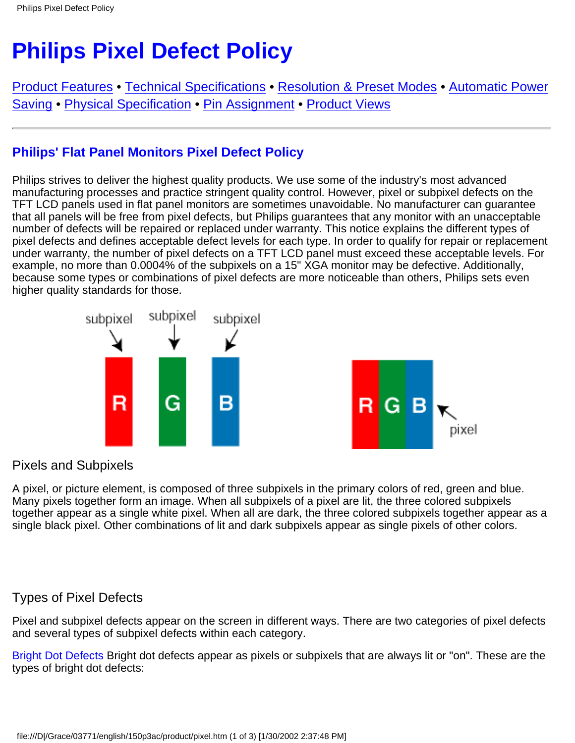# **Philips Pixel Defect Policy**

Product Features • Technical Specifications • Resolution & Preset Modes • Automatic Power Saving • Physical Specification • Pin Assignment • Product Views

# **Philips' Flat Panel Monitors Pixel Defect Policy**

Philips strives to deliver the highest quality products. We use some of the industry's most advanced manufacturing processes and practice stringent quality control. However, pixel or subpixel defects on the TFT LCD panels used in flat panel monitors are sometimes unavoidable. No manufacturer can guarantee that all panels will be free from pixel defects, but Philips guarantees that any monitor with an unacceptable number of defects will be repaired or replaced under warranty. This notice explains the different types of pixel defects and defines acceptable defect levels for each type. In order to qualify for repair or replacement under warranty, the number of pixel defects on a TFT LCD panel must exceed these acceptable levels. For example, no more than 0.0004% of the subpixels on a 15" XGA monitor may be defective. Additionally, because some types or combinations of pixel defects are more noticeable than others, Philips sets even higher quality standards for those.



# Pixels and Subpixels

A pixel, or picture element, is composed of three subpixels in the primary colors of red, green and blue. Many pixels together form an image. When all subpixels of a pixel are lit, the three colored subpixels together appear as a single white pixel. When all are dark, the three colored subpixels together appear as a single black pixel. Other combinations of lit and dark subpixels appear as single pixels of other colors.

# Types of Pixel Defects

Pixel and subpixel defects appear on the screen in different ways. There are two categories of pixel defects and several types of subpixel defects within each category.

Bright Dot Defects Bright dot defects appear as pixels or subpixels that are always lit or "on". These are the types of bright dot defects: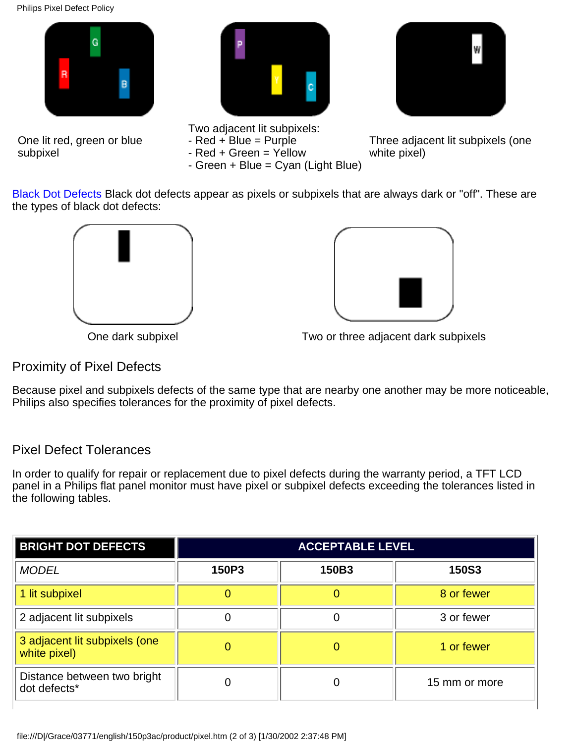Philips Pixel Defect Policy



One lit red, green or blue subpixel



Two adjacent lit subpixels:

- Red + Blue = Purple
- Red + Green = Yellow
- Green + Blue = Cyan (Light Blue)



Three adjacent lit subpixels (one white pixel)

Black Dot Defects Black dot defects appear as pixels or subpixels that are always dark or "off". These are the types of black dot defects:



One dark subpixel **Two or three adjacent dark subpixels** 

# Proximity of Pixel Defects

Because pixel and subpixels defects of the same type that are nearby one another may be more noticeable, Philips also specifies tolerances for the proximity of pixel defects.

# Pixel Defect Tolerances

In order to qualify for repair or replacement due to pixel defects during the warranty period, a TFT LCD panel in a Philips flat panel monitor must have pixel or subpixel defects exceeding the tolerances listed in the following tables.

| <b>BRIGHT DOT DEFECTS</b>                     | <b>ACCEPTABLE LEVEL</b> |       |               |
|-----------------------------------------------|-------------------------|-------|---------------|
| <b>MODEL</b>                                  | 150P3                   | 150B3 | <b>150S3</b>  |
| 1 lit subpixel                                | 0                       | 0     | 8 or fewer    |
| 2 adjacent lit subpixels                      |                         | Ü     | 3 or fewer    |
| 3 adjacent lit subpixels (one<br>white pixel) | 0                       |       | 1 or fewer    |
| Distance between two bright<br>dot defects*   | 0                       | O     | 15 mm or more |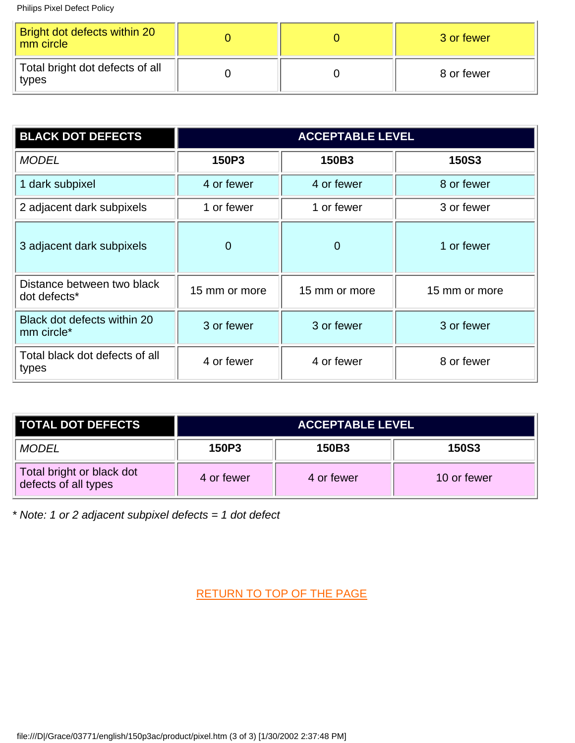Philips Pixel Defect Policy

| <b>Bright dot defects within 20</b><br>mm circle |  | 3 or fewer |
|--------------------------------------------------|--|------------|
| Total bright dot defects of all<br>types         |  | 8 or fewer |

| <b>BLACK DOT DEFECTS</b>                   |                | <b>ACCEPTABLE LEVEL</b> |               |
|--------------------------------------------|----------------|-------------------------|---------------|
| <b>MODEL</b>                               | 150P3          | 150B3                   | <b>150S3</b>  |
| 1 dark subpixel                            | 4 or fewer     | 4 or fewer              | 8 or fewer    |
| 2 adjacent dark subpixels                  | 1 or fewer     | 1 or fewer              | 3 or fewer    |
| 3 adjacent dark subpixels                  | $\overline{0}$ | 0                       | 1 or fewer    |
| Distance between two black<br>dot defects* | 15 mm or more  | 15 mm or more           | 15 mm or more |
| Black dot defects within 20<br>mm circle*  | 3 or fewer     | 3 or fewer              | 3 or fewer    |
| Total black dot defects of all<br>types    | 4 or fewer     | 4 or fewer              | 8 or fewer    |

| <b>TOTAL DOT DEFECTS</b>                          | <b>ACCEPTABLE LEVEL</b> |            |              |
|---------------------------------------------------|-------------------------|------------|--------------|
| <b>MODEL</b>                                      | 150P3                   | 150B3      | <b>150S3</b> |
| Total bright or black dot<br>defects of all types | 4 or fewer              | 4 or fewer | 10 or fewer  |

*\* Note: 1 or 2 adjacent subpixel defects = 1 dot defect*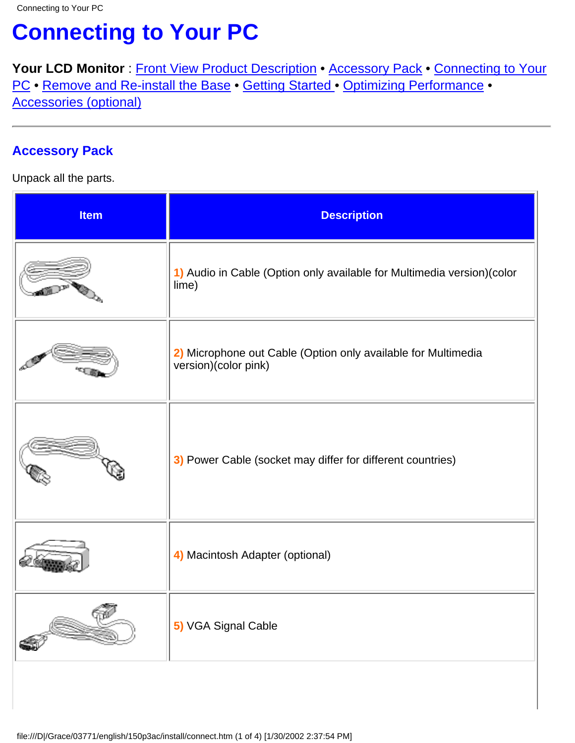# **Connecting to Your PC**

Your LCD Monitor : Front View Product Description • Accessory Pack • Connecting to Your PC • [Remove and Re-install the Base](#page-60-0) • [Getting Started](#page-64-0) • Optimizing Performance • [Accessories \(optional\)](#page-67-0)

# **Accessory Pack**

Unpack all the parts.

| <b>Item</b> | <b>Description</b>                                                                    |
|-------------|---------------------------------------------------------------------------------------|
|             | 1) Audio in Cable (Option only available for Multimedia version) (color<br>lime)      |
|             | 2) Microphone out Cable (Option only available for Multimedia<br>version)(color pink) |
|             | 3) Power Cable (socket may differ for different countries)                            |
|             | 4) Macintosh Adapter (optional)                                                       |
|             | 5) VGA Signal Cable                                                                   |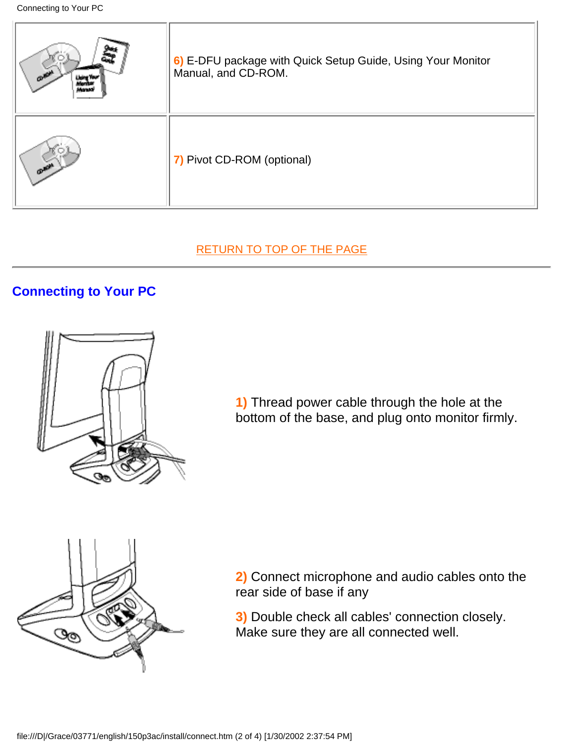Connecting to Your PC

| Light To | 6) E-DFU package with Quick Setup Guide, Using Your Monitor<br>Manual, and CD-ROM. |
|----------|------------------------------------------------------------------------------------|
|          | 7) Pivot CD-ROM (optional)                                                         |

# RETURN TO TOP OF THE PAGE

# **Connecting to Your PC**



**1)** Thread power cable through the hole at the bottom of the base, and plug onto monitor firmly.



**2)** Connect microphone and audio cables onto the rear side of base if any

**3)** Double check all cables' connection closely. Make sure they are all connected well.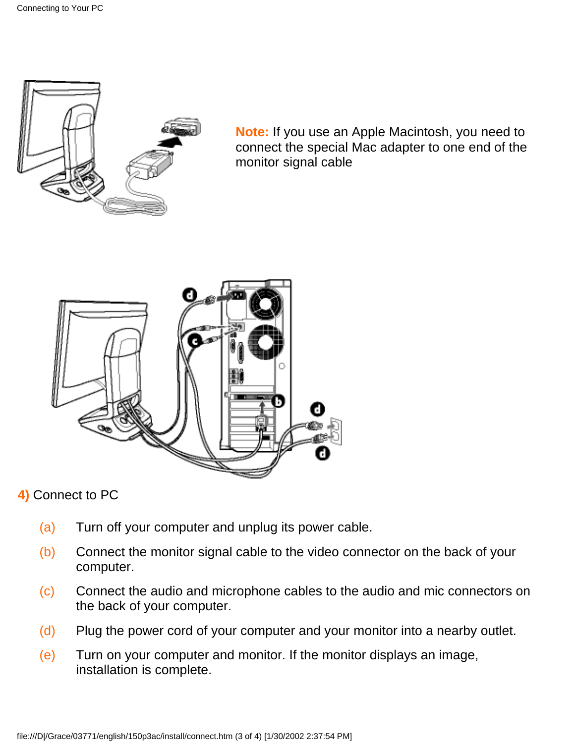

**Note:** If you use an Apple Macintosh, you need to connect the special Mac adapter to one end of the monitor signal cable



# **4)** Connect to PC

- (a) Turn off your computer and unplug its power cable.
- (b) Connect the monitor signal cable to the video connector on the back of your computer.
- (c) Connect the audio and microphone cables to the audio and mic connectors on the back of your computer.
- (d) Plug the power cord of your computer and your monitor into a nearby outlet.
- (e) Turn on your computer and monitor. If the monitor displays an image, installation is complete.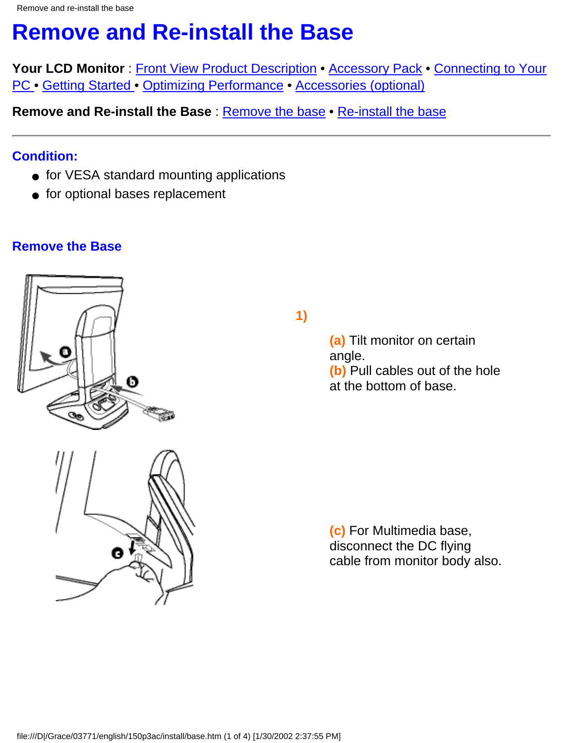# <span id="page-60-0"></span>**Remove and Re-install the Base**

Your LCD Monitor : Front View Product Description • Accessory Pack • Connecting to Your PC • [Getting Started](#page-64-0) • Optimizing Performance • [Accessories \(optional\)](#page-67-0)

**Remove and Re-install the Base** : [Remove the base](#page-60-0) • [Re-install the base](#page-60-0)

# **Condition:**

- for VESA standard mounting applications
- for optional bases replacement

# **Remove the Base**



**1)**

**(a)** Tilt monitor on certain angle. **(b)** Pull cables out of the hole at the bottom of base.

**(c)** For Multimedia base, disconnect the DC flying cable from monitor body also.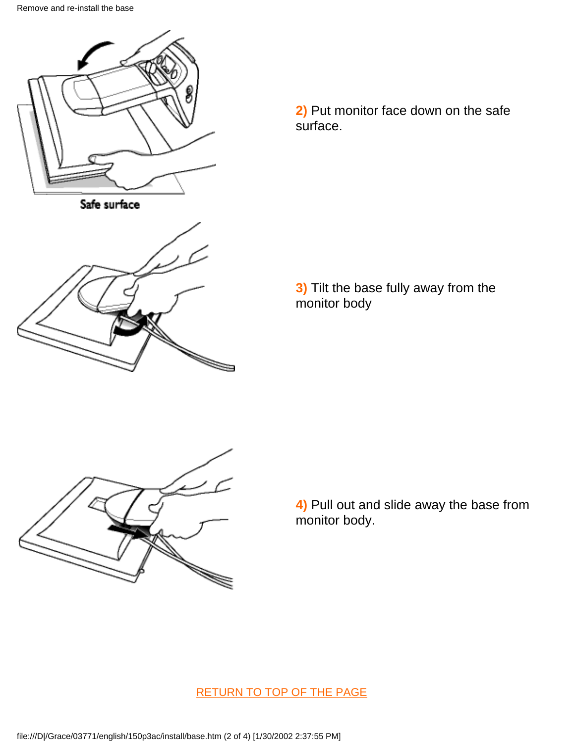

**2)** Put monitor face down on the safe surface.

Safe surface



**3)** Tilt the base fully away from the monitor body



**4)** Pull out and slide away the base from monitor body.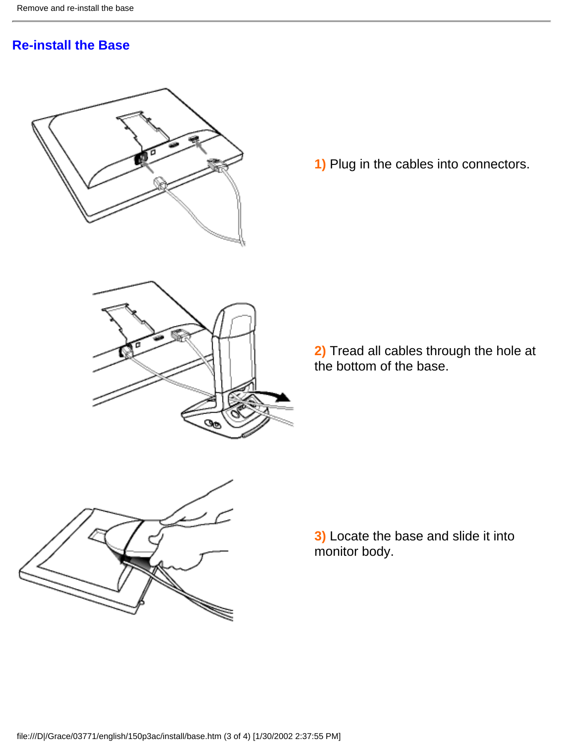# **Re-install the Base**



**1)** Plug in the cables into connectors.

**2)** Tread all cables through the hole at the bottom of the base.



**3)** Locate the base and slide it into monitor body.

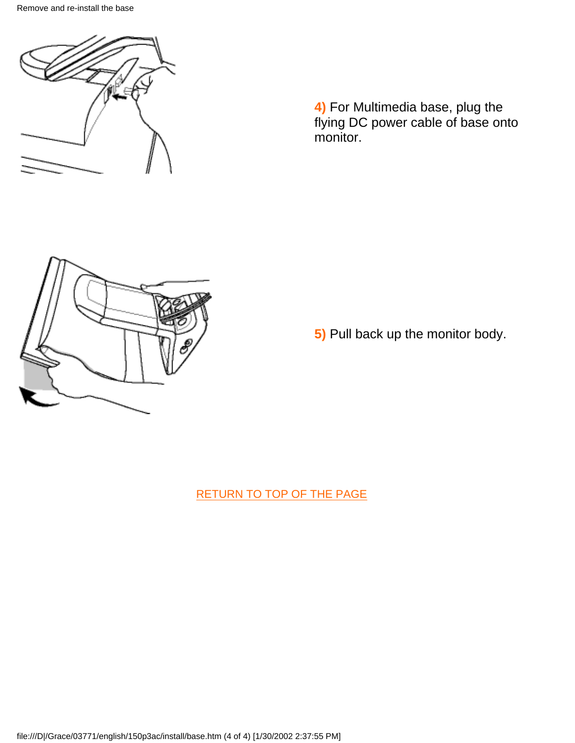Remove and re-install the base



**4)** For Multimedia base, plug the flying DC power cable of base onto monitor.



**5)** Pull back up the monitor body.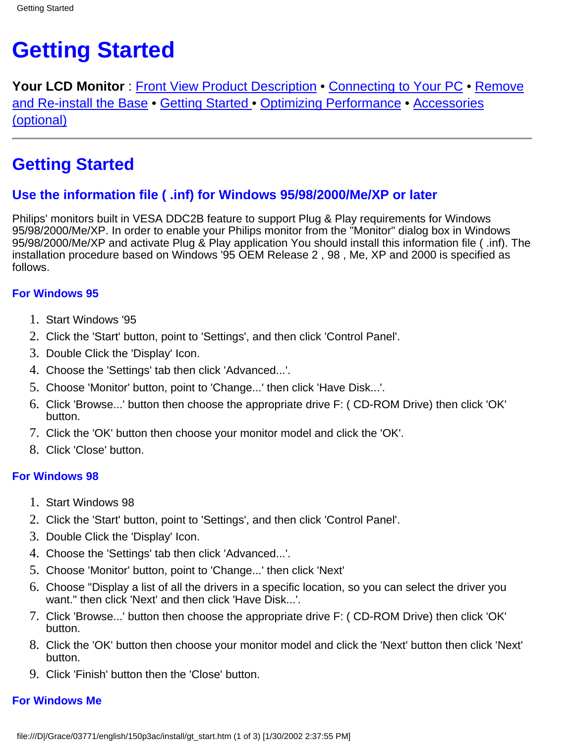# <span id="page-64-2"></span><span id="page-64-0"></span>**Getting Started**

**Your LCD Monitor** : Front View Product Description • Connecting to Your PC • [Remove](#page-60-0) [and Re-install the Base](#page-60-0) • [Getting Started](#page-64-1) • Optimizing Performance • [Accessories](#page-67-0) [\(optional\)](#page-67-0)

# <span id="page-64-1"></span>**Getting Started**

# **Use the information file ( .inf) for Windows 95/98/2000/Me/XP or later**

Philips' monitors built in VESA DDC2B feature to support Plug & Play requirements for Windows 95/98/2000/Me/XP. In order to enable your Philips monitor from the "Monitor" dialog box in Windows 95/98/2000/Me/XP and activate Plug & Play application You should install this information file ( .inf). The installation procedure based on Windows '95 OEM Release 2 , 98 , Me, XP and 2000 is specified as follows.

# **For Windows 95**

- 1. Start Windows '95
- 2. Click the 'Start' button, point to 'Settings', and then click 'Control Panel'.
- 3. Double Click the 'Display' Icon.
- 4. Choose the 'Settings' tab then click 'Advanced...'.
- 5. Choose 'Monitor' button, point to 'Change...' then click 'Have Disk...'.
- 6. Click 'Browse...' button then choose the appropriate drive F: ( CD-ROM Drive) then click 'OK' button.
- 7. Click the 'OK' button then choose your monitor model and click the 'OK'.
- 8. Click 'Close' button.

## **For Windows 98**

- 1. Start Windows 98
- 2. Click the 'Start' button, point to 'Settings', and then click 'Control Panel'.
- 3. Double Click the 'Display' Icon.
- 4. Choose the 'Settings' tab then click 'Advanced...'.
- 5. Choose 'Monitor' button, point to 'Change...' then click 'Next'
- 6. Choose "Display a list of all the drivers in a specific location, so you can select the driver you want." then click 'Next' and then click 'Have Disk...'.
- 7. Click 'Browse...' button then choose the appropriate drive F: ( CD-ROM Drive) then click 'OK' button.
- Click the 'OK' button then choose your monitor model and click the 'Next' button then click 'Next' 8. button.
- 9. Click 'Finish' button then the 'Close' button.

# **For Windows Me**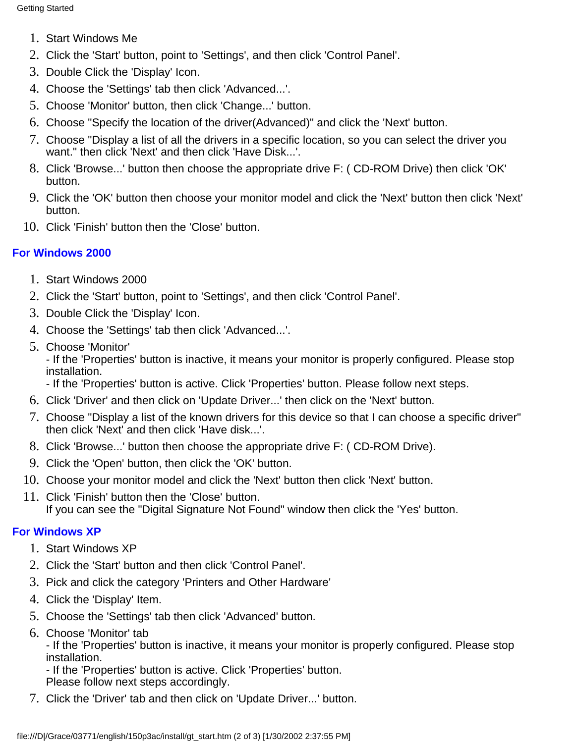- 1. Start Windows Me
- 2. Click the 'Start' button, point to 'Settings', and then click 'Control Panel'.
- 3. Double Click the 'Display' Icon.
- 4. Choose the 'Settings' tab then click 'Advanced...'.
- 5. Choose 'Monitor' button, then click 'Change...' button.
- 6. Choose "Specify the location of the driver(Advanced)" and click the 'Next' button.
- 7. Choose "Display a list of all the drivers in a specific location, so you can select the driver you want." then click 'Next' and then click 'Have Disk...'.
- Click 'Browse...' button then choose the appropriate drive F: ( CD-ROM Drive) then click 'OK' 8. button.
- Click the 'OK' button then choose your monitor model and click the 'Next' button then click 'Next' 9. button.
- 10. Click 'Finish' button then the 'Close' button.

## **For Windows 2000**

- 1. Start Windows 2000
- 2. Click the 'Start' button, point to 'Settings', and then click 'Control Panel'.
- 3. Double Click the 'Display' Icon.
- 4. Choose the 'Settings' tab then click 'Advanced...'.
- 5. Choose 'Monitor' - If the 'Properties' button is inactive, it means your monitor is properly configured. Please stop installation.
	- If the 'Properties' button is active. Click 'Properties' button. Please follow next steps.
- 6. Click 'Driver' and then click on 'Update Driver...' then click on the 'Next' button.
- 7. Choose "Display a list of the known drivers for this device so that I can choose a specific driver" then click 'Next' and then click 'Have disk...'.
- 8. Click 'Browse...' button then choose the appropriate drive F: ( CD-ROM Drive).
- 9. Click the 'Open' button, then click the 'OK' button.
- 10. Choose your monitor model and click the 'Next' button then click 'Next' button.
- 11. Click 'Finish' button then the 'Close' button. If you can see the "Digital Signature Not Found" window then click the 'Yes' button.

## **For Windows XP**

- 1. Start Windows XP
- 2. Click the 'Start' button and then click 'Control Panel'.
- 3. Pick and click the category 'Printers and Other Hardware'
- 4. Click the 'Display' Item.
- 5. Choose the 'Settings' tab then click 'Advanced' button.
- 6. Choose 'Monitor' tab

- If the 'Properties' button is inactive, it means your monitor is properly configured. Please stop installation.

- If the 'Properties' button is active. Click 'Properties' button. Please follow next steps accordingly.

7. Click the 'Driver' tab and then click on 'Update Driver...' button.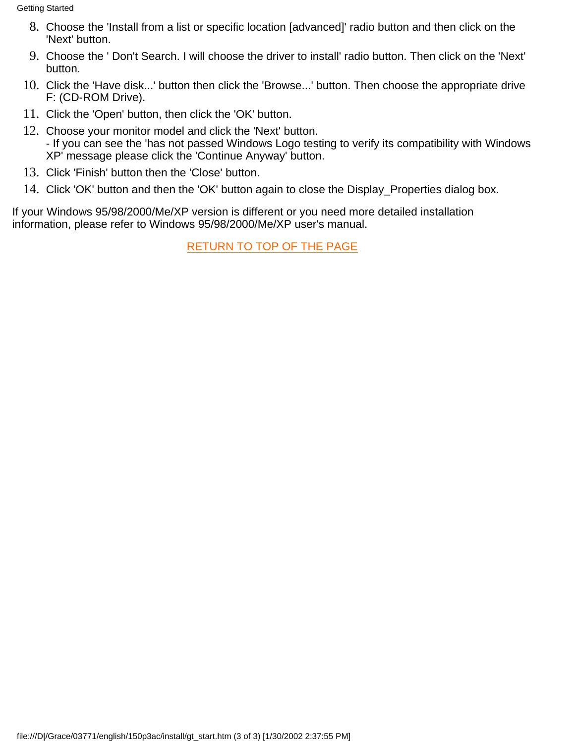Getting Started

- Choose the 'Install from a list or specific location [advanced]' radio button and then click on the 8. 'Next' button.
- Choose the ' Don't Search. I will choose the driver to install' radio button. Then click on the 'Next' 9. button.
- 10. Click the 'Have disk...' button then click the 'Browse...' button. Then choose the appropriate drive F: (CD-ROM Drive).
- 11. Click the 'Open' button, then click the 'OK' button.
- 12. Choose your monitor model and click the 'Next' button. - If you can see the 'has not passed Windows Logo testing to verify its compatibility with Windows XP' message please click the 'Continue Anyway' button.
- 13. Click 'Finish' button then the 'Close' button.
- 14. Click 'OK' button and then the 'OK' button again to close the Display\_Properties dialog box.

If your Windows 95/98/2000/Me/XP version is different or you need more detailed installation information, please refer to Windows 95/98/2000/Me/XP user's manual.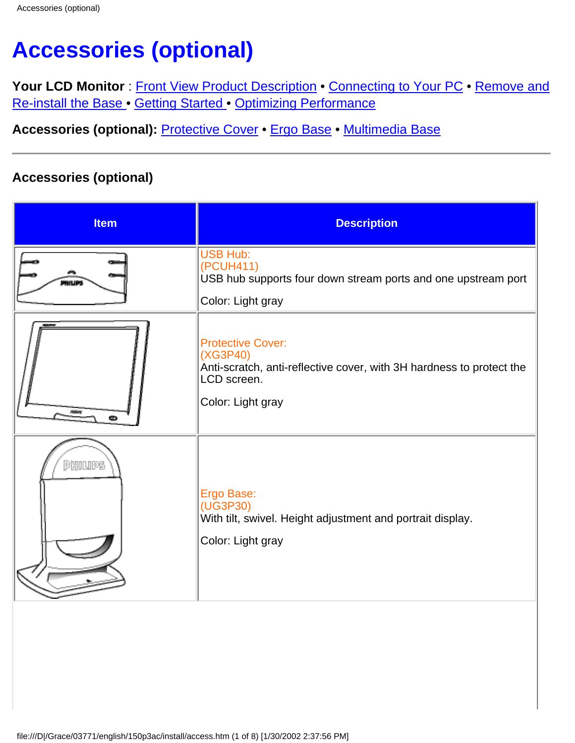# <span id="page-67-1"></span><span id="page-67-0"></span>**Accessories (optional)**

Your LCD Monitor: Front View Product Description • Connecting to Your PC • [Remove and](#page-60-0) [Re-install the Base](#page-60-0) • [Getting Started](#page-64-0) • Optimizing Performance

**Accessories (optional):** [Protective Cover](#page-68-0) • [Ergo Base](#page-70-0) • [Multimedia Base](#page-72-0)

# **Accessories (optional)**

| <b>Item</b> | <b>Description</b>                                                                                                                               |
|-------------|--------------------------------------------------------------------------------------------------------------------------------------------------|
|             | <b>USB Hub:</b><br>(PCUH411)<br>USB hub supports four down stream ports and one upstream port<br>Color: Light gray                               |
|             | <b>Protective Cover:</b><br>(XG3P40)<br>Anti-scratch, anti-reflective cover, with 3H hardness to protect the<br>LCD screen.<br>Color: Light gray |
| philips     | Ergo Base:<br>(UG3P30)<br>With tilt, swivel. Height adjustment and portrait display.<br>Color: Light gray                                        |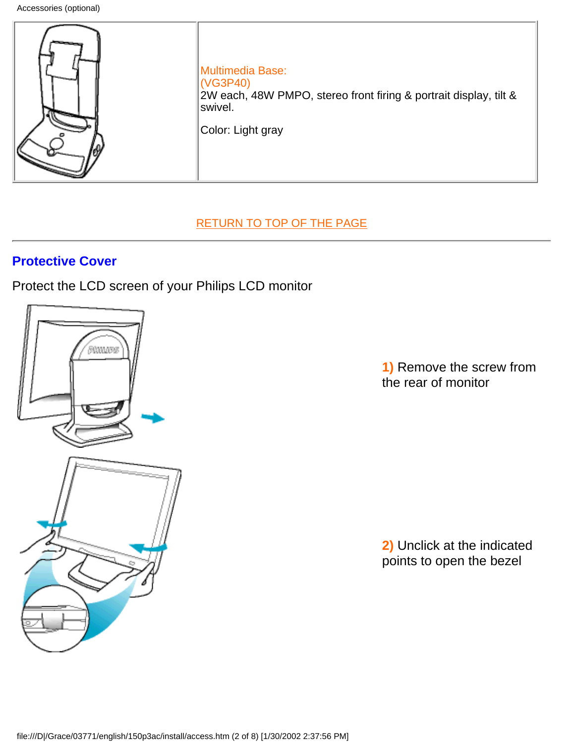

# [RETURN TO TOP OF THE PAGE](#page-67-1)

# <span id="page-68-0"></span>**Protective Cover**

Protect the LCD screen of your Philips LCD monitor



**1)** Remove the screw from the rear of monitor

**2)** Unclick at the indicated points to open the bezel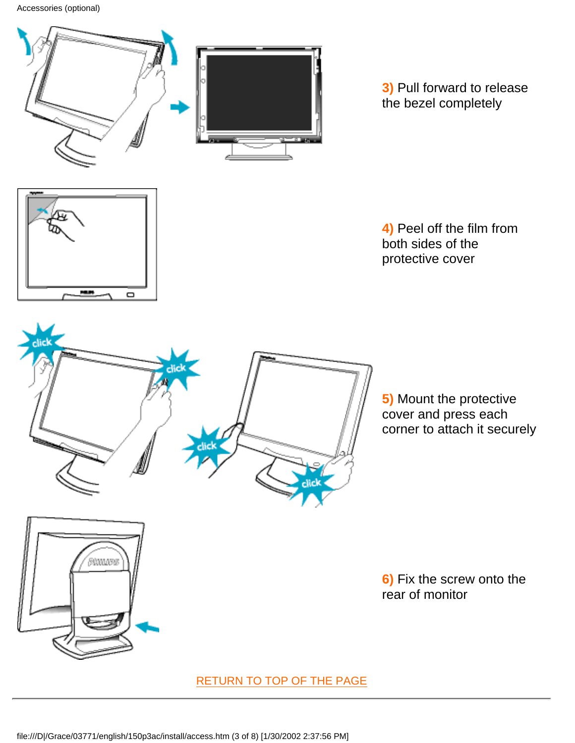Accessories (optional)

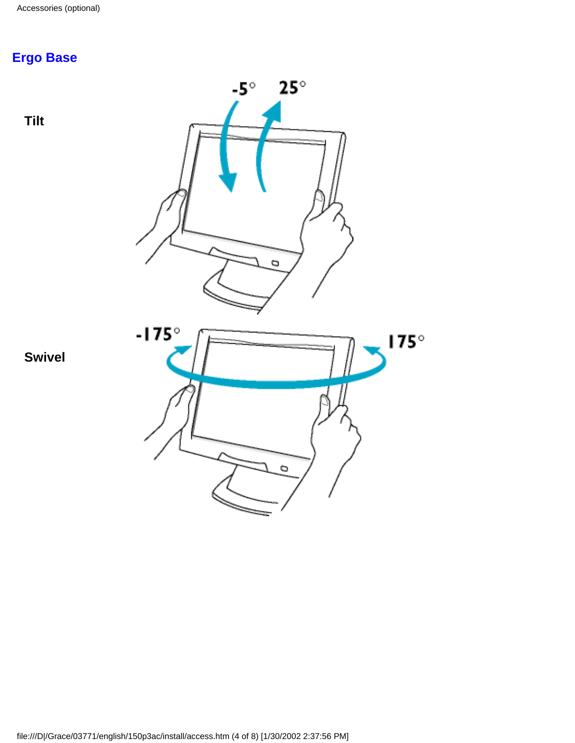# <span id="page-70-0"></span>**Ergo Base**



file:///D|/Grace/03771/english/150p3ac/install/access.htm (4 of 8) [1/30/2002 2:37:56 PM]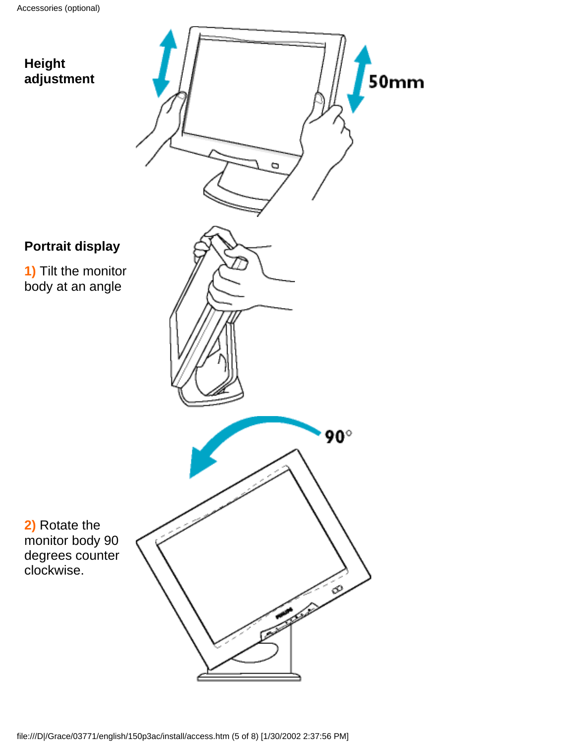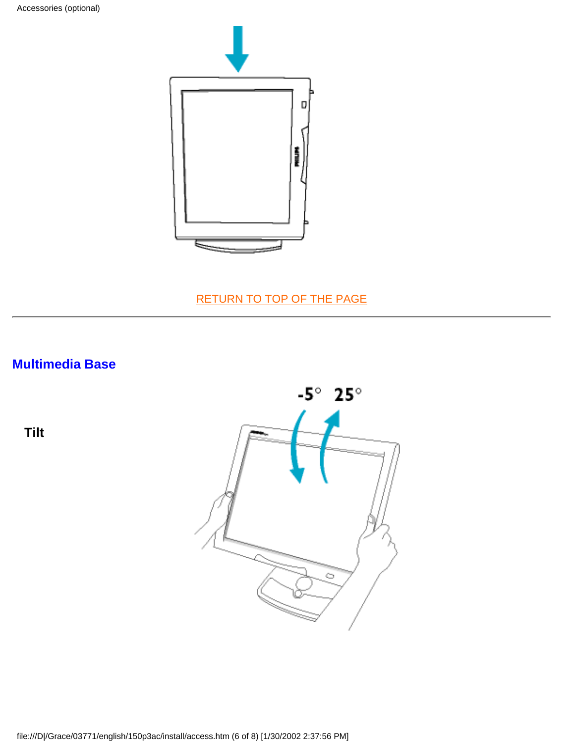

## [RETURN TO TOP OF THE PAGE](#page-67-0)

# **Multimedia Base**

**Tilt**

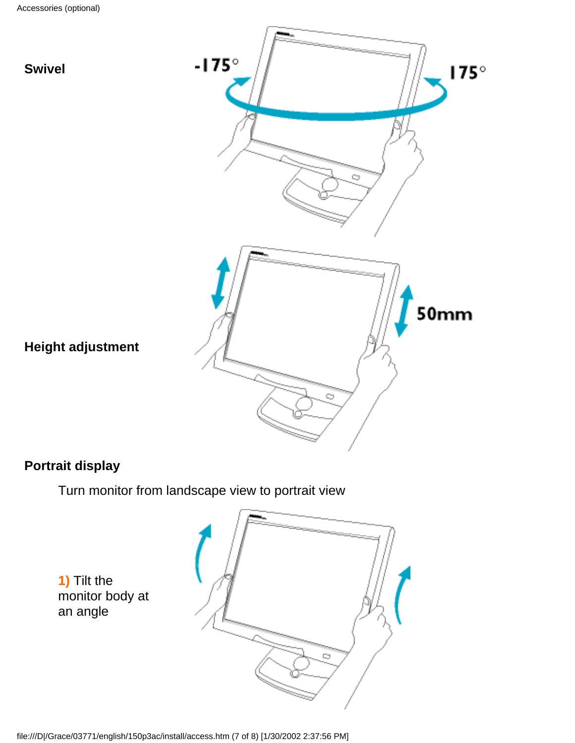



**Height adjustment**

# **Portrait display**

Turn monitor from landscape view to portrait view

**1)** Tilt the monitor body at an angle

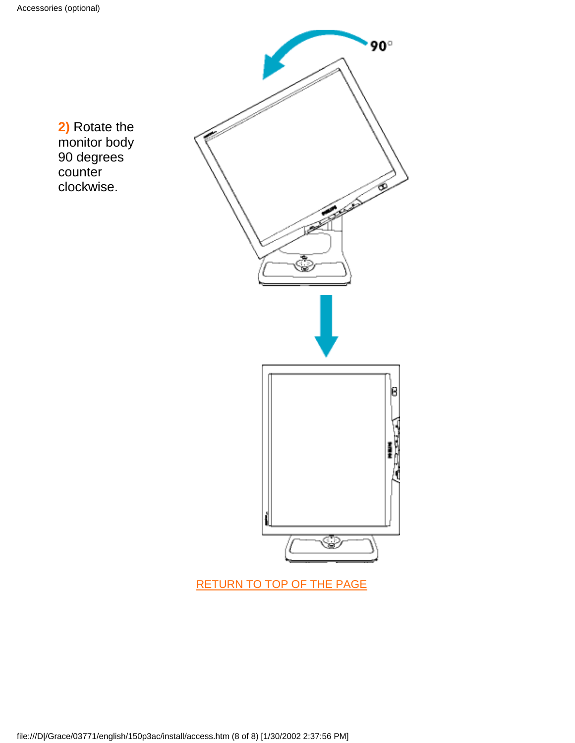

[RETURN TO TOP OF THE PAGE](#page-67-0)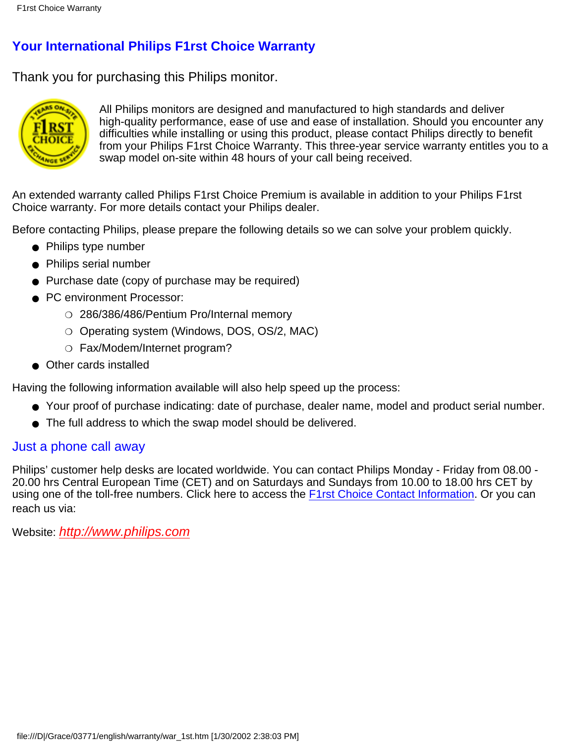# **Your International Philips F1rst Choice Warranty**

Thank you for purchasing this Philips monitor.



All Philips monitors are designed and manufactured to high standards and deliver high-quality performance, ease of use and ease of installation. Should you encounter any difficulties while installing or using this product, please contact Philips directly to benefit from your Philips F1rst Choice Warranty. This three-year service warranty entitles you to a swap model on-site within 48 hours of your call being received.

An extended warranty called Philips F1rst Choice Premium is available in addition to your Philips F1rst Choice warranty. For more details contact your Philips dealer.

Before contacting Philips, please prepare the following details so we can solve your problem quickly.

- Philips type number
- Philips serial number
- Purchase date (copy of purchase may be required)
- PC environment Processor:
	- ❍ 286/386/486/Pentium Pro/Internal memory
	- ❍ Operating system (Windows, DOS, OS/2, MAC)
	- ❍ Fax/Modem/Internet program?
- Other cards installed

Having the following information available will also help speed up the process:

- Your proof of purchase indicating: date of purchase, dealer name, model and product serial number.
- The full address to which the swap model should be delivered.

## Just a phone call away

Philips' customer help desks are located worldwide. You can contact Philips Monday - Friday from 08.00 - 20.00 hrs Central European Time (CET) and on Saturdays and Sundays from 10.00 to 18.00 hrs CET by using one of the toll-free numbers. Click here to access the [F1rst Choice Contact Information](#page-80-0). Or you can reach us via:

Website: *[http://www.philips.com](http://www.philips.com/)*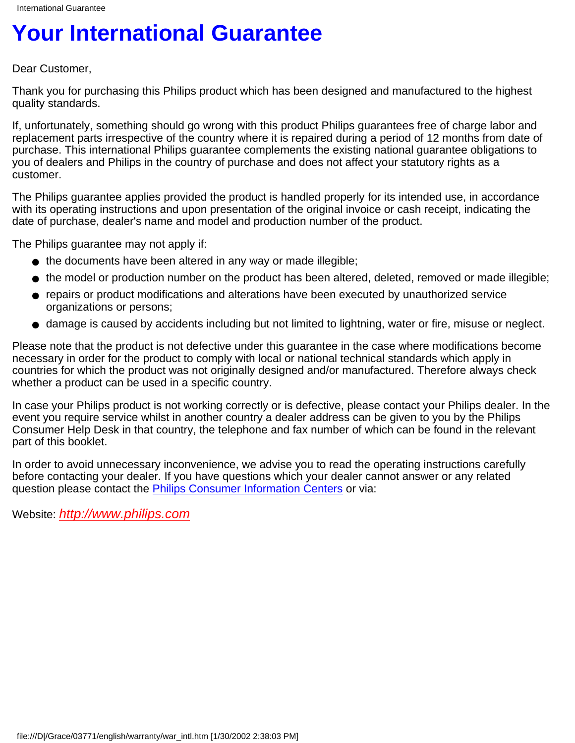# **Your International Guarantee**

Dear Customer,

Thank you for purchasing this Philips product which has been designed and manufactured to the highest quality standards.

If, unfortunately, something should go wrong with this product Philips guarantees free of charge labor and replacement parts irrespective of the country where it is repaired during a period of 12 months from date of purchase. This international Philips guarantee complements the existing national guarantee obligations to you of dealers and Philips in the country of purchase and does not affect your statutory rights as a customer.

The Philips guarantee applies provided the product is handled properly for its intended use, in accordance with its operating instructions and upon presentation of the original invoice or cash receipt, indicating the date of purchase, dealer's name and model and production number of the product.

The Philips guarantee may not apply if:

- the documents have been altered in any way or made illegible;
- the model or production number on the product has been altered, deleted, removed or made illegible;
- repairs or product modifications and alterations have been executed by unauthorized service organizations or persons;
- damage is caused by accidents including but not limited to lightning, water or fire, misuse or neglect.

Please note that the product is not defective under this guarantee in the case where modifications become necessary in order for the product to comply with local or national technical standards which apply in countries for which the product was not originally designed and/or manufactured. Therefore always check whether a product can be used in a specific country.

In case your Philips product is not working correctly or is defective, please contact your Philips dealer. In the event you require service whilst in another country a dealer address can be given to you by the Philips Consumer Help Desk in that country, the telephone and fax number of which can be found in the relevant part of this booklet.

In order to avoid unnecessary inconvenience, we advise you to read the operating instructions carefully before contacting your dealer. If you have questions which your dealer cannot answer or any related question please contact the [Philips Consumer Information Centers](#page-81-0) or via:

Website: *[http://www.philips.com](http://www.philips.com/)*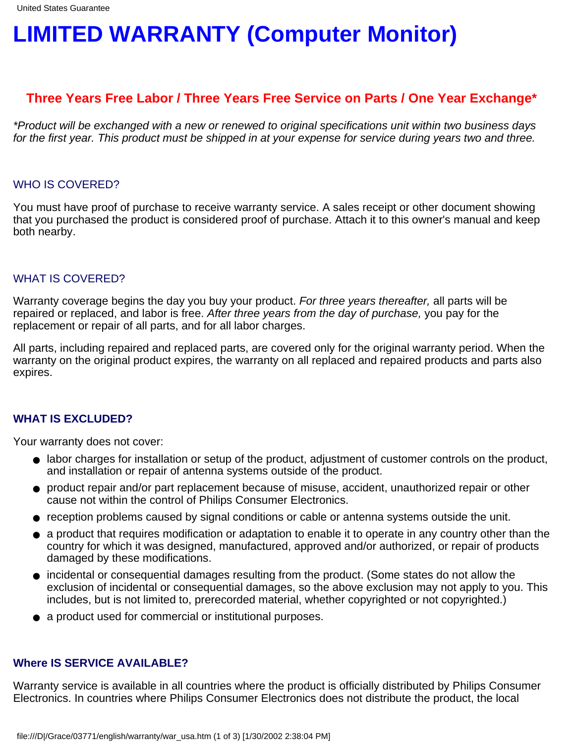# **LIMITED WARRANTY (Computer Monitor)**

## **Three Years Free Labor / Three Years Free Service on Parts / One Year Exchange\***

*\*Product will be exchanged with a new or renewed to original specifications unit within two business days for the first year. This product must be shipped in at your expense for service during years two and three.*

#### WHO IS COVERED?

You must have proof of purchase to receive warranty service. A sales receipt or other document showing that you purchased the product is considered proof of purchase. Attach it to this owner's manual and keep both nearby.

#### WHAT IS COVERED?

Warranty coverage begins the day you buy your product. *For three years thereafter,* all parts will be repaired or replaced, and labor is free. *After three years from the day of purchase,* you pay for the replacement or repair of all parts, and for all labor charges.

All parts, including repaired and replaced parts, are covered only for the original warranty period. When the warranty on the original product expires, the warranty on all replaced and repaired products and parts also expires.

## **WHAT IS EXCLUDED?**

Your warranty does not cover:

- labor charges for installation or setup of the product, adjustment of customer controls on the product, and installation or repair of antenna systems outside of the product.
- product repair and/or part replacement because of misuse, accident, unauthorized repair or other cause not within the control of Philips Consumer Electronics.
- reception problems caused by signal conditions or cable or antenna systems outside the unit.
- a product that requires modification or adaptation to enable it to operate in any country other than the country for which it was designed, manufactured, approved and/or authorized, or repair of products damaged by these modifications.
- incidental or consequential damages resulting from the product. (Some states do not allow the exclusion of incidental or consequential damages, so the above exclusion may not apply to you. This includes, but is not limited to, prerecorded material, whether copyrighted or not copyrighted.)
- a product used for commercial or institutional purposes.

## **Where IS SERVICE AVAILABLE?**

Warranty service is available in all countries where the product is officially distributed by Philips Consumer Electronics. In countries where Philips Consumer Electronics does not distribute the product, the local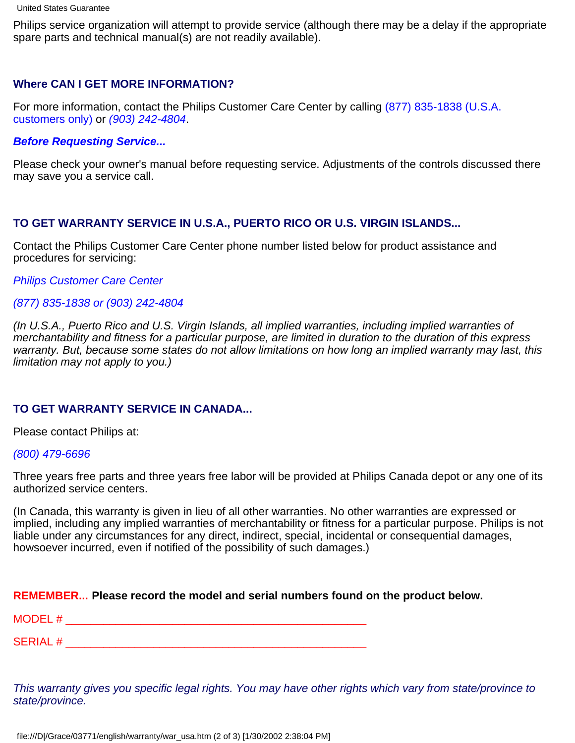Philips service organization will attempt to provide service (although there may be a delay if the appropriate spare parts and technical manual(s) are not readily available).

#### **Where CAN I GET MORE INFORMATION?**

For more information, contact the Philips Customer Care Center by calling (877) 835-1838 (U.S.A. customers only) or *(903) 242-4804*.

#### *Before Requesting Service...*

Please check your owner's manual before requesting service. Adjustments of the controls discussed there may save you a service call.

#### **TO GET WARRANTY SERVICE IN U.S.A., PUERTO RICO OR U.S. VIRGIN ISLANDS...**

Contact the Philips Customer Care Center phone number listed below for product assistance and procedures for servicing:

*Philips Customer Care Center*

#### *(877) 835-1838 or (903) 242-4804*

*(In U.S.A., Puerto Rico and U.S. Virgin Islands, all implied warranties, including implied warranties of merchantability and fitness for a particular purpose, are limited in duration to the duration of this express warranty. But, because some states do not allow limitations on how long an implied warranty may last, this limitation may not apply to you.)*

#### **TO GET WARRANTY SERVICE IN CANADA...**

Please contact Philips at:

#### *(800) 479-6696*

Three years free parts and three years free labor will be provided at Philips Canada depot or any one of its authorized service centers.

(In Canada, this warranty is given in lieu of all other warranties. No other warranties are expressed or implied, including any implied warranties of merchantability or fitness for a particular purpose. Philips is not liable under any circumstances for any direct, indirect, special, incidental or consequential damages, howsoever incurred, even if notified of the possibility of such damages.)

#### **REMEMBER... Please record the model and serial numbers found on the product below.**

| .<br><del>.</del> |  |  |  |
|-------------------|--|--|--|
|                   |  |  |  |

SERIAL # \_\_\_\_\_\_\_\_\_\_\_\_\_\_\_\_\_\_\_\_\_\_\_\_\_\_\_\_\_\_\_\_\_\_\_\_\_\_\_\_\_\_\_\_\_\_\_\_

#### *This warranty gives you specific legal rights. You may have other rights which vary from state/province to state/province.*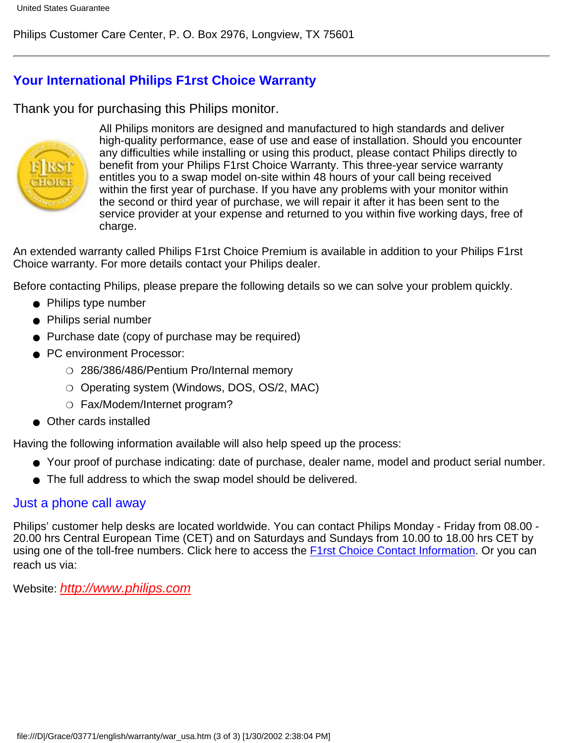Philips Customer Care Center, P. O. Box 2976, Longview, TX 75601

# **Your International Philips F1rst Choice Warranty**

Thank you for purchasing this Philips monitor.



All Philips monitors are designed and manufactured to high standards and deliver high-quality performance, ease of use and ease of installation. Should you encounter any difficulties while installing or using this product, please contact Philips directly to benefit from your Philips F1rst Choice Warranty. This three-year service warranty entitles you to a swap model on-site within 48 hours of your call being received within the first year of purchase. If you have any problems with your monitor within the second or third year of purchase, we will repair it after it has been sent to the service provider at your expense and returned to you within five working days, free of charge.

An extended warranty called Philips F1rst Choice Premium is available in addition to your Philips F1rst Choice warranty. For more details contact your Philips dealer.

Before contacting Philips, please prepare the following details so we can solve your problem quickly.

- Philips type number
- Philips serial number
- Purchase date (copy of purchase may be required)
- PC environment Processor:
	- ❍ 286/386/486/Pentium Pro/Internal memory
	- ❍ Operating system (Windows, DOS, OS/2, MAC)
	- ❍ Fax/Modem/Internet program?
- Other cards installed

Having the following information available will also help speed up the process:

- Your proof of purchase indicating: date of purchase, dealer name, model and product serial number.
- The full address to which the swap model should be delivered.

## Just a phone call away

Philips' customer help desks are located worldwide. You can contact Philips Monday - Friday from 08.00 - 20.00 hrs Central European Time (CET) and on Saturdays and Sundays from 10.00 to 18.00 hrs CET by using one of the toll-free numbers. Click here to access the [F1rst Choice Contact Information](#page-80-0). Or you can reach us via:

Website: *[http://www.philips.com](http://www.philips.com/)*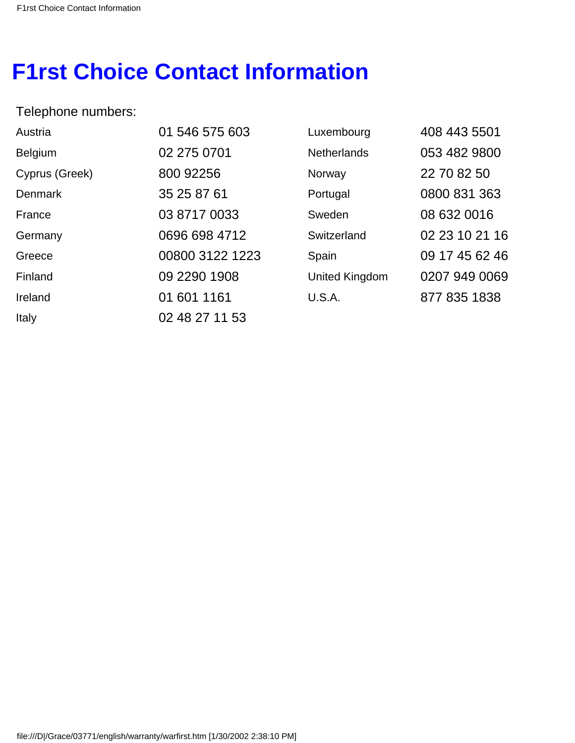# <span id="page-80-0"></span>**F1rst Choice Contact Information**

Telephone numbers:

| Austria        | 01 546 575 603  | Luxembourg         | 408 443 5501   |
|----------------|-----------------|--------------------|----------------|
| <b>Belgium</b> | 02 275 0701     | <b>Netherlands</b> | 053 482 9800   |
| Cyprus (Greek) | 800 92256       | Norway             | 22 70 82 50    |
| <b>Denmark</b> | 35 25 87 61     | Portugal           | 0800 831 363   |
| France         | 03 8717 0033    | Sweden             | 08 632 0016    |
| Germany        | 0696 698 4712   | Switzerland        | 02 23 10 21 16 |
| Greece         | 00800 3122 1223 | Spain              | 09 17 45 62 46 |
| Finland        | 09 2290 1908    | United Kingdom     | 0207 949 0069  |
| Ireland        | 01 601 1161     | <b>U.S.A.</b>      | 877 835 1838   |
| Italy          | 02 48 27 11 53  |                    |                |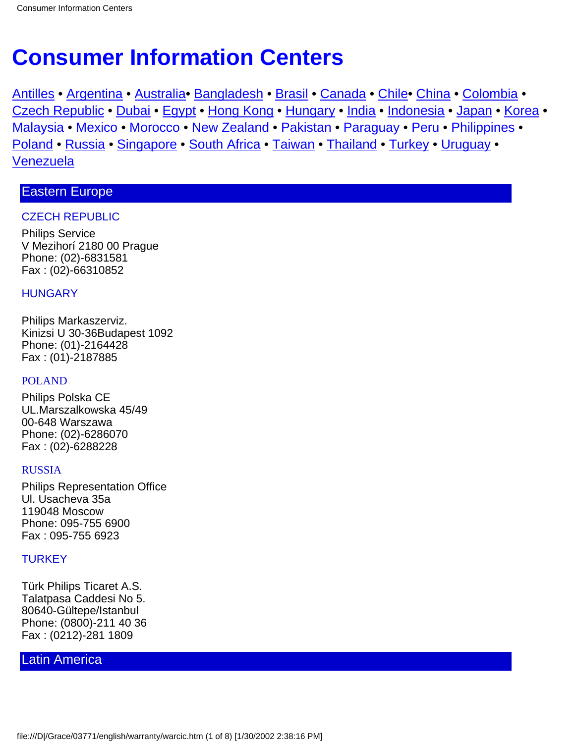# <span id="page-81-0"></span>**Consumer Information Centers**

Antilles • Argentina • Australia• Bangladesh • Brasil • [Canada](#page-83-0) • [Chile•](#page-82-0) [China](#page-84-0) • [Colombia](#page-82-1) • [Czech Republic](#page-81-1) • [Dubai](#page-88-0) • [Egypt](#page-88-1) • [Hong Kong](#page-85-0) • [Hungary](#page-81-2) • [India](#page-85-1) • [Indonesia](#page-85-2) • [Japan](#page-86-0) • [Korea](#page-86-1) • [Malaysia](#page-86-2) • [Mexico](#page-82-2) • [Morocco](#page-87-0) • [New Zealand](#page-84-1) • [Pakistan](#page-86-3) • [Paraguay](#page-83-1) • [Peru](#page-83-2) • [Philippines](#page-86-4) • [Poland](#page-81-0) • [Russia](#page-81-3) • [Singapore](#page-87-1) • [South Africa](#page-87-2) • [Taiwan](#page-87-3) • [Thailand](#page-87-4) • [Turkey](#page-81-4) • [Uruguay](#page-83-3) • [Venezuela](#page-83-4)

## Eastern Europe

## <span id="page-81-1"></span>CZECH REPUBLIC

Philips Service V Mezihorí 2180 00 Prague Phone: (02)-6831581 Fax : (02)-66310852

## <span id="page-81-2"></span>**HUNGARY**

Philips Markaszerviz. Kinizsi U 30-36Budapest 1092 Phone: (01)-2164428 Fax : (01)-2187885

## POLAND

Philips Polska CE UL.Marszalkowska 45/49 00-648 Warszawa Phone: (02)-6286070 Fax : (02)-6288228

## <span id="page-81-3"></span>RUSSIA

Philips Representation Office Ul. Usacheva 35a 119048 Moscow Phone: 095-755 6900 Fax : 095-755 6923

## <span id="page-81-4"></span>**TURKEY**

Türk Philips Ticaret A.S. Talatpasa Caddesi No 5. 80640-Gültepe/Istanbul Phone: (0800)-211 40 36 Fax : (0212)-281 1809

## Latin America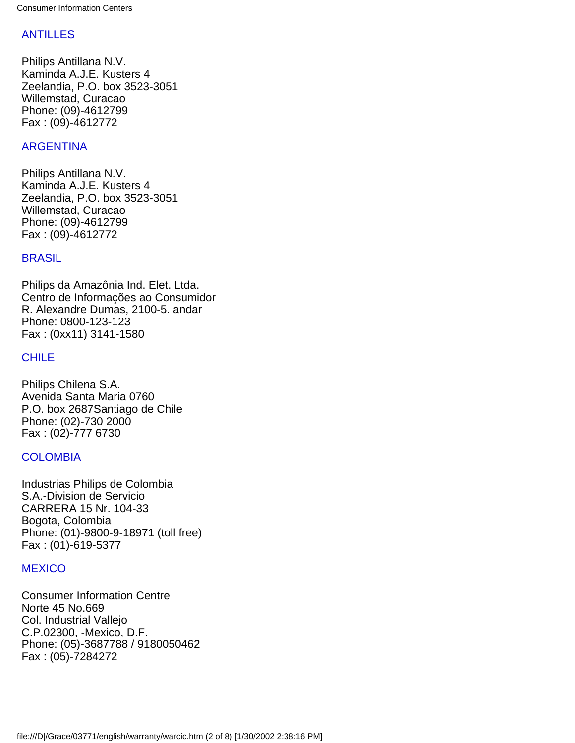## ANTILLES

Philips Antillana N.V. Kaminda A.J.E. Kusters 4 Zeelandia, P.O. box 3523-3051 Willemstad, Curacao Phone: (09)-4612799 Fax : (09)-4612772

## ARGENTINA

Philips Antillana N.V. Kaminda A.J.E. Kusters 4 Zeelandia, P.O. box 3523-3051 Willemstad, Curacao Phone: (09)-4612799 Fax : (09)-4612772

## **BRASIL**

Philips da Amazônia Ind. Elet. Ltda. Centro de Informações ao Consumidor R. Alexandre Dumas, 2100-5. andar Phone: 0800-123-123 Fax : (0xx11) 3141-1580

## <span id="page-82-0"></span>**CHILE**

Philips Chilena S.A. Avenida Santa Maria 0760 P.O. box 2687Santiago de Chile Phone: (02)-730 2000 Fax : (02)-777 6730

## <span id="page-82-1"></span>**COLOMBIA**

Industrias Philips de Colombia S.A.-Division de Servicio CARRERA 15 Nr. 104-33 Bogota, Colombia Phone: (01)-9800-9-18971 (toll free) Fax : (01)-619-5377

## <span id="page-82-2"></span>**MEXICO**

Consumer Information Centre Norte 45 No.669 Col. Industrial Vallejo C.P.02300, -Mexico, D.F. Phone: (05)-3687788 / 9180050462 Fax : (05)-7284272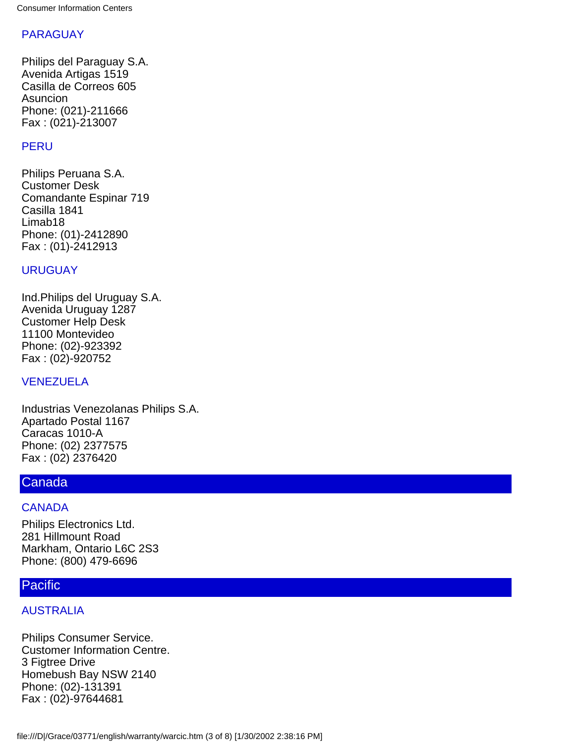## <span id="page-83-1"></span>PARAGUAY

Philips del Paraguay S.A. Avenida Artigas 1519 Casilla de Correos 605 Asuncion Phone: (021)-211666 Fax : (021)-213007

#### <span id="page-83-2"></span>PERU

Philips Peruana S.A. Customer Desk Comandante Espinar 719 Casilla 1841 Limab18 Phone: (01)-2412890 Fax : (01)-2412913

#### <span id="page-83-3"></span>URUGUAY

Ind.Philips del Uruguay S.A. Avenida Uruguay 1287 Customer Help Desk 11100 Montevideo Phone: (02)-923392 Fax : (02)-920752

## <span id="page-83-4"></span>VENEZUELA

Industrias Venezolanas Philips S.A. Apartado Postal 1167 Caracas 1010-A Phone: (02) 2377575 Fax : (02) 2376420

## Canada

## <span id="page-83-0"></span>**CANADA**

Philips Electronics Ltd. 281 Hillmount Road Markham, Ontario L6C 2S3 Phone: (800) 479-6696

## **Pacific**

## AUSTRALIA

Philips Consumer Service. Customer Information Centre. 3 Figtree Drive Homebush Bay NSW 2140 Phone: (02)-131391 Fax : (02)-97644681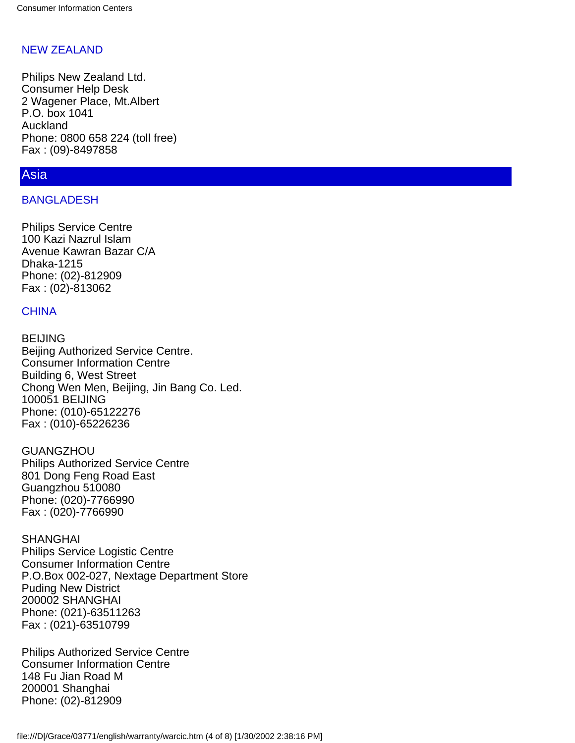#### <span id="page-84-1"></span>NEW ZEALAND

Philips New Zealand Ltd. Consumer Help Desk 2 Wagener Place, Mt.Albert P.O. box 1041 Auckland Phone: 0800 658 224 (toll free) Fax : (09)-8497858

#### Asia

#### BANGLADESH

Philips Service Centre 100 Kazi Nazrul Islam Avenue Kawran Bazar C/A Dhaka-1215 Phone: (02)-812909 Fax : (02)-813062

#### <span id="page-84-0"></span>**CHINA**

BEIJING Beijing Authorized Service Centre. Consumer Information Centre Building 6, West Street Chong Wen Men, Beijing, Jin Bang Co. Led. 100051 BEIJING Phone: (010)-65122276 Fax : (010)-65226236

GUANGZHOU Philips Authorized Service Centre 801 Dong Feng Road East Guangzhou 510080 Phone: (020)-7766990 Fax : (020)-7766990

**SHANGHAI** Philips Service Logistic Centre Consumer Information Centre P.O.Box 002-027, Nextage Department Store Puding New District 200002 SHANGHAI Phone: (021)-63511263 Fax : (021)-63510799

Philips Authorized Service Centre Consumer Information Centre 148 Fu Jian Road M 200001 Shanghai Phone: (02)-812909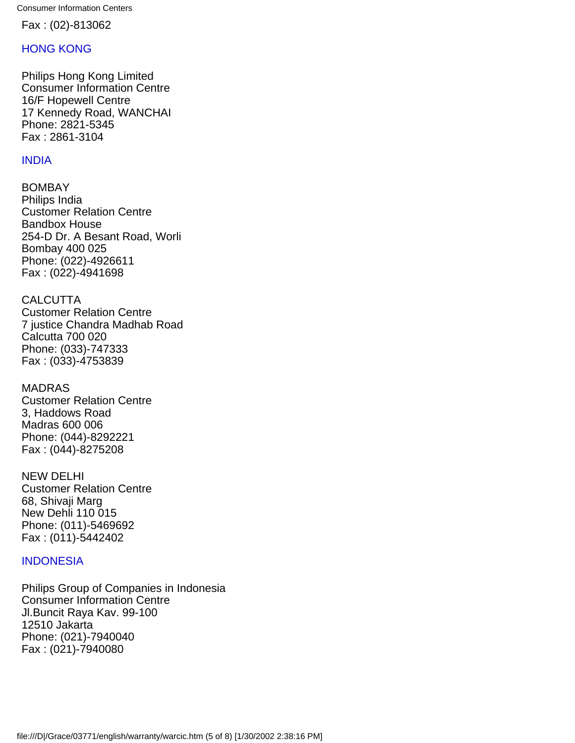Fax : (02)-813062

#### <span id="page-85-0"></span>HONG KONG

Philips Hong Kong Limited Consumer Information Centre 16/F Hopewell Centre 17 Kennedy Road, WANCHAI Phone: 2821-5345 Fax : 2861-3104

#### <span id="page-85-1"></span>INDIA

BOMBAY Philips India Customer Relation Centre Bandbox House 254-D Dr. A Besant Road, Worli Bombay 400 025 Phone: (022)-4926611 Fax : (022)-4941698

#### **CALCUTTA**

Customer Relation Centre 7 justice Chandra Madhab Road Calcutta 700 020 Phone: (033)-747333 Fax : (033)-4753839

#### MADRAS

Customer Relation Centre 3, Haddows Road Madras 600 006 Phone: (044)-8292221 Fax : (044)-8275208

NEW DELHI Customer Relation Centre 68, Shivaji Marg New Dehli 110 015 Phone: (011)-5469692 Fax : (011)-5442402

#### <span id="page-85-2"></span>**INDONESIA**

Philips Group of Companies in Indonesia Consumer Information Centre Jl.Buncit Raya Kav. 99-100 12510 Jakarta Phone: (021)-7940040 Fax : (021)-7940080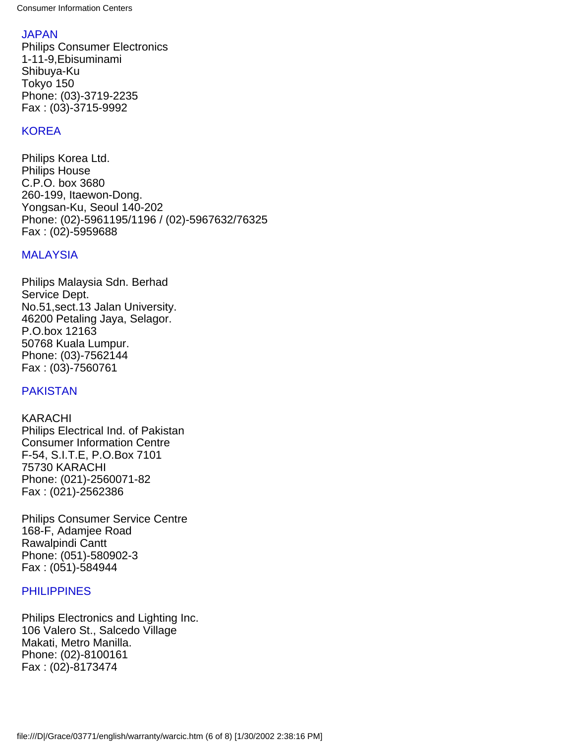Consumer Information Centers

#### <span id="page-86-0"></span>JAPAN

Philips Consumer Electronics 1-11-9,Ebisuminami Shibuya-Ku Tokyo 150 Phone: (03)-3719-2235 Fax : (03)-3715-9992

## <span id="page-86-1"></span>**KOREA**

Philips Korea Ltd. Philips House C.P.O. box 3680 260-199, Itaewon-Dong. Yongsan-Ku, Seoul 140-202 Phone: (02)-5961195/1196 / (02)-5967632/76325 Fax : (02)-5959688

## <span id="page-86-2"></span>MALAYSIA

Philips Malaysia Sdn. Berhad Service Dept. No.51,sect.13 Jalan University. 46200 Petaling Jaya, Selagor. P.O.box 12163 50768 Kuala Lumpur. Phone: (03)-7562144 Fax : (03)-7560761

## <span id="page-86-3"></span>PAKISTAN

KARACHI Philips Electrical Ind. of Pakistan Consumer Information Centre F-54, S.I.T.E, P.O.Box 7101 75730 KARACHI Phone: (021)-2560071-82 Fax : (021)-2562386

Philips Consumer Service Centre 168-F, Adamjee Road Rawalpindi Cantt Phone: (051)-580902-3 Fax : (051)-584944

## <span id="page-86-4"></span>PHILIPPINES

Philips Electronics and Lighting Inc. 106 Valero St., Salcedo Village Makati, Metro Manilla. Phone: (02)-8100161 Fax : (02)-8173474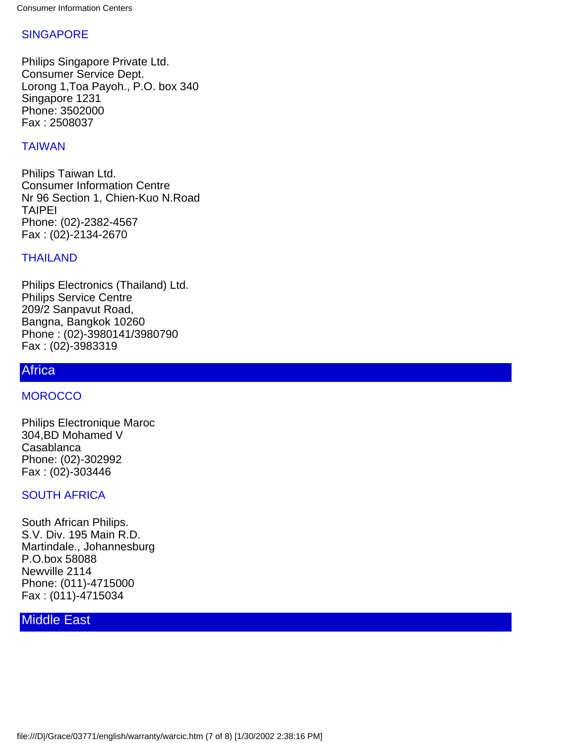## <span id="page-87-1"></span>**SINGAPORE**

Philips Singapore Private Ltd. Consumer Service Dept. Lorong 1,Toa Payoh., P.O. box 340 Singapore 1231 Phone: 3502000 Fax : 2508037

#### <span id="page-87-3"></span>TAIWAN

Philips Taiwan Ltd. Consumer Information Centre Nr 96 Section 1, Chien-Kuo N.Road TAIPEI Phone: (02)-2382-4567 Fax : (02)-2134-2670

#### <span id="page-87-4"></span>THAILAND

Philips Electronics (Thailand) Ltd. Philips Service Centre 209/2 Sanpavut Road, Bangna, Bangkok 10260 Phone : (02)-3980141/3980790 Fax : (02)-3983319

#### **Africa**

#### <span id="page-87-0"></span>**MOROCCO**

Philips Electronique Maroc 304,BD Mohamed V Casablanca Phone: (02)-302992 Fax : (02)-303446

#### <span id="page-87-2"></span>SOUTH AFRICA

South African Philips. S.V. Div. 195 Main R.D. Martindale., Johannesburg P.O.box 58088 Newville 2114 Phone: (011)-4715000 Fax : (011)-4715034

## Middle East